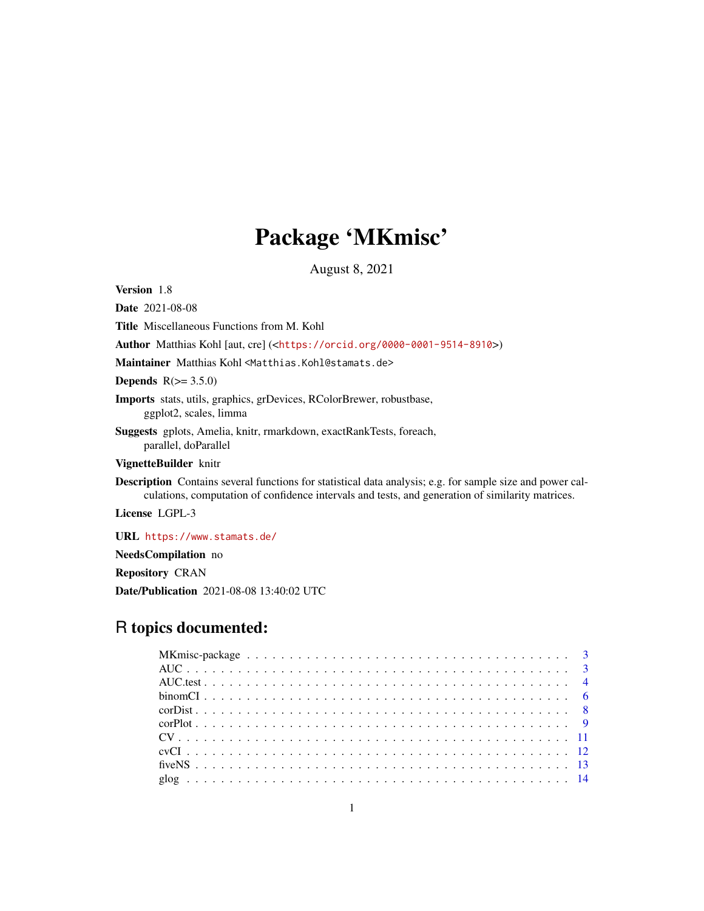# Package 'MKmisc'

August 8, 2021

<span id="page-0-0"></span>Version 1.8

Date 2021-08-08 Title Miscellaneous Functions from M. Kohl

Author Matthias Kohl [aut, cre] (<<https://orcid.org/0000-0001-9514-8910>>)

Maintainer Matthias Kohl <Matthias.Kohl@stamats.de>

Depends  $R(>= 3.5.0)$ 

Imports stats, utils, graphics, grDevices, RColorBrewer, robustbase, ggplot2, scales, limma

Suggests gplots, Amelia, knitr, rmarkdown, exactRankTests, foreach, parallel, doParallel

VignetteBuilder knitr

Description Contains several functions for statistical data analysis; e.g. for sample size and power calculations, computation of confidence intervals and tests, and generation of similarity matrices.

License LGPL-3

URL <https://www.stamats.de/>

NeedsCompilation no

Repository CRAN

Date/Publication 2021-08-08 13:40:02 UTC

# R topics documented: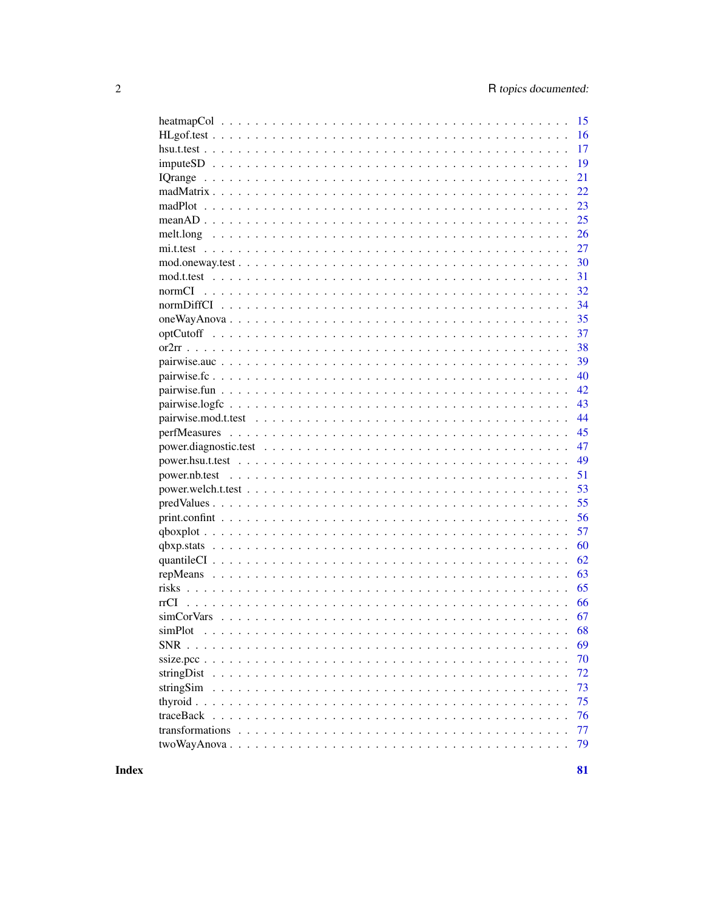|                 | 15 |
|-----------------|----|
|                 | 16 |
|                 | 17 |
|                 | 19 |
|                 | 21 |
|                 | 22 |
|                 | 23 |
|                 | 25 |
|                 | 26 |
|                 | 27 |
|                 | 30 |
|                 | 31 |
|                 | 32 |
|                 | 34 |
|                 | 35 |
|                 | 37 |
|                 | 38 |
|                 | 39 |
|                 | 40 |
|                 | 42 |
|                 | 43 |
|                 | 44 |
|                 | 45 |
|                 | 47 |
|                 | 49 |
|                 |    |
|                 | 51 |
|                 | 53 |
|                 | 55 |
|                 | 56 |
|                 | 57 |
|                 | 60 |
|                 | 62 |
|                 | 63 |
|                 | 65 |
|                 | 66 |
|                 | 67 |
| simPlot         | 68 |
| SNR             | 69 |
|                 | 70 |
| stringDist      | 72 |
| stringSim       | 73 |
| thyroid.        | 75 |
| traceBack       | 76 |
| transformations | 77 |
| $two WayAnova.$ | 79 |
|                 |    |

**Index**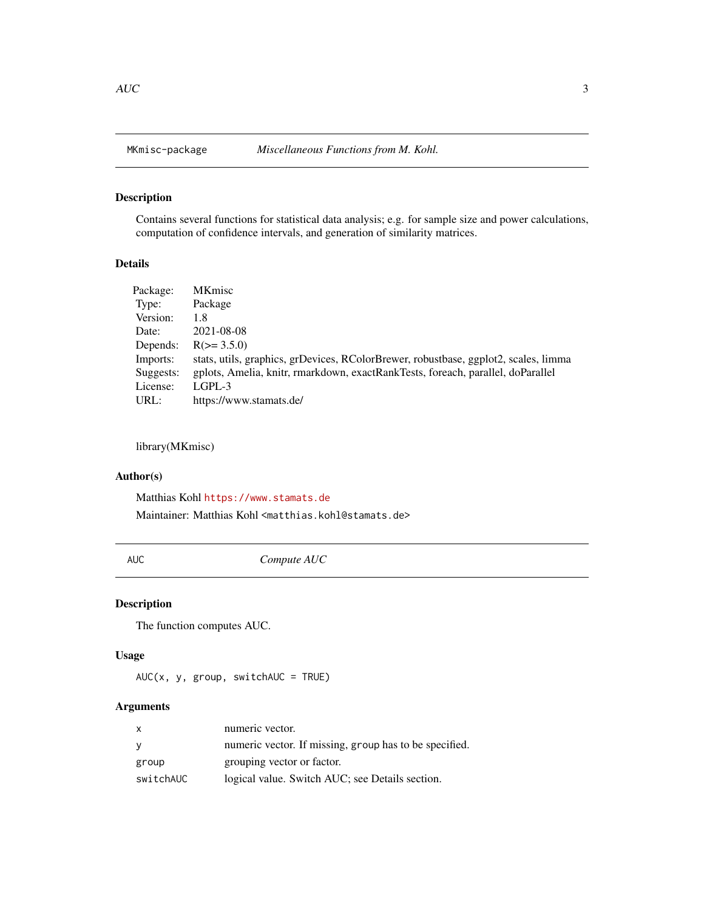<span id="page-2-0"></span>

## Description

Contains several functions for statistical data analysis; e.g. for sample size and power calculations, computation of confidence intervals, and generation of similarity matrices.

## Details

| Package:  | <b>MKmisc</b>                                                                       |
|-----------|-------------------------------------------------------------------------------------|
| Type:     | Package                                                                             |
| Version:  | 1.8                                                                                 |
| Date:     | 2021-08-08                                                                          |
| Depends:  | $R(>= 3.5.0)$                                                                       |
| Imports:  | stats, utils, graphics, grDevices, RColorBrewer, robustbase, ggplot2, scales, limma |
| Suggests: | gplots, Amelia, knitr, rmarkdown, exactRankTests, foreach, parallel, doParallel     |
| License:  | $L$ GPL-3                                                                           |
| URL:      | https://www.stamats.de/                                                             |

## library(MKmisc)

#### Author(s)

Matthias Kohl <https://www.stamats.de>

Maintainer: Matthias Kohl <matthias.kohl@stamats.de>

<span id="page-2-1"></span>AUC *Compute AUC*

## Description

The function computes AUC.

#### Usage

 $AUC(x, y, group, switchAUC = TRUE)$ 

#### Arguments

| $\mathsf{x}$ | numeric vector.                                        |
|--------------|--------------------------------------------------------|
| <b>V</b>     | numeric vector. If missing, group has to be specified. |
| group        | grouping vector or factor.                             |
| switchAUC    | logical value. Switch AUC; see Details section.        |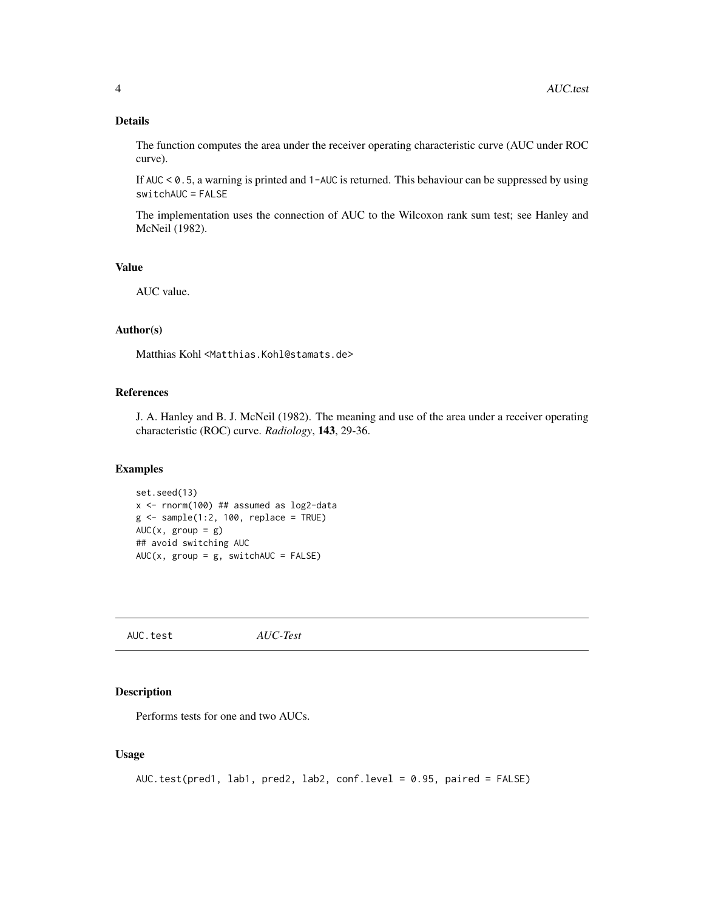## <span id="page-3-0"></span>Details

The function computes the area under the receiver operating characteristic curve (AUC under ROC curve).

If AUC < 0.5, a warning is printed and 1-AUC is returned. This behaviour can be suppressed by using switchAUC = FALSE

The implementation uses the connection of AUC to the Wilcoxon rank sum test; see Hanley and McNeil (1982).

## Value

AUC value.

#### Author(s)

Matthias Kohl <Matthias.Kohl@stamats.de>

## References

J. A. Hanley and B. J. McNeil (1982). The meaning and use of the area under a receiver operating characteristic (ROC) curve. *Radiology*, 143, 29-36.

## Examples

```
set.seed(13)
x <- rnorm(100) ## assumed as log2-data
g <- sample(1:2, 100, replace = TRUE)
AUC(x, group = g)## avoid switching AUC
AUC(x, group = g, switchAUC = FALSE)
```
AUC.test *AUC-Test*

## Description

Performs tests for one and two AUCs.

#### Usage

```
AUC.test(pred1, lab1, pred2, lab2, conf.level = 0.95, paired = FALSE)
```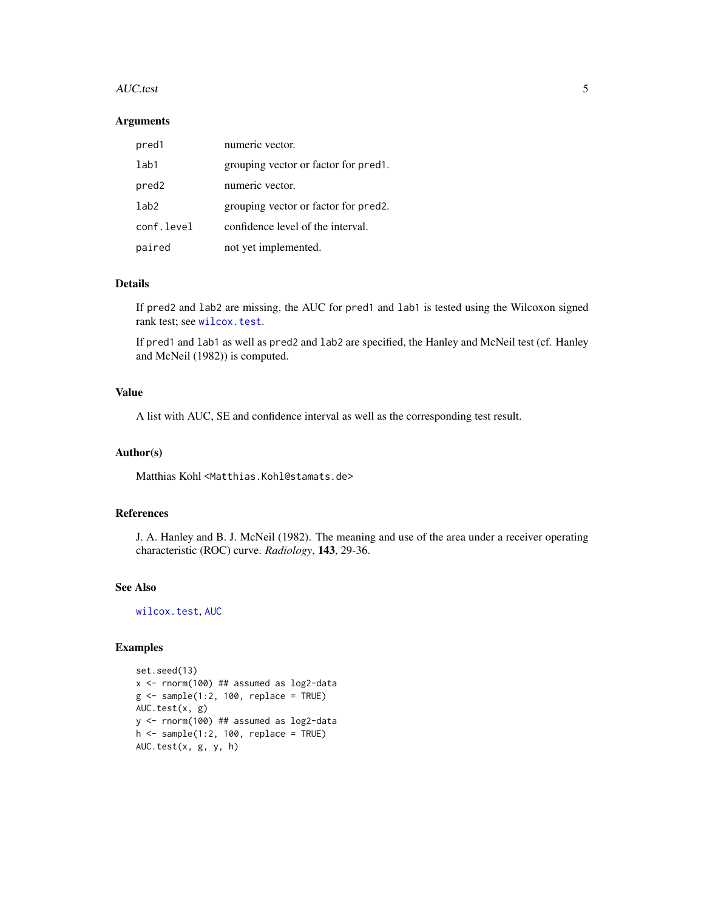#### AUC.test 5

#### Arguments

| pred1             | numeric vector.                                   |
|-------------------|---------------------------------------------------|
| lab1              | grouping vector or factor for pred.               |
| pred <sub>2</sub> | numeric vector.                                   |
| 1ab2              | grouping vector or factor for pred <sub>2</sub> . |
| conf.level        | confidence level of the interval.                 |
| paired            | not yet implemented.                              |

## Details

If pred2 and lab2 are missing, the AUC for pred1 and lab1 is tested using the Wilcoxon signed rank test; see [wilcox.test](#page-0-0).

If pred1 and lab1 as well as pred2 and lab2 are specified, the Hanley and McNeil test (cf. Hanley and McNeil (1982)) is computed.

## Value

A list with AUC, SE and confidence interval as well as the corresponding test result.

#### Author(s)

Matthias Kohl <Matthias.Kohl@stamats.de>

## References

J. A. Hanley and B. J. McNeil (1982). The meaning and use of the area under a receiver operating characteristic (ROC) curve. *Radiology*, 143, 29-36.

## See Also

[wilcox.test](#page-0-0), [AUC](#page-2-1)

#### Examples

```
set.seed(13)
x <- rnorm(100) ## assumed as log2-data
g \leftarrow sample(1:2, 100, replace = TRUE)
AUC.test(x, g)
y <- rnorm(100) ## assumed as log2-data
h \leq - sample(1:2, 100, replace = TRUE)
AUC.test(x, g, y, h)
```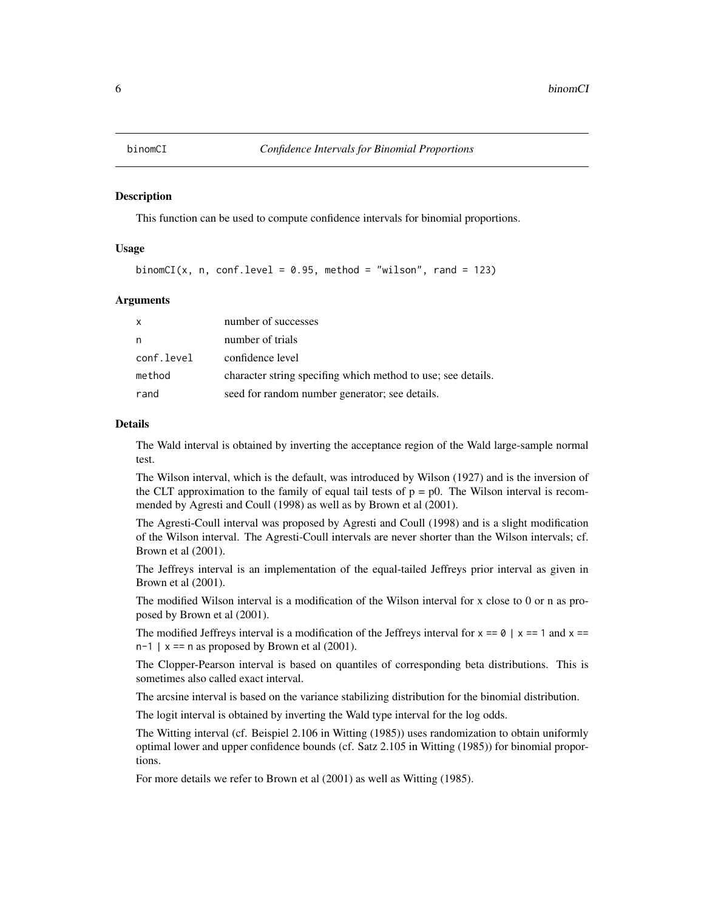<span id="page-5-0"></span>

#### Description

This function can be used to compute confidence intervals for binomial proportions.

## Usage

binomCI(x, n, conf.level = 0.95, method = "wilson", rand = 123)

#### Arguments

| $\mathsf{x}$ | number of successes                                          |
|--------------|--------------------------------------------------------------|
| n            | number of trials                                             |
| conf.level   | confidence level                                             |
| method       | character string specifing which method to use; see details. |
| rand         | seed for random number generator; see details.               |

## Details

The Wald interval is obtained by inverting the acceptance region of the Wald large-sample normal test.

The Wilson interval, which is the default, was introduced by Wilson (1927) and is the inversion of the CLT approximation to the family of equal tail tests of  $p = p0$ . The Wilson interval is recommended by Agresti and Coull (1998) as well as by Brown et al (2001).

The Agresti-Coull interval was proposed by Agresti and Coull (1998) and is a slight modification of the Wilson interval. The Agresti-Coull intervals are never shorter than the Wilson intervals; cf. Brown et al (2001).

The Jeffreys interval is an implementation of the equal-tailed Jeffreys prior interval as given in Brown et al (2001).

The modified Wilson interval is a modification of the Wilson interval for x close to 0 or n as proposed by Brown et al (2001).

The modified Jeffreys interval is a modification of the Jeffreys interval for  $x == 0$  |  $x == 1$  and  $x ==$  $n-1$  | x == n as proposed by Brown et al (2001).

The Clopper-Pearson interval is based on quantiles of corresponding beta distributions. This is sometimes also called exact interval.

The arcsine interval is based on the variance stabilizing distribution for the binomial distribution.

The logit interval is obtained by inverting the Wald type interval for the log odds.

The Witting interval (cf. Beispiel 2.106 in Witting (1985)) uses randomization to obtain uniformly optimal lower and upper confidence bounds (cf. Satz 2.105 in Witting (1985)) for binomial proportions.

For more details we refer to Brown et al (2001) as well as Witting (1985).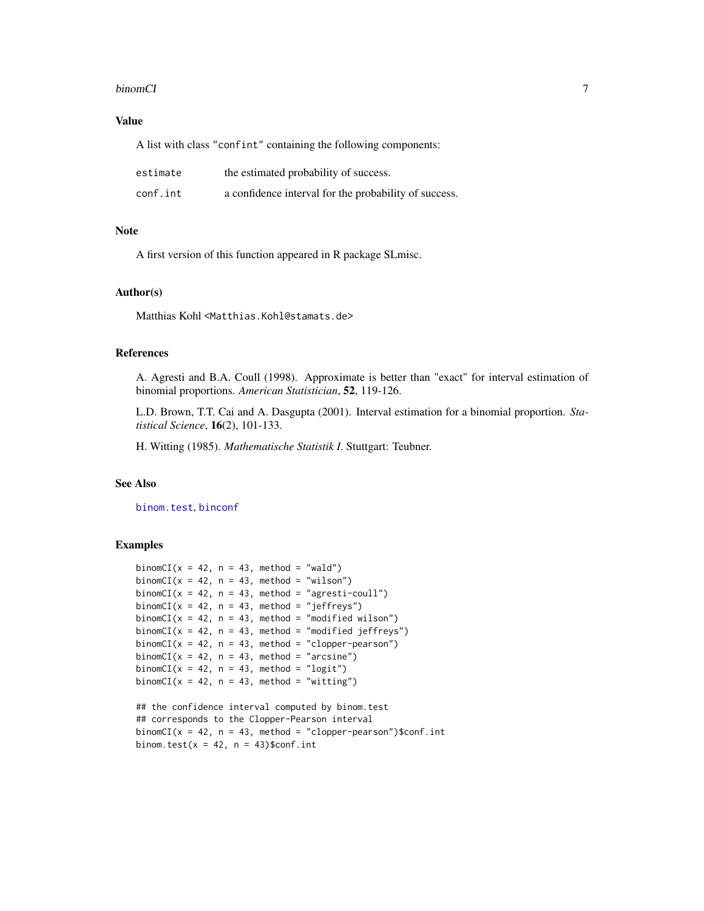#### binomCI 7 and 2008 and 2008 and 2008 and 2008 and 2008 and 2008 and 2008 and 2008 and 2008 and 2008 and 2008 and 2008 and 2008 and 2008 and 2008 and 2008 and 2008 and 2008 and 2008 and 2008 and 2008 and 2008 and 2008 and 2

## Value

A list with class "confint" containing the following components:

| estimate | the estimated probability of success.                 |
|----------|-------------------------------------------------------|
| conf.int | a confidence interval for the probability of success. |

## Note

A first version of this function appeared in R package SLmisc.

#### Author(s)

Matthias Kohl <Matthias.Kohl@stamats.de>

## References

A. Agresti and B.A. Coull (1998). Approximate is better than "exact" for interval estimation of binomial proportions. *American Statistician*, 52, 119-126.

L.D. Brown, T.T. Cai and A. Dasgupta (2001). Interval estimation for a binomial proportion. *Statistical Science*, 16(2), 101-133.

H. Witting (1985). *Mathematische Statistik I*. Stuttgart: Teubner.

#### See Also

[binom.test](#page-0-0), [binconf](#page-0-0)

## Examples

```
binomCI(x = 42, n = 43, method = "wald")
binomCI(x = 42, n = 43, method = "wilson")
binomCI(x = 42, n = 43, method = "agresti-coull")
binomCI(x = 42, n = 43, method = "jeffreys")
binomCI(x = 42, n = 43, method = "modified wilson")
binomCI(x = 42, n = 43, method = "modified jeffreys")
binomCI(x = 42, n = 43, method = "clopper-pearson")
binomCI(x = 42, n = 43, method = "arcsine")
binomCI(x = 42, n = 43, method = "logit")
binomCI(x = 42, n = 43, method = "witting")
## the confidence interval computed by binom.test
## corresponds to the Clopper-Pearson interval
binomCI(x = 42, n = 43, method = "clopper-pearson")$conf.int
```
binom.test( $x = 42$ ,  $n = 43$ )\$conf.int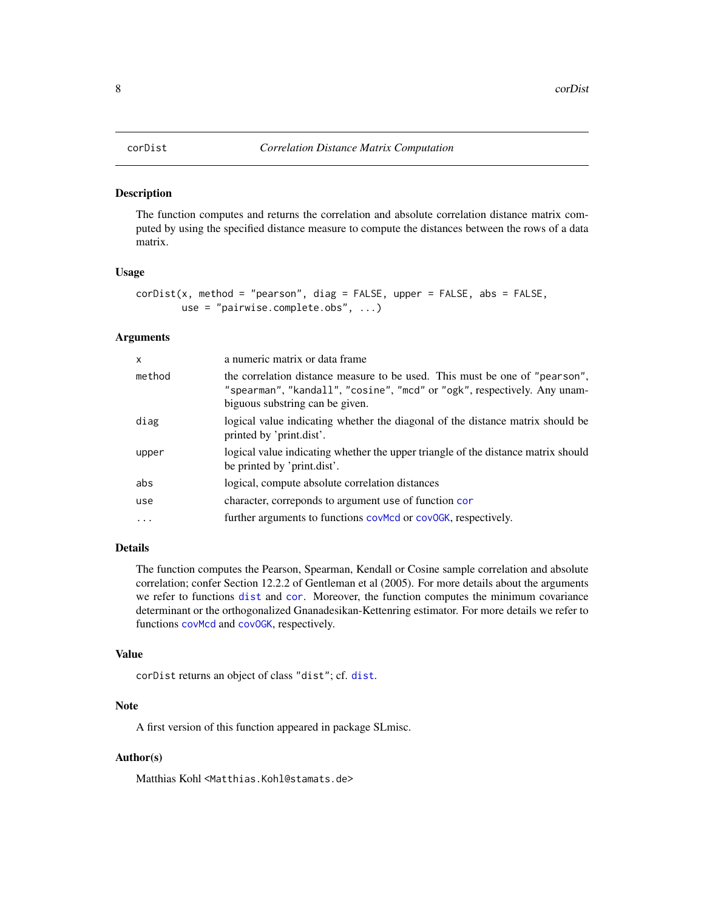#### <span id="page-7-0"></span>Description

The function computes and returns the correlation and absolute correlation distance matrix computed by using the specified distance measure to compute the distances between the rows of a data matrix.

#### Usage

```
corDist(x, method = "pearson", diag = FALSE, upper = FALSE, abs = FALSE,use = "pairwise.complete.obs", ...)
```
#### Arguments

| $\mathsf{x}$ | a numeric matrix or data frame                                                                                                                                                             |
|--------------|--------------------------------------------------------------------------------------------------------------------------------------------------------------------------------------------|
| method       | the correlation distance measure to be used. This must be one of "pearson",<br>"spearman", "kandall", "cosine", "mcd" or "ogk", respectively. Any unam-<br>biguous substring can be given. |
| diag         | logical value indicating whether the diagonal of the distance matrix should be<br>printed by 'print.dist'.                                                                                 |
| upper        | logical value indicating whether the upper triangle of the distance matrix should<br>be printed by 'print.dist'.                                                                           |
| abs          | logical, compute absolute correlation distances                                                                                                                                            |
| use          | character, correponds to argument use of function cor                                                                                                                                      |
| $\cdot$      | further arguments to functions covmed or covock, respectively.                                                                                                                             |

## Details

The function computes the Pearson, Spearman, Kendall or Cosine sample correlation and absolute correlation; confer Section 12.2.2 of Gentleman et al (2005). For more details about the arguments we refer to functions [dist](#page-0-0) and [cor](#page-0-0). Moreover, the function computes the minimum covariance determinant or the orthogonalized Gnanadesikan-Kettenring estimator. For more details we refer to functions [covMcd](#page-0-0) and [covOGK](#page-0-0), respectively.

## Value

```
corDist returns an object of class "dist"; cf. dist.
```
## **Note**

A first version of this function appeared in package SLmisc.

## Author(s)

Matthias Kohl <Matthias.Kohl@stamats.de>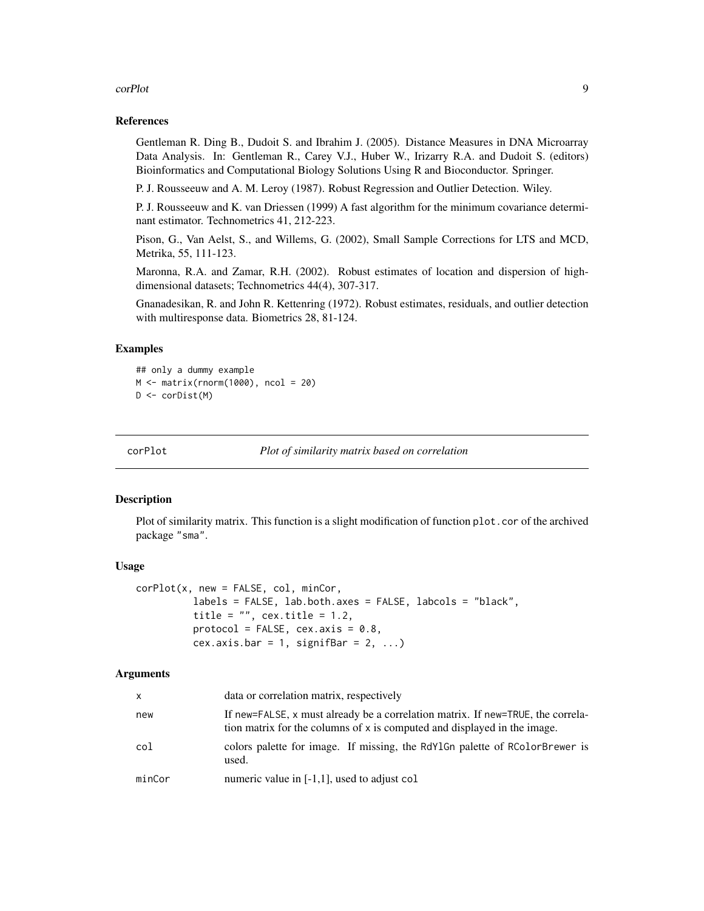#### <span id="page-8-0"></span>corPlot 9

### References

Gentleman R. Ding B., Dudoit S. and Ibrahim J. (2005). Distance Measures in DNA Microarray Data Analysis. In: Gentleman R., Carey V.J., Huber W., Irizarry R.A. and Dudoit S. (editors) Bioinformatics and Computational Biology Solutions Using R and Bioconductor. Springer.

P. J. Rousseeuw and A. M. Leroy (1987). Robust Regression and Outlier Detection. Wiley.

P. J. Rousseeuw and K. van Driessen (1999) A fast algorithm for the minimum covariance determinant estimator. Technometrics 41, 212-223.

Pison, G., Van Aelst, S., and Willems, G. (2002), Small Sample Corrections for LTS and MCD, Metrika, 55, 111-123.

Maronna, R.A. and Zamar, R.H. (2002). Robust estimates of location and dispersion of highdimensional datasets; Technometrics 44(4), 307-317.

Gnanadesikan, R. and John R. Kettenring (1972). Robust estimates, residuals, and outlier detection with multiresponse data. Biometrics 28, 81-124.

## Examples

```
## only a dummy example
M \leftarrow matrix(rnorm(1000), ncol = 20)D <- corDist(M)
```
<span id="page-8-1"></span>

corPlot *Plot of similarity matrix based on correlation*

## **Description**

Plot of similarity matrix. This function is a slight modification of function plot.cor of the archived package "sma".

#### Usage

```
corPlot(x, new = FALSE, col, minCor,
          labels = FALSE, lab.both.axes = FALSE, labcols = "black",
          title = "", cex.title = 1.2,
          protocol = FALSE, cex.axis = 0.8,
          cex.axis.bar = 1, signifBar = 2, ...)
```
#### Arguments

| $\mathsf{x}$ | data or correlation matrix, respectively                                                                                                                    |
|--------------|-------------------------------------------------------------------------------------------------------------------------------------------------------------|
| new          | If new=FALSE, x must already be a correlation matrix. If new=TRUE, the correla-<br>tion matrix for the columns of x is computed and displayed in the image. |
| col          | colors palette for image. If missing, the RdY1Gn palette of RColorBrewer is<br>used.                                                                        |
| minCor       | numeric value in $[-1,1]$ , used to adjust col                                                                                                              |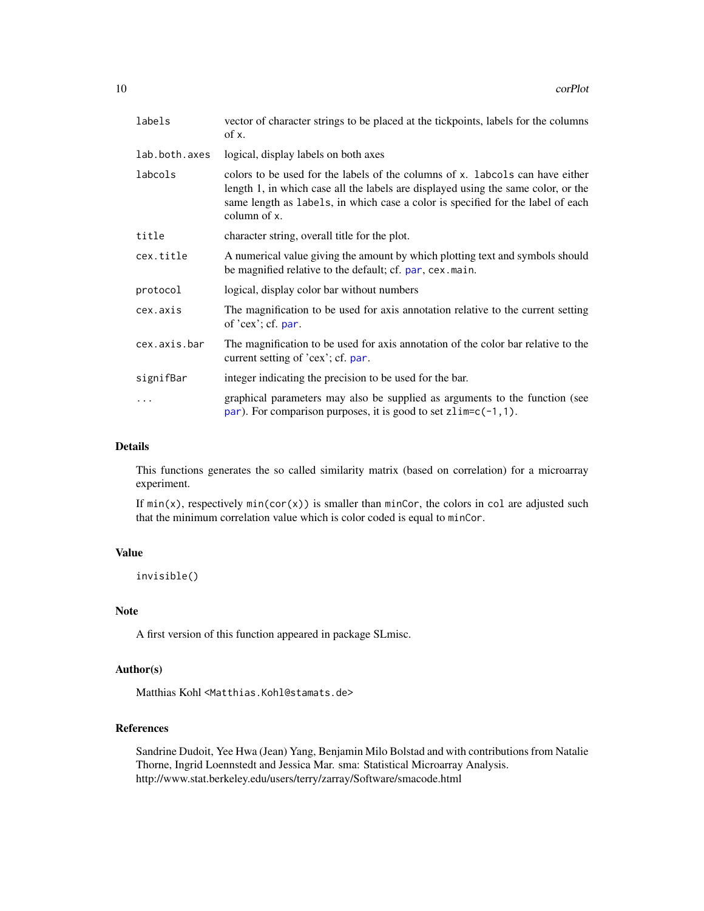| labels        | vector of character strings to be placed at the tickpoints, labels for the columns<br>of x.                                                                                                                                                                           |
|---------------|-----------------------------------------------------------------------------------------------------------------------------------------------------------------------------------------------------------------------------------------------------------------------|
| lab.both.axes | logical, display labels on both axes                                                                                                                                                                                                                                  |
| labcols       | colors to be used for the labels of the columns of x. Labcols can have either<br>length 1, in which case all the labels are displayed using the same color, or the<br>same length as labels, in which case a color is specified for the label of each<br>column of x. |
| title         | character string, overall title for the plot.                                                                                                                                                                                                                         |
| cex.title     | A numerical value giving the amount by which plotting text and symbols should<br>be magnified relative to the default; cf. par, cex. main.                                                                                                                            |
| protocol      | logical, display color bar without numbers                                                                                                                                                                                                                            |
| cex.axis      | The magnification to be used for axis annotation relative to the current setting<br>of $'cex$ ; cf. par.                                                                                                                                                              |
| cex.axis.bar  | The magnification to be used for axis annotation of the color bar relative to the<br>current setting of 'cex'; cf. par.                                                                                                                                               |
| signifBar     | integer indicating the precision to be used for the bar.                                                                                                                                                                                                              |
| .             | graphical parameters may also be supplied as arguments to the function (see<br>par). For comparison purposes, it is good to set $zlim=c(-1,1)$ .                                                                                                                      |

#### Details

This functions generates the so called similarity matrix (based on correlation) for a microarray experiment.

If  $min(x)$ , respectively  $min(cor(x))$  is smaller than minCor, the colors in col are adjusted such that the minimum correlation value which is color coded is equal to minCor.

## Value

invisible()

## Note

A first version of this function appeared in package SLmisc.

## Author(s)

Matthias Kohl <Matthias.Kohl@stamats.de>

## References

Sandrine Dudoit, Yee Hwa (Jean) Yang, Benjamin Milo Bolstad and with contributions from Natalie Thorne, Ingrid Loennstedt and Jessica Mar. sma: Statistical Microarray Analysis. http://www.stat.berkeley.edu/users/terry/zarray/Software/smacode.html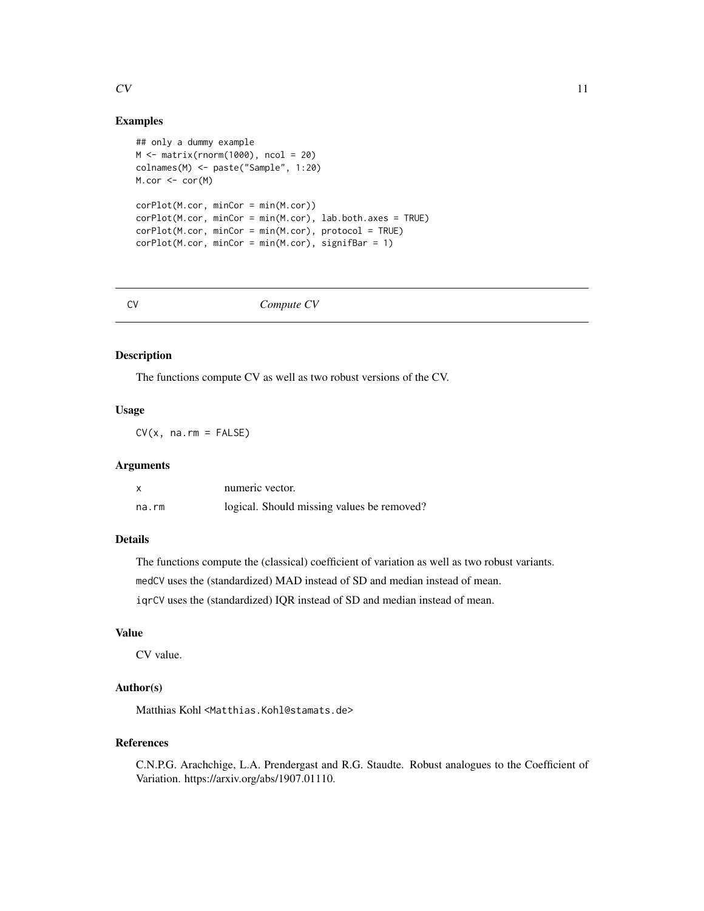#### <span id="page-10-0"></span> $CV$  11

## Examples

```
## only a dummy example
M <- matrix(rnorm(1000), ncol = 20)
colnames(M) <- paste("Sample", 1:20)
M.cor <- cor(M)
corPlot(M.cor, minCor = min(M.cor))
corPlot(M.cor, minCor = min(M.cor), lab.both.axes = TRUE)
corPlot(M.cor, minCor = min(M.cor), protocol = TRUE)corPlot(M.cor, minCor = min(M.cor), signifBar = 1)
```
#### <span id="page-10-1"></span>CV *Compute CV*

## Description

The functions compute CV as well as two robust versions of the CV.

## Usage

 $CV(x, na.rm = FALSE)$ 

#### Arguments

| X     | numeric vector.                            |
|-------|--------------------------------------------|
| na.rm | logical. Should missing values be removed? |

## Details

The functions compute the (classical) coefficient of variation as well as two robust variants.

medCV uses the (standardized) MAD instead of SD and median instead of mean.

iqrCV uses the (standardized) IQR instead of SD and median instead of mean.

## Value

CV value.

## Author(s)

Matthias Kohl <Matthias.Kohl@stamats.de>

## References

C.N.P.G. Arachchige, L.A. Prendergast and R.G. Staudte. Robust analogues to the Coefficient of Variation. https://arxiv.org/abs/1907.01110.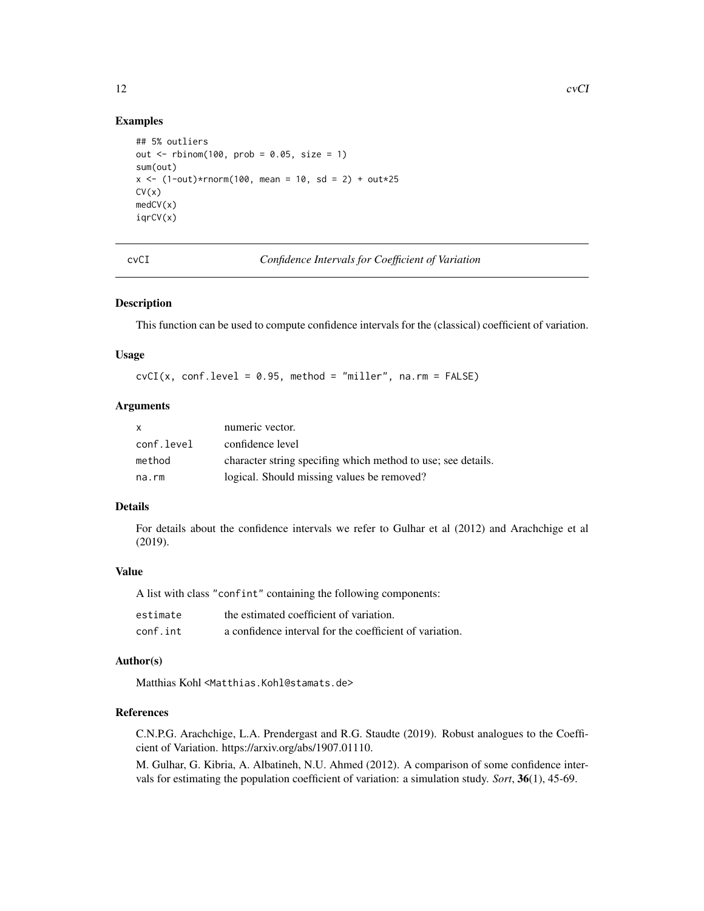#### Examples

```
## 5% outliers
out \le rbinom(100, prob = 0.05, size = 1)
sum(out)
x \le -(1-out)*rnorm(100, mean = 10, sd = 2) + out*25
CV(x)medCV(x)
iqrCV(x)
```
cvCI *Confidence Intervals for Coefficient of Variation*

## Description

This function can be used to compute confidence intervals for the (classical) coefficient of variation.

#### Usage

 $cvCI(x, conf.level = 0.95, method = "miller", na.rm = FALSE)$ 

## **Arguments**

| $\mathsf{x}$ | numeric vector.                                              |
|--------------|--------------------------------------------------------------|
| conf.level   | confidence level                                             |
| method       | character string specifing which method to use; see details. |
| na.rm        | logical. Should missing values be removed?                   |

## Details

For details about the confidence intervals we refer to Gulhar et al (2012) and Arachchige et al (2019).

## Value

A list with class "confint" containing the following components:

| estimate | the estimated coefficient of variation.                 |
|----------|---------------------------------------------------------|
| conf.int | a confidence interval for the coefficient of variation. |

#### Author(s)

Matthias Kohl <Matthias.Kohl@stamats.de>

## References

C.N.P.G. Arachchige, L.A. Prendergast and R.G. Staudte (2019). Robust analogues to the Coefficient of Variation. https://arxiv.org/abs/1907.01110.

M. Gulhar, G. Kibria, A. Albatineh, N.U. Ahmed (2012). A comparison of some confidence intervals for estimating the population coefficient of variation: a simulation study. *Sort*, 36(1), 45-69.

<span id="page-11-0"></span>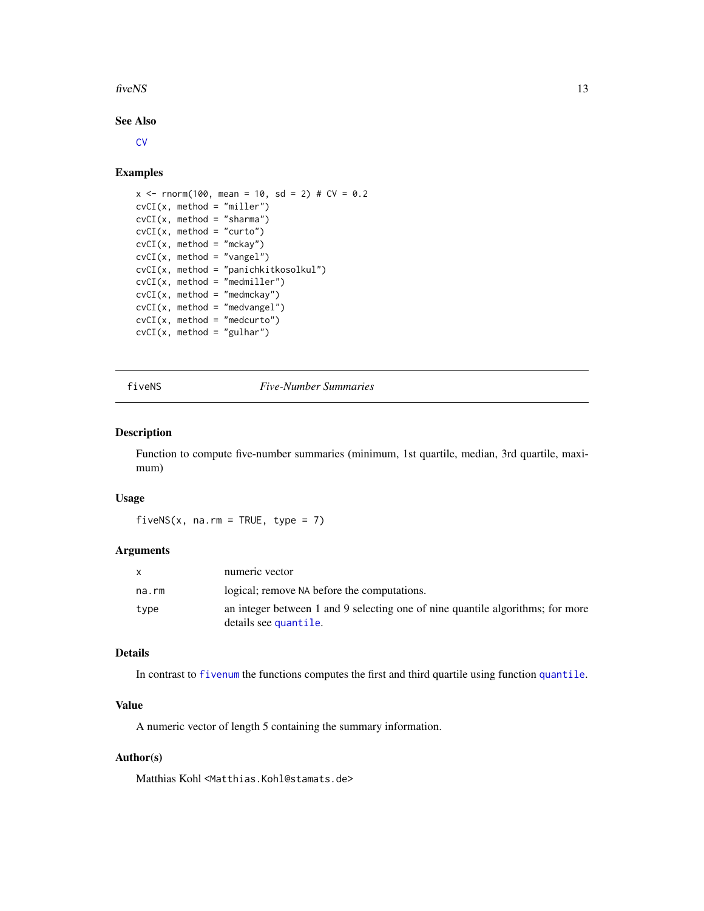#### <span id="page-12-0"></span> $fivens$  13

## See Also

**[CV](#page-10-1)** 

## Examples

```
x \le - rnorm(100, mean = 10, sd = 2) # CV = 0.2
cvCI(x, method = "miller")cvCI(x, method = "sharma")cvCI(x, method = "curto")cvCI(x, method = "mckay")cvCI(x, method = "vangel")cvCI(x, method = "panichkitkosolkul")cvCI(x, method = "mediumiller")cvCI(x, method = "medmckay")cvCI(x, method = "medvangel")cvCI(x, method = "medcurto")cvCI(x, method = "gulhar")
```
## fiveNS *Five-Number Summaries*

#### Description

Function to compute five-number summaries (minimum, 1st quartile, median, 3rd quartile, maximum)

#### Usage

fiveNS(x, na.rm = TRUE, type =  $7$ )

## Arguments

|       | numeric vector                                                                                          |
|-------|---------------------------------------------------------------------------------------------------------|
| na.rm | logical; remove NA before the computations.                                                             |
| type  | an integer between 1 and 9 selecting one of nine quantile algorithms; for more<br>details see quantile. |

## Details

In contrast to [fivenum](#page-0-0) the functions computes the first and third quartile using function [quantile](#page-0-0).

## Value

A numeric vector of length 5 containing the summary information.

## Author(s)

Matthias Kohl<Matthias.Kohl@stamats.de>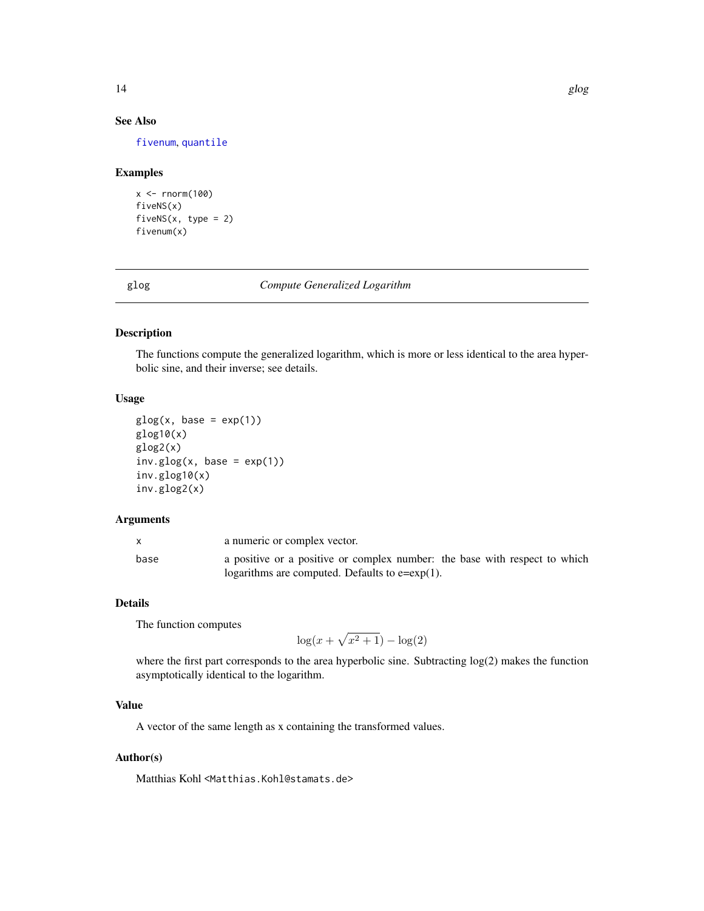## See Also

[fivenum](#page-0-0), [quantile](#page-0-0)

#### Examples

```
x \leq -rnorm(100)fiveNS(x)
fivenS(x, type = 2)fivenum(x)
```
glog *Compute Generalized Logarithm*

## Description

The functions compute the generalized logarithm, which is more or less identical to the area hyperbolic sine, and their inverse; see details.

## Usage

```
glog(x, base = exp(1))glog10(x)
glog2(x)
inv.glog(x, base = exp(1))inv.glog10(x)
inv.glog2(x)
```
## Arguments

|      | a numeric or complex vector.                                               |
|------|----------------------------------------------------------------------------|
| base | a positive or a positive or complex number: the base with respect to which |
|      | logarithms are computed. Defaults to $e=exp(1)$ .                          |

## Details

The function computes

$$
\log(x + \sqrt{x^2 + 1}) - \log(2)
$$

where the first part corresponds to the area hyperbolic sine. Subtracting  $log(2)$  makes the function asymptotically identical to the logarithm.

## Value

A vector of the same length as x containing the transformed values.

## Author(s)

Matthias Kohl <Matthias.Kohl@stamats.de>

<span id="page-13-0"></span>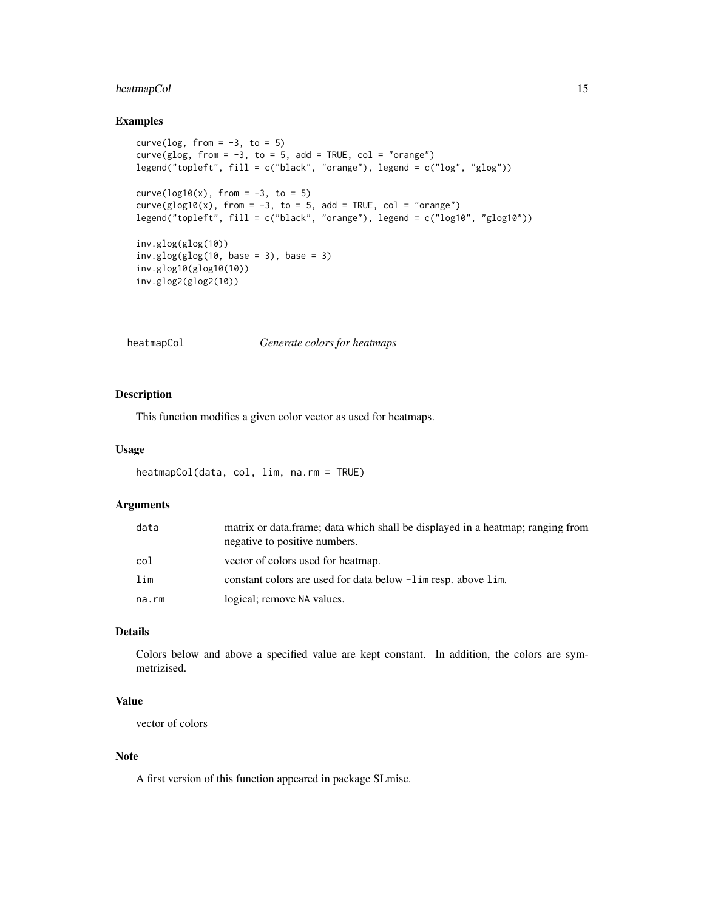## <span id="page-14-0"></span>heatmapCol 15

## Examples

```
curve(\log, from = -3, to = 5)
curve(glog, from = -3, to = 5, add = TRUE, col = "orange")
legend("topleft", fill = c("black", "orange"), legend = c("log", "glog"))
curve(\log 10(x), from = -3, to = 5)
curve(glog10(x), from = -3, to = 5, add = TRUE, col = "orange")legend("topleft", fill = c("black", "orange"), legend = c("log10", "glog10"))
inv.glog(glog(10))
inv.glog(glog(10, base = 3), base = 3)inv.glog10(glog10(10))
inv.glog2(glog2(10))
```
heatmapCol *Generate colors for heatmaps*

#### Description

This function modifies a given color vector as used for heatmaps.

## Usage

```
heatmapCol(data, col, lim, na.rm = TRUE)
```
## Arguments

| data  | matrix or data.frame; data which shall be displayed in a heatmap; ranging from<br>negative to positive numbers. |
|-------|-----------------------------------------------------------------------------------------------------------------|
| col   | vector of colors used for heatmap.                                                                              |
| lim   | constant colors are used for data below $-\lim$ resp. above lim.                                                |
| na.rm | logical; remove NA values.                                                                                      |

## Details

Colors below and above a specified value are kept constant. In addition, the colors are symmetrizised.

## Value

vector of colors

#### Note

A first version of this function appeared in package SLmisc.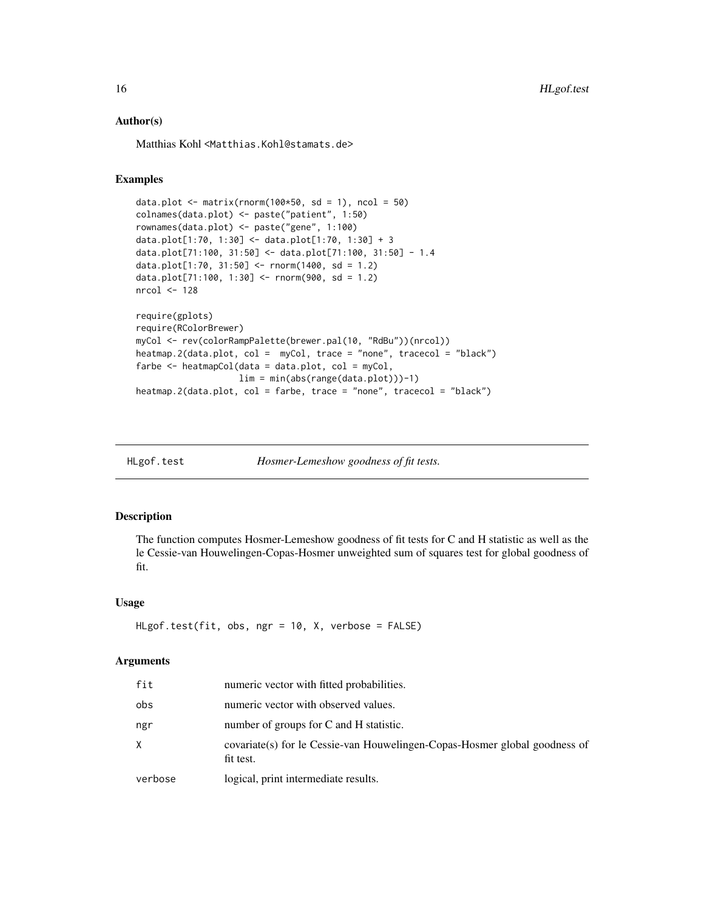### Author(s)

Matthias Kohl <Matthias.Kohl@stamats.de>

## Examples

```
data.plot \leq matrix(rnorm(100*50, sd = 1), ncol = 50)
colnames(data.plot) <- paste("patient", 1:50)
rownames(data.plot) <- paste("gene", 1:100)
data.plot[1:70, 1:30] <- data.plot[1:70, 1:30] + 3
data.plot[71:100, 31:50] <- data.plot[71:100, 31:50] - 1.4
data.plot[1:70, 31:50] <- rnorm(1400, sd = 1.2)
data.plot[71:100, 1:30] <- rnorm(900, sd = 1.2)
nrcol <- 128
require(gplots)
require(RColorBrewer)
myCol <- rev(colorRampPalette(brewer.pal(10, "RdBu"))(nrcol))
heatmap.2(data.plot, col = myCol, trace = "none", tracecol = "black")
farbe <- heatmapCol(data = data.plot, col = myCol,
                   lim = min(abs(range(data.plot)))-1)
heatmap.2(data.plot, col = farbe, trace = "none", tracecol = "black")
```

| HLgof.test | Hosmer-Lemeshow goodness of fit tests. |  |
|------------|----------------------------------------|--|
|            |                                        |  |

## Description

The function computes Hosmer-Lemeshow goodness of fit tests for C and H statistic as well as the le Cessie-van Houwelingen-Copas-Hosmer unweighted sum of squares test for global goodness of fit.

#### Usage

```
HLgof.test(fit, obs, ngr = 10, X, verbose = FALSE)
```
#### Arguments

| verbose | logical, print intermediate results.                                                     |
|---------|------------------------------------------------------------------------------------------|
|         | covariate (s) for le Cessie-van Houwelingen-Copas-Hosmer global goodness of<br>fit test. |
| ngr     | number of groups for C and H statistic.                                                  |
| obs     | numeric vector with observed values.                                                     |
| fit     | numeric vector with fitted probabilities.                                                |

<span id="page-15-0"></span>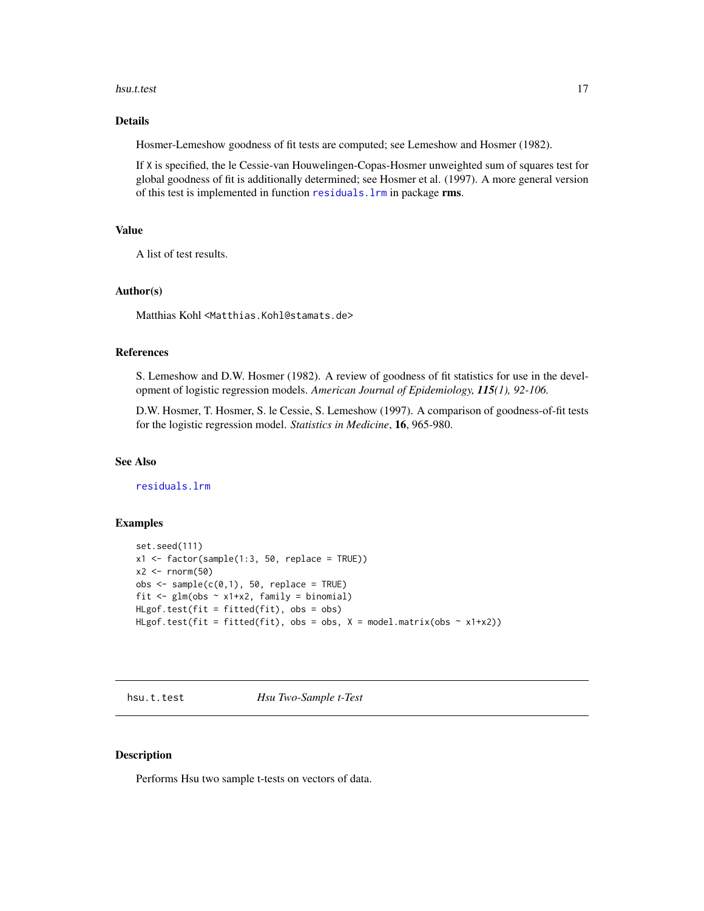#### <span id="page-16-0"></span>hsu.t.test 17

## Details

Hosmer-Lemeshow goodness of fit tests are computed; see Lemeshow and Hosmer (1982).

If X is specified, the le Cessie-van Houwelingen-Copas-Hosmer unweighted sum of squares test for global goodness of fit is additionally determined; see Hosmer et al. (1997). A more general version of this test is implemented in function [residuals.lrm](#page-0-0) in package rms.

#### Value

A list of test results.

#### Author(s)

Matthias Kohl <Matthias.Kohl@stamats.de>

#### References

S. Lemeshow and D.W. Hosmer (1982). A review of goodness of fit statistics for use in the development of logistic regression models. *American Journal of Epidemiology, 115(1), 92-106.*

D.W. Hosmer, T. Hosmer, S. le Cessie, S. Lemeshow (1997). A comparison of goodness-of-fit tests for the logistic regression model. *Statistics in Medicine*, 16, 965-980.

## See Also

[residuals.lrm](#page-0-0)

## Examples

```
set.seed(111)
x1 \leftarrow factor(sample(1:3, 50, replace = TRUE))
x2 \le- rnorm(50)
obs < - sample(c(0,1), 50, replace = TRUE)fit \leq glm(obs \sim x1+x2, family = binomial)
HLgof.test(fit = fitted(fit), obs = obs)
HLgof.test(fit = fitted(fit), obs = obs, X = model_matrix(obs ~ x1+x2))
```
hsu.t.test *Hsu Two-Sample t-Test*

## Description

Performs Hsu two sample t-tests on vectors of data.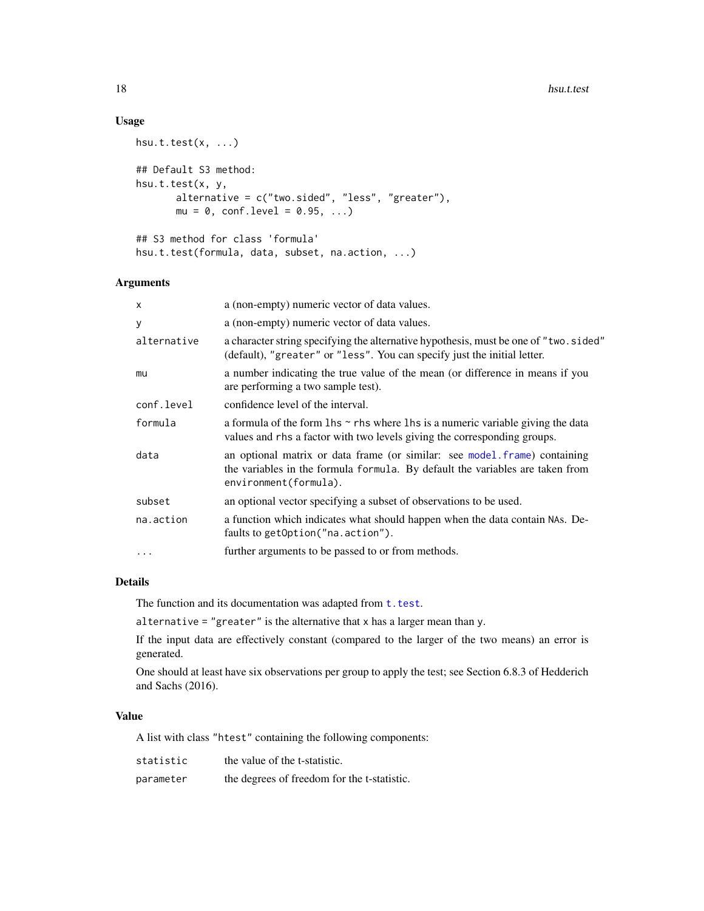#### 18 hsu.t.test and the set of the set of the set of the set of the set of the set of the set of the set of the set of the set of the set of the set of the set of the set of the set of the set of the set of the set of the se

## Usage

```
hsu.t. test(x, ...)## Default S3 method:
hsu.t.test(x, y,
       alternative = c("two.sided", "less", "greater"),
       mu = 0, conf.level = 0.95, ...)
## S3 method for class 'formula'
```
hsu.t.test(formula, data, subset, na.action, ...)

# Arguments

| X           | a (non-empty) numeric vector of data values.                                                                                                                                        |
|-------------|-------------------------------------------------------------------------------------------------------------------------------------------------------------------------------------|
| У           | a (non-empty) numeric vector of data values.                                                                                                                                        |
| alternative | a character string specifying the alternative hypothesis, must be one of "two.sided"<br>(default), "greater" or "less". You can specify just the initial letter.                    |
| mu          | a number indicating the true value of the mean (or difference in means if you<br>are performing a two sample test).                                                                 |
| conf.level  | confidence level of the interval.                                                                                                                                                   |
| formula     | a formula of the form $\ln s \sim r$ hs where $\ln s$ is a numeric variable giving the data<br>values and rhs a factor with two levels giving the corresponding groups.             |
| data        | an optional matrix or data frame (or similar: see model frame) containing<br>the variables in the formula formula. By default the variables are taken from<br>environment(formula). |
| subset      | an optional vector specifying a subset of observations to be used.                                                                                                                  |
| na.action   | a function which indicates what should happen when the data contain NAs. De-<br>faults to getOption("na.action").                                                                   |
| $\cdots$    | further arguments to be passed to or from methods.                                                                                                                                  |

## Details

The function and its documentation was adapted from  $t.test.$  $t.test.$ 

alternative = "greater" is the alternative that x has a larger mean than y.

If the input data are effectively constant (compared to the larger of the two means) an error is generated.

One should at least have six observations per group to apply the test; see Section 6.8.3 of Hedderich and Sachs (2016).

## Value

A list with class "htest" containing the following components:

| statistic | the value of the t-statistic.               |
|-----------|---------------------------------------------|
| parameter | the degrees of freedom for the t-statistic. |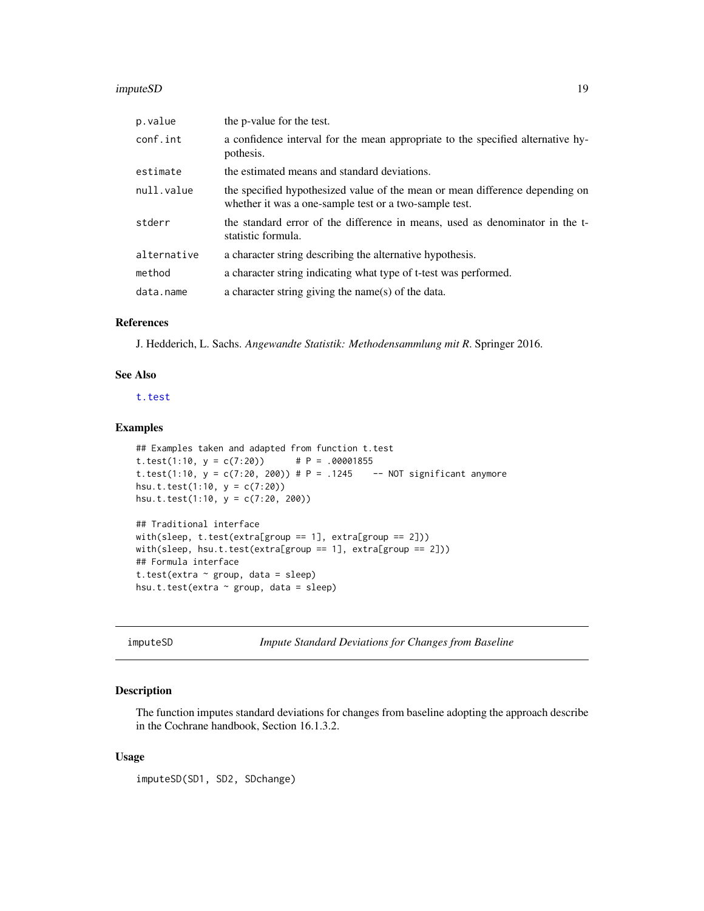#### <span id="page-18-0"></span>imputeSD 19

| p.value     | the p-value for the test.                                                                                                              |
|-------------|----------------------------------------------------------------------------------------------------------------------------------------|
| conf.int    | a confidence interval for the mean appropriate to the specified alternative hy-<br>pothesis.                                           |
| estimate    | the estimated means and standard deviations.                                                                                           |
| null.value  | the specified hypothesized value of the mean or mean difference depending on<br>whether it was a one-sample test or a two-sample test. |
| stderr      | the standard error of the difference in means, used as denominator in the t-<br>statistic formula.                                     |
| alternative | a character string describing the alternative hypothesis.                                                                              |
| method      | a character string indicating what type of t-test was performed.                                                                       |
| data.name   | a character string giving the name(s) of the data.                                                                                     |

## References

J. Hedderich, L. Sachs. *Angewandte Statistik: Methodensammlung mit R*. Springer 2016.

## See Also

[t.test](#page-0-0)

#### Examples

```
## Examples taken and adapted from function t.test
t.test(1:10, y = c(7:20)) # P = .00001855
t.test(1:10, y = c(7:20, 200) # P = .1245 -- NOT significant anymore
hsu.t.test(1:10, y = c(7:20))
hsu.t.test(1:10, y = c(7:20, 200))
```

```
## Traditional interface
with(sleep, t.test(extra[group == 1], extra[group == 2]))
with(sleep, hsu.t.test(extra[group == 1], extra[group == 2]))
## Formula interface
t.test(extra ~ group, data = sleep)
hsu.t.test(extra ~ group, data = sleep)
```
imputeSD *Impute Standard Deviations for Changes from Baseline*

#### Description

The function imputes standard deviations for changes from baseline adopting the approach describe in the Cochrane handbook, Section 16.1.3.2.

#### Usage

imputeSD(SD1, SD2, SDchange)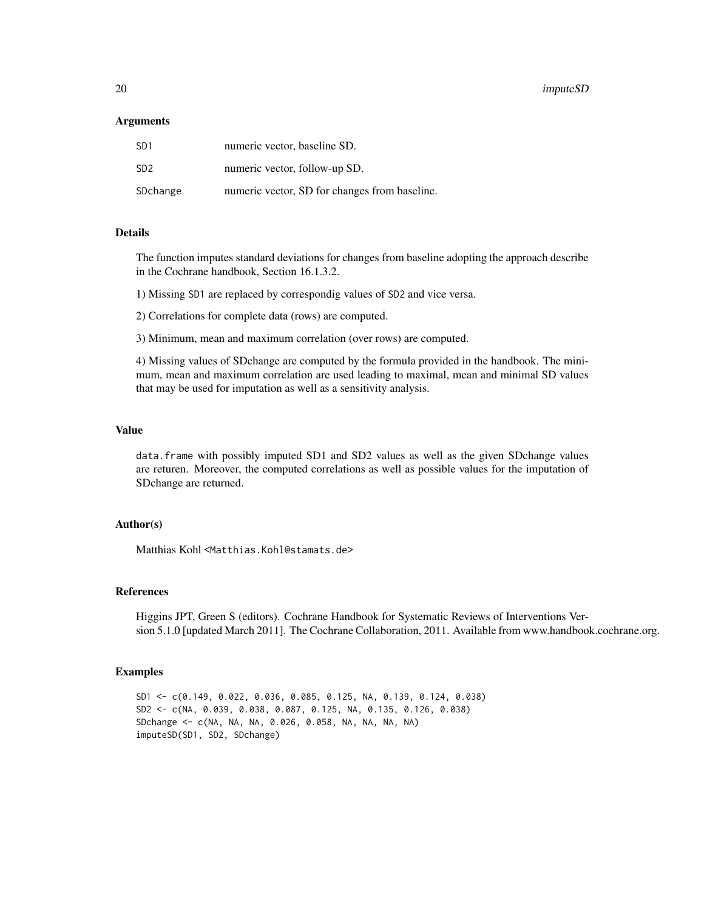#### 20 imputeSD and the contract of the contract of the contract of the contract of the contract of the contract of the contract of the contract of the contract of the contract of the contract of the contract of the contract o

#### Arguments

| SD <sub>1</sub> | numeric vector, baseline SD.                  |
|-----------------|-----------------------------------------------|
| SD <sub>2</sub> | numeric vector, follow-up SD.                 |
| SDchange        | numeric vector, SD for changes from baseline. |

#### Details

The function imputes standard deviations for changes from baseline adopting the approach describe in the Cochrane handbook, Section 16.1.3.2.

1) Missing SD1 are replaced by correspondig values of SD2 and vice versa.

2) Correlations for complete data (rows) are computed.

3) Minimum, mean and maximum correlation (over rows) are computed.

4) Missing values of SDchange are computed by the formula provided in the handbook. The minimum, mean and maximum correlation are used leading to maximal, mean and minimal SD values that may be used for imputation as well as a sensitivity analysis.

## Value

data.frame with possibly imputed SD1 and SD2 values as well as the given SDchange values are returen. Moreover, the computed correlations as well as possible values for the imputation of SDchange are returned.

## Author(s)

Matthias Kohl <Matthias.Kohl@stamats.de>

#### References

Higgins JPT, Green S (editors). Cochrane Handbook for Systematic Reviews of Interventions Version 5.1.0 [updated March 2011]. The Cochrane Collaboration, 2011. Available from www.handbook.cochrane.org.

#### Examples

SD1 <- c(0.149, 0.022, 0.036, 0.085, 0.125, NA, 0.139, 0.124, 0.038) SD2 <- c(NA, 0.039, 0.038, 0.087, 0.125, NA, 0.135, 0.126, 0.038) SDchange <- c(NA, NA, NA, 0.026, 0.058, NA, NA, NA, NA) imputeSD(SD1, SD2, SDchange)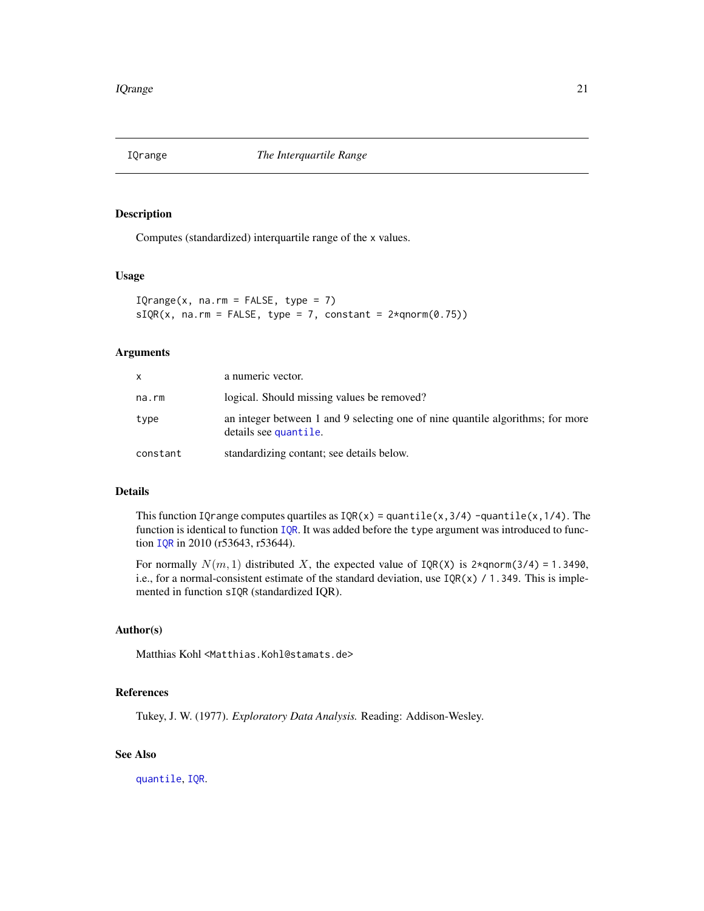<span id="page-20-0"></span>

## Description

Computes (standardized) interquartile range of the x values.

#### Usage

 $IQrange(x, na.rm = FALSE, type = 7)$  $sIQR(x, na.rm = FALSE, type = 7, constant =  $2 \times qnorm(0.75)$ )$ 

#### Arguments

| x.       | a numeric vector.                                                                                       |
|----------|---------------------------------------------------------------------------------------------------------|
| na.rm    | logical. Should missing values be removed?                                                              |
| type     | an integer between 1 and 9 selecting one of nine quantile algorithms; for more<br>details see quantile. |
| constant | standardizing contant; see details below.                                                               |

#### Details

This function IQrange computes quartiles as  $IQR(x) =$  quantile(x,3/4) -quantile(x,1/4). The function is identical to function [IQR](#page-0-0). It was added before the type argument was introduced to function [IQR](#page-0-0) in 2010 (r53643, r53644).

For normally  $N(m, 1)$  distributed X, the expected value of  $IQR(X)$  is 2\*qnorm(3/4) = 1.3490, i.e., for a normal-consistent estimate of the standard deviation, use  $IQR(x) / 1.349$ . This is implemented in function sIQR (standardized IQR).

## Author(s)

Matthias Kohl <Matthias.Kohl@stamats.de>

## References

Tukey, J. W. (1977). *Exploratory Data Analysis.* Reading: Addison-Wesley.

## See Also

[quantile](#page-0-0), [IQR](#page-0-0).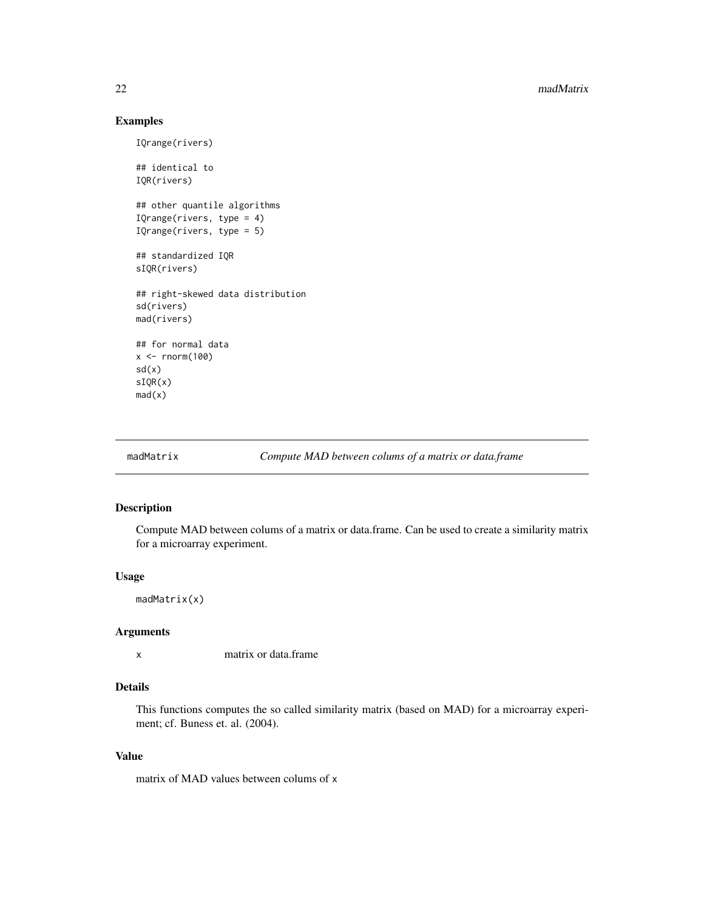## <span id="page-21-0"></span>Examples

```
IQrange(rivers)
## identical to
IQR(rivers)
## other quantile algorithms
IQrange(rivers, type = 4)
IQrange(rivers, type = 5)
## standardized IQR
sIQR(rivers)
## right-skewed data distribution
sd(rivers)
mad(rivers)
## for normal data
x < - rnorm(100)
sd(x)
sIQR(x)
mad(x)
```
madMatrix *Compute MAD between colums of a matrix or data.frame*

## Description

Compute MAD between colums of a matrix or data.frame. Can be used to create a similarity matrix for a microarray experiment.

#### Usage

madMatrix(x)

## Arguments

x matrix or data.frame

## Details

This functions computes the so called similarity matrix (based on MAD) for a microarray experiment; cf. Buness et. al. (2004).

#### Value

matrix of MAD values between colums of x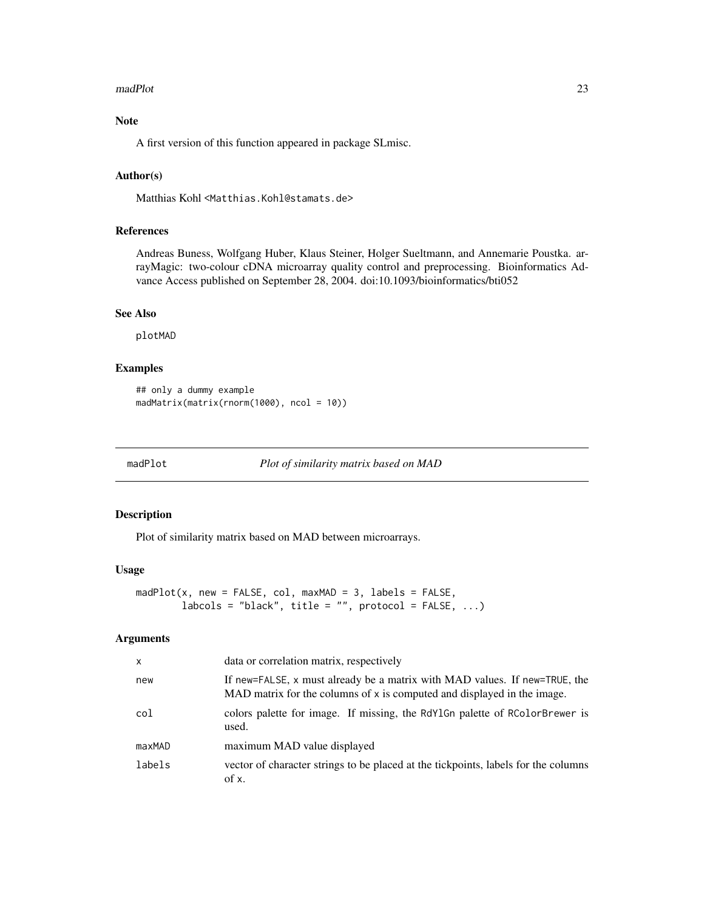#### <span id="page-22-0"></span>madPlot 23

## Note

A first version of this function appeared in package SLmisc.

## Author(s)

Matthias Kohl <Matthias.Kohl@stamats.de>

## References

Andreas Buness, Wolfgang Huber, Klaus Steiner, Holger Sueltmann, and Annemarie Poustka. arrayMagic: two-colour cDNA microarray quality control and preprocessing. Bioinformatics Advance Access published on September 28, 2004. doi:10.1093/bioinformatics/bti052

## See Also

plotMAD

## Examples

```
## only a dummy example
madMatrix(matrix(rnorm(1000), ncol = 10))
```
madPlot *Plot of similarity matrix based on MAD*

#### Description

Plot of similarity matrix based on MAD between microarrays.

## Usage

```
madPlot(x, new = FALSE, col, maxMAD = 3, labels = FALSE,labcols = "black", title = "", protocol = FALSE, ...)
```
## Arguments

| $\mathsf{x}$ | data or correlation matrix, respectively                                                                                                                |
|--------------|---------------------------------------------------------------------------------------------------------------------------------------------------------|
| new          | If new=FALSE, x must already be a matrix with MAD values. If new=TRUE, the<br>MAD matrix for the columns of $x$ is computed and displayed in the image. |
| col          | colors palette for image. If missing, the RdY1Gn palette of RColorBrewer is<br>used.                                                                    |
| maxMAD       | maximum MAD value displayed                                                                                                                             |
| labels       | vector of character strings to be placed at the tickpoints, labels for the columns<br>of x.                                                             |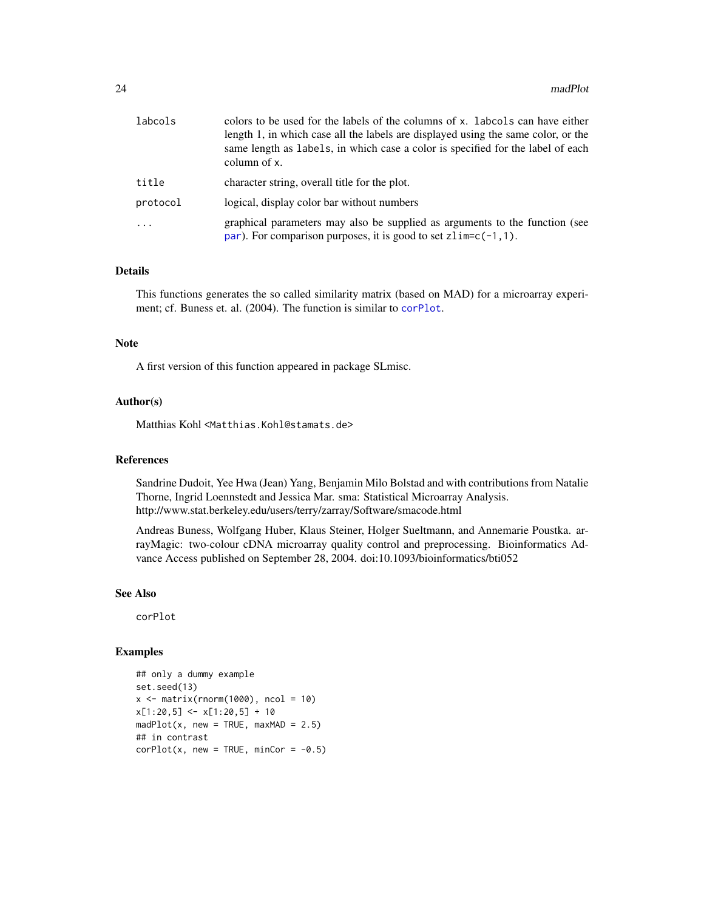| labcols  | colors to be used for the labels of the columns of x. Labcols can have either<br>length 1, in which case all the labels are displayed using the same color, or the<br>same length as labels, in which case a color is specified for the label of each<br>column of x. |
|----------|-----------------------------------------------------------------------------------------------------------------------------------------------------------------------------------------------------------------------------------------------------------------------|
| title    | character string, overall title for the plot.                                                                                                                                                                                                                         |
| protocol | logical, display color bar without numbers                                                                                                                                                                                                                            |
| $\cdot$  | graphical parameters may also be supplied as arguments to the function (see<br>par). For comparison purposes, it is good to set $zlim=c(-1,1)$ .                                                                                                                      |

## Details

This functions generates the so called similarity matrix (based on MAD) for a microarray experiment; cf. Buness et. al. (2004). The function is similar to [corPlot](#page-8-1).

#### Note

A first version of this function appeared in package SLmisc.

#### Author(s)

Matthias Kohl <Matthias.Kohl@stamats.de>

#### References

Sandrine Dudoit, Yee Hwa (Jean) Yang, Benjamin Milo Bolstad and with contributions from Natalie Thorne, Ingrid Loennstedt and Jessica Mar. sma: Statistical Microarray Analysis. http://www.stat.berkeley.edu/users/terry/zarray/Software/smacode.html

Andreas Buness, Wolfgang Huber, Klaus Steiner, Holger Sueltmann, and Annemarie Poustka. arrayMagic: two-colour cDNA microarray quality control and preprocessing. Bioinformatics Advance Access published on September 28, 2004. doi:10.1093/bioinformatics/bti052

#### See Also

corPlot

## Examples

```
## only a dummy example
set.seed(13)
x \le matrix(rnorm(1000), ncol = 10)
x[1:20,5] <- x[1:20,5] + 10
madPlot(x, new = TRUE, maxMAD = 2.5)## in contrast
corPlot(x, new = TRUE, minCor = -0.5)
```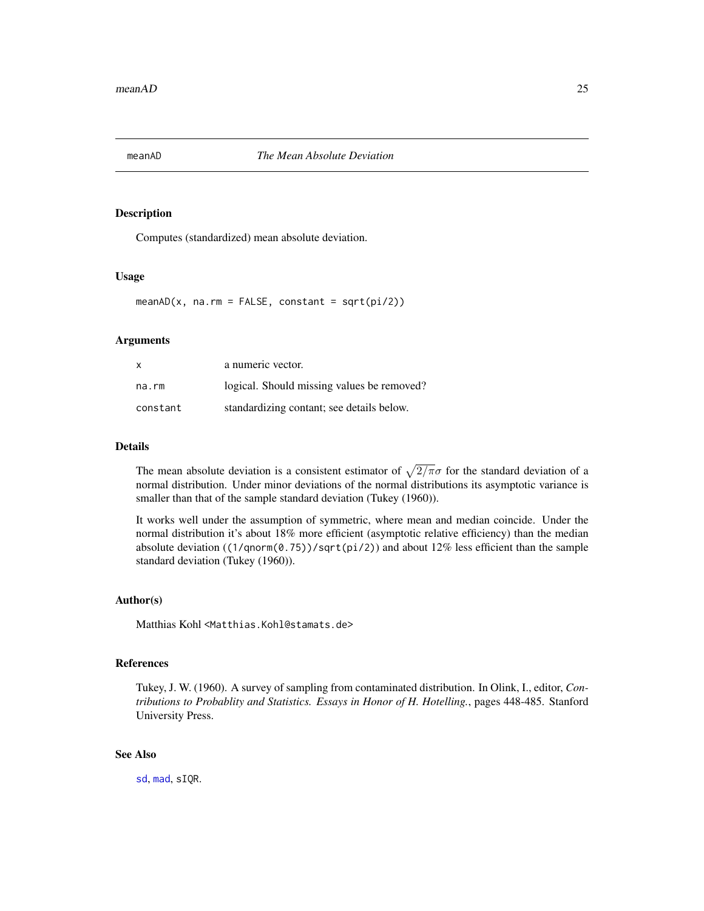<span id="page-24-0"></span>

#### Description

Computes (standardized) mean absolute deviation.

#### Usage

 $meanAD(x, na.rm = FALSE, constant = sqrt(pi/2))$ 

## Arguments

| $\mathsf{x}$ | a numeric vector.                          |
|--------------|--------------------------------------------|
| na.rm        | logical. Should missing values be removed? |
| constant     | standardizing contant; see details below.  |

#### Details

The mean absolute deviation is a consistent estimator of  $\sqrt{2/\pi}\sigma$  for the standard deviation of a normal distribution. Under minor deviations of the normal distributions its asymptotic variance is smaller than that of the sample standard deviation (Tukey (1960)).

It works well under the assumption of symmetric, where mean and median coincide. Under the normal distribution it's about 18% more efficient (asymptotic relative efficiency) than the median absolute deviation ( $(1/qnorm(0.75))/sqrt(pi/2)$ ) and about 12% less efficient than the sample standard deviation (Tukey (1960)).

#### Author(s)

Matthias Kohl <Matthias.Kohl@stamats.de>

## References

Tukey, J. W. (1960). A survey of sampling from contaminated distribution. In Olink, I., editor, *Contributions to Probablity and Statistics. Essays in Honor of H. Hotelling.*, pages 448-485. Stanford University Press.

#### See Also

[sd](#page-0-0), [mad](#page-0-0), sIQR.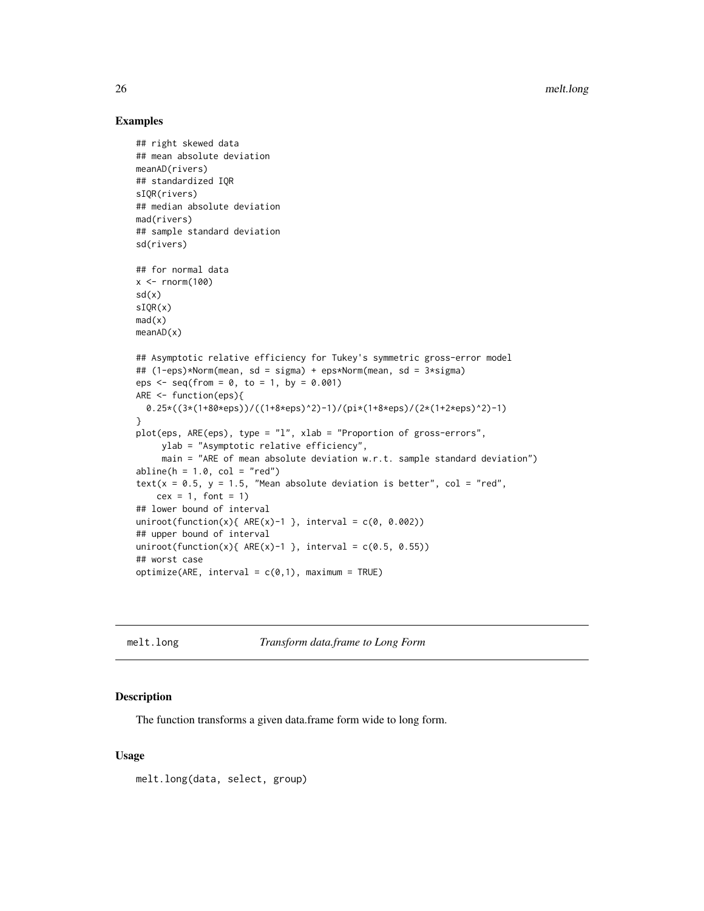## Examples

```
## right skewed data
## mean absolute deviation
meanAD(rivers)
## standardized IQR
sIQR(rivers)
## median absolute deviation
mad(rivers)
## sample standard deviation
sd(rivers)
## for normal data
x \leftarrow \text{rnorm}(100)sd(x)sIQR(x)
mad(x)
meanAD(x)
## Asymptotic relative efficiency for Tukey's symmetric gross-error model
## (1-eps)*Norm(mean, sd = sigma) + eps*Norm(mean, sd = 3*sigma)
eps \le - seq(from = 0, to = 1, by = 0.001)
ARE <- function(eps){
  0.25*((3*(1+80*eps))/((1+8*eps)^2)-1)/(pi*(1+8*eps)/(2*(1+2*eps)^2)-1)
}
plot(eps, ARE(eps), type = "l", xlab = "Proportion of gross-errors",
     ylab = "Asymptotic relative efficiency",
     main = "ARE of mean absolute deviation w.r.t. sample standard deviation")
abline(h = 1.0, col = "red")text(x = 0.5, y = 1.5, "Mean absolute deviation is better", col = "red",
   cex = 1, font = 1)
## lower bound of interval
uniroot(function(x){ ARE(x)-1 }, interval = c(0, 0.002))
## upper bound of interval
uniroot(function(x){ ARE(x)-1 }, interval = c(0.5, 0.55))
## worst case
optimize(ARE, interval = c(0,1), maximum = TRUE)
```
melt.long *Transform data.frame to Long Form*

#### Description

The function transforms a given data.frame form wide to long form.

#### Usage

melt.long(data, select, group)

<span id="page-25-0"></span>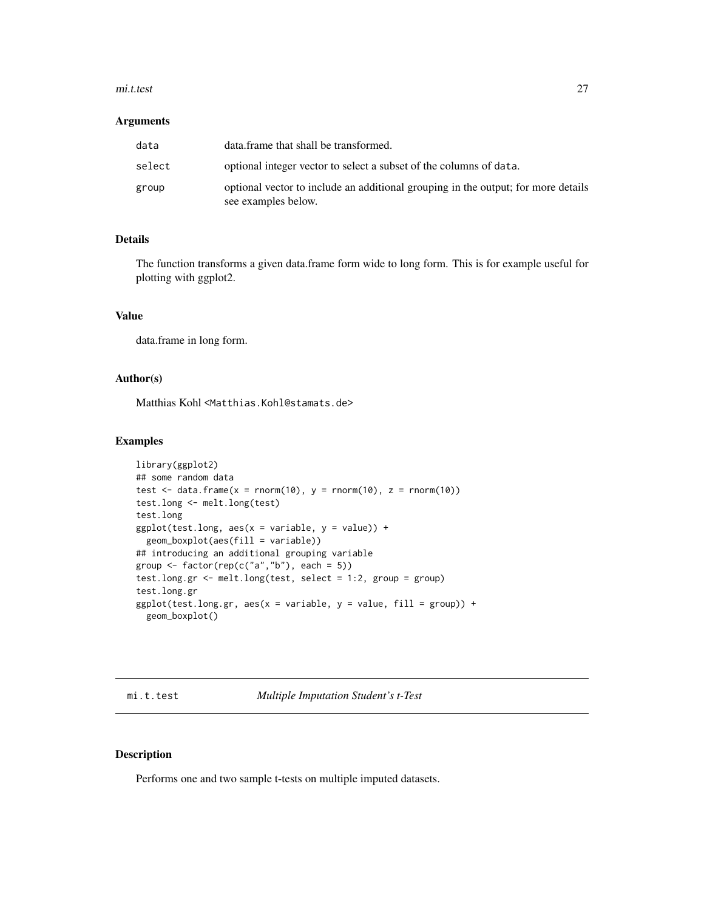#### <span id="page-26-0"></span>mi.t.test 27

#### **Arguments**

| data   | data.frame that shall be transformed.                                                                    |
|--------|----------------------------------------------------------------------------------------------------------|
| select | optional integer vector to select a subset of the columns of data.                                       |
| group  | optional vector to include an additional grouping in the output; for more details<br>see examples below. |

## Details

The function transforms a given data.frame form wide to long form. This is for example useful for plotting with ggplot2.

## Value

data.frame in long form.

## Author(s)

Matthias Kohl <Matthias.Kohl@stamats.de>

#### Examples

```
library(ggplot2)
## some random data
test \le data.frame(x = rnorm(10), y = rnorm(10), z = rnorm(10))
test.long <- melt.long(test)
test.long
ggplot(test.long, aes(x = variable, y = value)) +geom_boxplot(aes(fill = variable))
## introducing an additional grouping variable
group \leq factor(rep(c("a","b"), each = 5))
test.long.gr <- melt.long(test, select = 1:2, group = group)
test.long.gr
ggplot(test.long.gr, aes(x = variable, y = value, fill = group)) +geom_boxplot()
```
mi.t.test *Multiple Imputation Student's t-Test*

## Description

Performs one and two sample t-tests on multiple imputed datasets.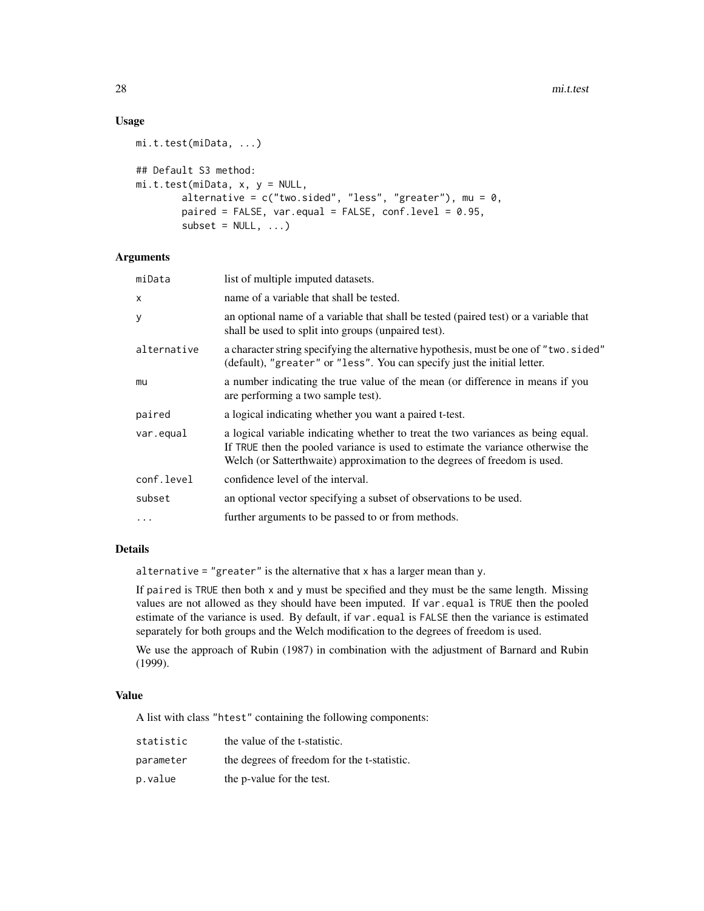## Usage

```
mi.t.test(miData, ...)
## Default S3 method:
mi.t.test(miData, x, y = NULL,
       alternative = c("two.sided", "less", "greater"), mu = 0,paired = FALSE, var.equal = FALSE, conf.level = 0.95,
       subset = NULL, ...
```
## **Arguments**

| miData      | list of multiple imputed datasets.                                                                                                                                                                                                               |
|-------------|--------------------------------------------------------------------------------------------------------------------------------------------------------------------------------------------------------------------------------------------------|
| X           | name of a variable that shall be tested.                                                                                                                                                                                                         |
| У           | an optional name of a variable that shall be tested (paired test) or a variable that<br>shall be used to split into groups (unpaired test).                                                                                                      |
| alternative | a character string specifying the alternative hypothesis, must be one of "two.sided"<br>(default), "greater" or "less". You can specify just the initial letter.                                                                                 |
| mu          | a number indicating the true value of the mean (or difference in means if you<br>are performing a two sample test).                                                                                                                              |
| paired      | a logical indicating whether you want a paired t-test.                                                                                                                                                                                           |
| var.equal   | a logical variable indicating whether to treat the two variances as being equal.<br>If TRUE then the pooled variance is used to estimate the variance otherwise the<br>Welch (or Satterthwaite) approximation to the degrees of freedom is used. |
| conf.level  | confidence level of the interval.                                                                                                                                                                                                                |
| subset      | an optional vector specifying a subset of observations to be used.                                                                                                                                                                               |
| $\ddots$    | further arguments to be passed to or from methods.                                                                                                                                                                                               |
|             |                                                                                                                                                                                                                                                  |

## Details

alternative = "greater" is the alternative that x has a larger mean than y.

If paired is TRUE then both x and y must be specified and they must be the same length. Missing values are not allowed as they should have been imputed. If var.equal is TRUE then the pooled estimate of the variance is used. By default, if var . equal is FALSE then the variance is estimated separately for both groups and the Welch modification to the degrees of freedom is used.

We use the approach of Rubin (1987) in combination with the adjustment of Barnard and Rubin (1999).

#### Value

A list with class "htest" containing the following components:

| statistic | the value of the t-statistic.               |
|-----------|---------------------------------------------|
| parameter | the degrees of freedom for the t-statistic. |
| p.value   | the p-value for the test.                   |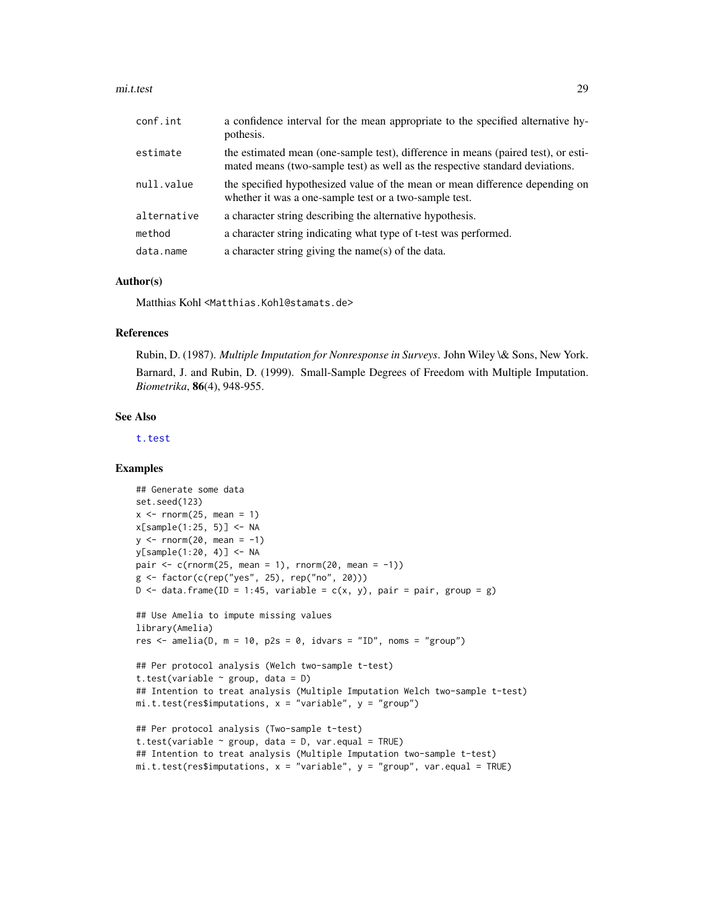#### mi.t.test 29

| conf.int    | a confidence interval for the mean appropriate to the specified alternative hy-<br>pothesis.                                                                      |
|-------------|-------------------------------------------------------------------------------------------------------------------------------------------------------------------|
| estimate    | the estimated mean (one-sample test), difference in means (paired test), or esti-<br>mated means (two-sample test) as well as the respective standard deviations. |
| null.value  | the specified hypothesized value of the mean or mean difference depending on<br>whether it was a one-sample test or a two-sample test.                            |
| alternative | a character string describing the alternative hypothesis.                                                                                                         |
| method      | a character string indicating what type of t-test was performed.                                                                                                  |
| data.name   | a character string giving the name(s) of the data.                                                                                                                |

#### Author(s)

Matthias Kohl <Matthias.Kohl@stamats.de>

#### References

Rubin, D. (1987). *Multiple Imputation for Nonresponse in Surveys*. John Wiley \& Sons, New York. Barnard, J. and Rubin, D. (1999). Small-Sample Degrees of Freedom with Multiple Imputation. *Biometrika*, 86(4), 948-955.

## See Also

[t.test](#page-0-0)

## Examples

```
## Generate some data
set.seed(123)
x \le - rnorm(25, mean = 1)
x[sample(1:25, 5)] <- NA
y \le - rnorm(20, mean = -1)
y[sample(1:20, 4)] <- NA
pair \leq c(rnorm(25, mean = 1), rnorm(20, mean = -1))
g <- factor(c(rep("yes", 25), rep("no", 20)))
D \le data.frame(ID = 1:45, variable = c(x, y), pair = pair, group = g)
## Use Amelia to impute missing values
library(Amelia)
res \le - amelia(D, m = 10, p2s = 0, idvars = "ID", noms = "group")
## Per protocol analysis (Welch two-sample t-test)
t.test(variable \sim group, data = D)
## Intention to treat analysis (Multiple Imputation Welch two-sample t-test)
mi.t.test(res$imputations, x = "variable", y = "group")## Per protocol analysis (Two-sample t-test)
t.test(variable \sim group, data = D, var.equal = TRUE)
## Intention to treat analysis (Multiple Imputation two-sample t-test)
```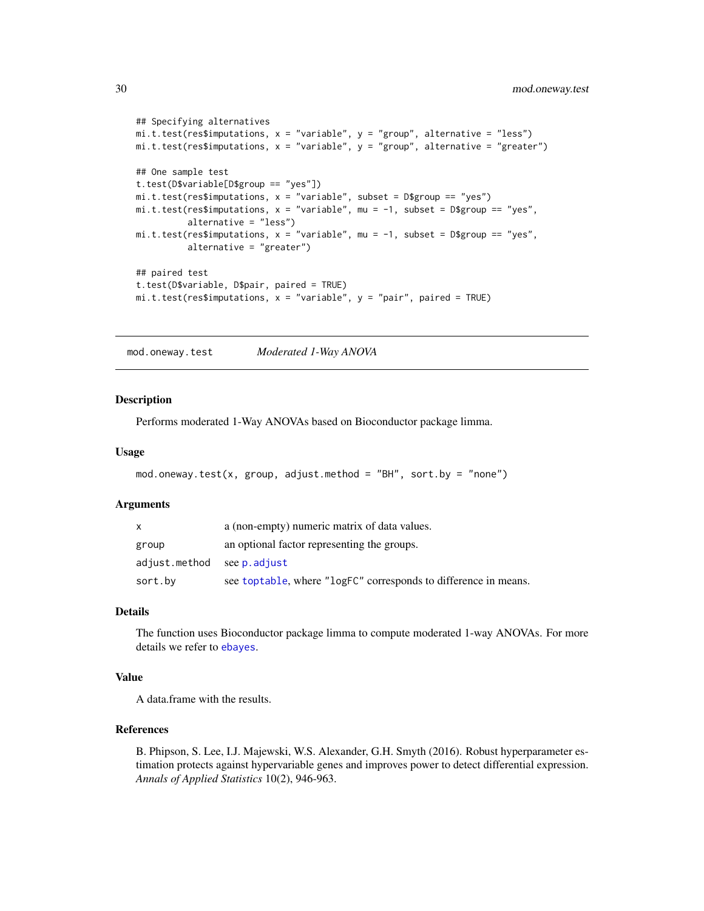```
## Specifying alternatives
mi.t. test(resSimputations, x = "variable", y = "group", alternative = "less")m.t. test(res~Simputations, x = "variable", y = "group", alternative = "greater")## One sample test
t.test(D$variable[D$group == "yes"])
mi.t.test(res$imputations, x = "variable", subset = D$group == "yes")m.t. test(res$jimputations, x = "variable", mu = -1, subset = D$group == "yes",alternative = "less")
mi.t.test(res$imputations, x = "variable", mu = -1, subset = D$group == "yes",alternative = "greater")
## paired test
t.test(D$variable, D$pair, paired = TRUE)
mi.t. test(res$imputations, x = "variable", y = "pair", paired = TRUE)
```
mod.oneway.test *Moderated 1-Way ANOVA*

#### **Description**

Performs moderated 1-Way ANOVAs based on Bioconductor package limma.

#### Usage

```
mod. oneway.test(x, group, adjust.method = "BH", sort.by = "none")
```
#### **Arguments**

| x                          | a (non-empty) numeric matrix of data values.                    |
|----------------------------|-----------------------------------------------------------------|
| group                      | an optional factor representing the groups.                     |
| adjust.method see p.adjust |                                                                 |
| sort.by                    | see toptable, where "logFC" corresponds to difference in means. |

## Details

The function uses Bioconductor package limma to compute moderated 1-way ANOVAs. For more details we refer to [ebayes](#page-0-0).

## Value

A data.frame with the results.

## References

B. Phipson, S. Lee, I.J. Majewski, W.S. Alexander, G.H. Smyth (2016). Robust hyperparameter estimation protects against hypervariable genes and improves power to detect differential expression. *Annals of Applied Statistics* 10(2), 946-963.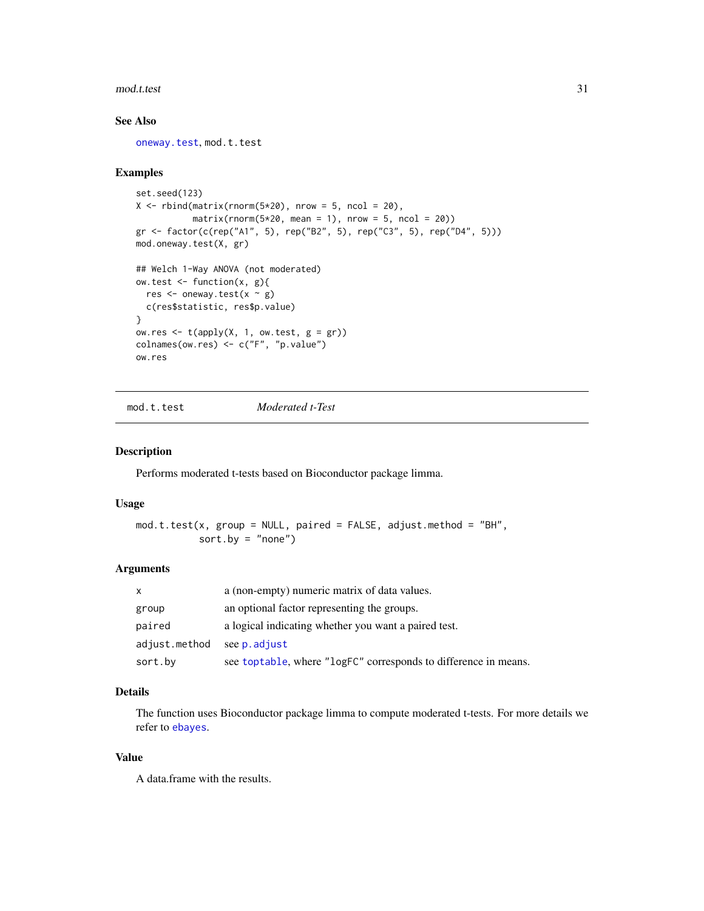#### <span id="page-30-0"></span>mod.t.test 31

## See Also

[oneway.test](#page-0-0), mod.t.test

#### Examples

```
set.seed(123)
X \le rbind(matrix(rnorm(5*20), nrow = 5, ncol = 20),
           matrix(rnorm(5*20, mean = 1), nrow = 5, ncol = 20)gr <- factor(c(rep("A1", 5), rep("B2", 5), rep("C3", 5), rep("D4", 5)))
mod.oneway.test(X, gr)
## Welch 1-Way ANOVA (not moderated)
ow.test \leq function(x, g){
 res \leq oneway.test(x \sim g)
 c(res$statistic, res$p.value)
}
ow.res \leq t(apply(X, 1, ow.test, g = gr))
colnames(ow.res) <- c("F", "p.value")
ow.res
```
mod.t.test *Moderated t-Test*

#### Description

Performs moderated t-tests based on Bioconductor package limma.

#### Usage

```
mod.t.test(x, group = NULL, paired = FALSE, adjust.method = "BH",
           sort.py = "none")
```
## Arguments

| x             | a (non-empty) numeric matrix of data values.                    |
|---------------|-----------------------------------------------------------------|
| group         | an optional factor representing the groups.                     |
| paired        | a logical indicating whether you want a paired test.            |
| adjust.method | see p. adjust                                                   |
| sort.by       | see toptable, where "logFC" corresponds to difference in means. |

## Details

The function uses Bioconductor package limma to compute moderated t-tests. For more details we refer to [ebayes](#page-0-0).

## Value

A data.frame with the results.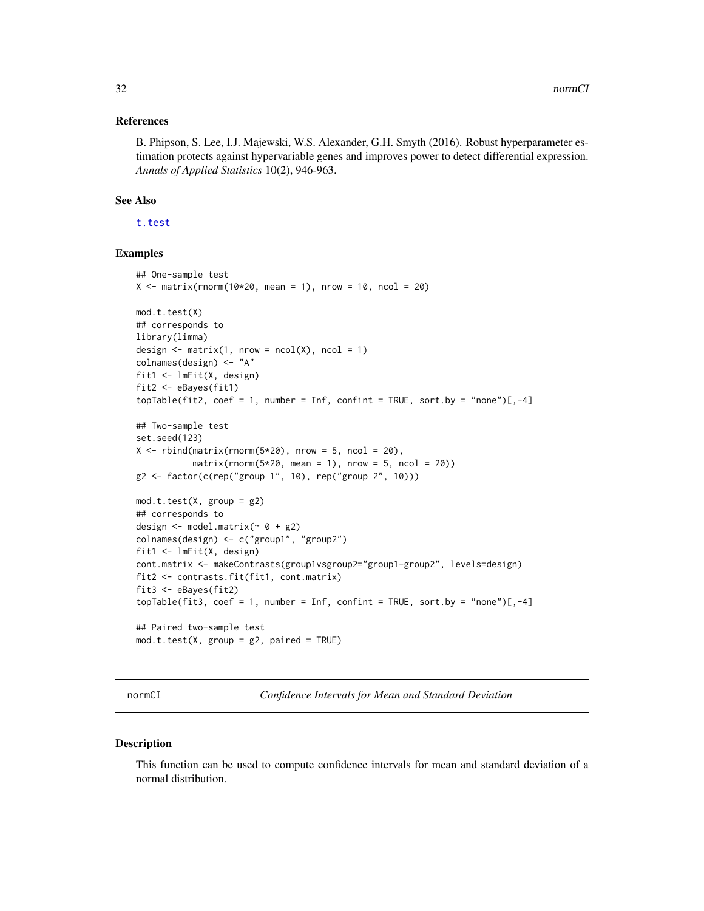#### <span id="page-31-0"></span>References

B. Phipson, S. Lee, I.J. Majewski, W.S. Alexander, G.H. Smyth (2016). Robust hyperparameter estimation protects against hypervariable genes and improves power to detect differential expression. *Annals of Applied Statistics* 10(2), 946-963.

#### See Also

[t.test](#page-0-0)

## Examples

```
## One-sample test
X \le - matrix(rnorm(10*20, mean = 1), nrow = 10, ncol = 20)
mod.t.test(X)
## corresponds to
library(limma)
design \leq matrix(1, nrow = ncol(X), ncol = 1)
colnames(design) <- "A"
fit1 <- lmFit(X, design)
fit2 <- eBayes(fit1)
topTable(fit2, coef = 1, number = Inf, confint = TRUE, sort.by = "none")[,-4]
## Two-sample test
set.seed(123)
X \le rbind(matrix(rnorm(5*20), nrow = 5, ncol = 20),
           matrix(rnorm(5*20, mean = 1), nrow = 5, ncol = 20))g2 \leq - factor(c(rep("group 1", 10), rep("group 2", 10)))
mod.t. test(X, group = g2)## corresponds to
design \leq model.matrix(\sim 0 + g2)
colnames(design) <- c("group1", "group2")
fit1 <- lmFit(X, design)
cont.matrix <- makeContrasts(group1vsgroup2="group1-group2", levels=design)
fit2 <- contrasts.fit(fit1, cont.matrix)
fit3 <- eBayes(fit2)
topTable(fit3, coef = 1, number = Inf, confint = TRUE, sort.py = "none")[, -4]## Paired two-sample test
mod.t.test(X, group = g2, paired = TRUE)
```
normCI *Confidence Intervals for Mean and Standard Deviation*

#### Description

This function can be used to compute confidence intervals for mean and standard deviation of a normal distribution.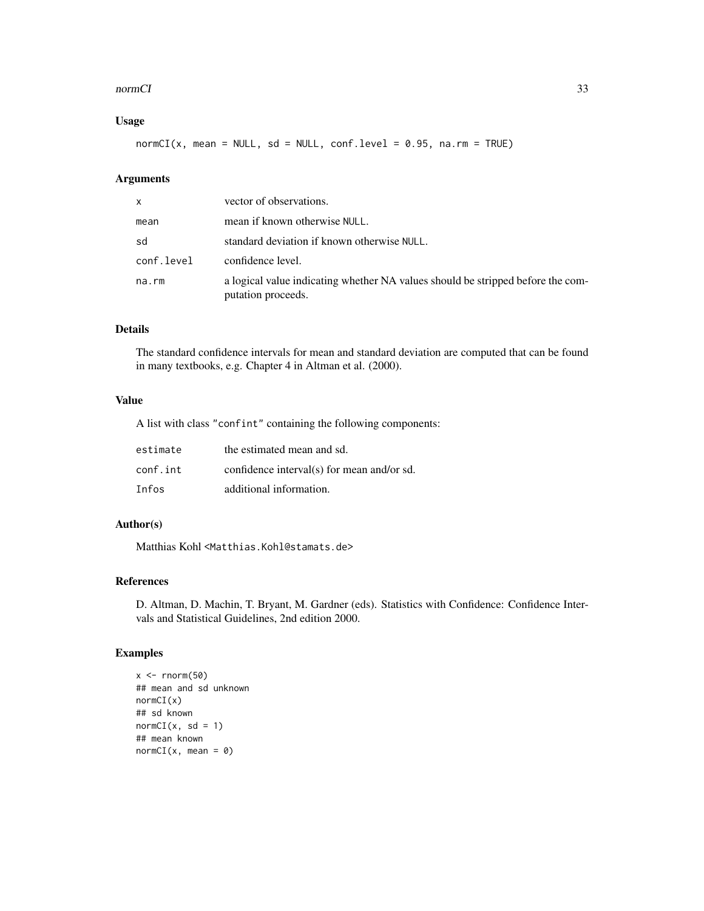#### normCI 33

## Usage

 $normCI(x, mean = NULL, sd = NULL, conf.level = 0.95, na.rm = TRUE)$ 

## Arguments

| x          | vector of observations.                                                                               |
|------------|-------------------------------------------------------------------------------------------------------|
| mean       | mean if known otherwise NULL.                                                                         |
| sd         | standard deviation if known otherwise NULL.                                                           |
| conf.level | confidence level.                                                                                     |
| na.rm      | a logical value indicating whether NA values should be stripped before the com-<br>putation proceeds. |

## Details

The standard confidence intervals for mean and standard deviation are computed that can be found in many textbooks, e.g. Chapter 4 in Altman et al. (2000).

## Value

A list with class "confint" containing the following components:

| estimate | the estimated mean and sd.                 |
|----------|--------------------------------------------|
| conf.int | confidence interval(s) for mean and/or sd. |
| Infos    | additional information.                    |

## Author(s)

Matthias Kohl <Matthias.Kohl@stamats.de>

## References

D. Altman, D. Machin, T. Bryant, M. Gardner (eds). Statistics with Confidence: Confidence Intervals and Statistical Guidelines, 2nd edition 2000.

## Examples

```
x \leftarrow \text{norm}(50)## mean and sd unknown
normCI(x)
## sd known
normCI(x, sd = 1)## mean known
normCI(x, mean = 0)
```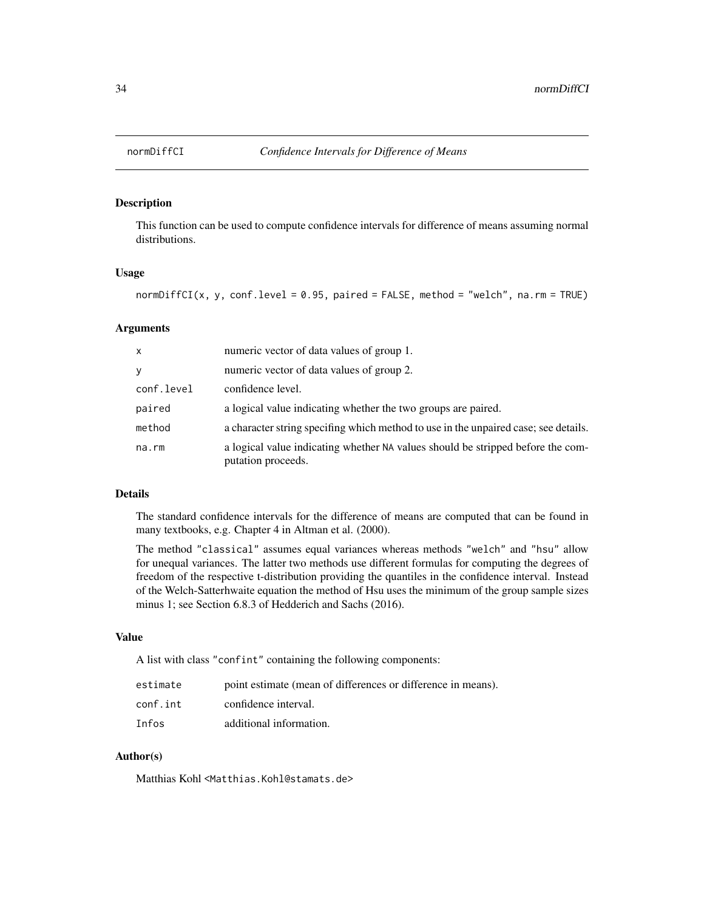<span id="page-33-0"></span>

## Description

This function can be used to compute confidence intervals for difference of means assuming normal distributions.

#### Usage

normDiffCI(x, y, conf.level =  $0.95$ , paired =  $FALSE$ , method = "welch", na.rm = TRUE)

## Arguments

| X          | numeric vector of data values of group 1.                                                             |
|------------|-------------------------------------------------------------------------------------------------------|
| y          | numeric vector of data values of group 2.                                                             |
| conf.level | confidence level.                                                                                     |
| paired     | a logical value indicating whether the two groups are paired.                                         |
| method     | a character string specifing which method to use in the unpaired case; see details.                   |
| na.rm      | a logical value indicating whether NA values should be stripped before the com-<br>putation proceeds. |

## Details

The standard confidence intervals for the difference of means are computed that can be found in many textbooks, e.g. Chapter 4 in Altman et al. (2000).

The method "classical" assumes equal variances whereas methods "welch" and "hsu" allow for unequal variances. The latter two methods use different formulas for computing the degrees of freedom of the respective t-distribution providing the quantiles in the confidence interval. Instead of the Welch-Satterhwaite equation the method of Hsu uses the minimum of the group sample sizes minus 1; see Section 6.8.3 of Hedderich and Sachs (2016).

#### Value

A list with class "confint" containing the following components:

| estimate | point estimate (mean of differences or difference in means). |
|----------|--------------------------------------------------------------|
| conf.int | confidence interval.                                         |
| Infos    | additional information.                                      |

## Author(s)

Matthias Kohl <Matthias.Kohl@stamats.de>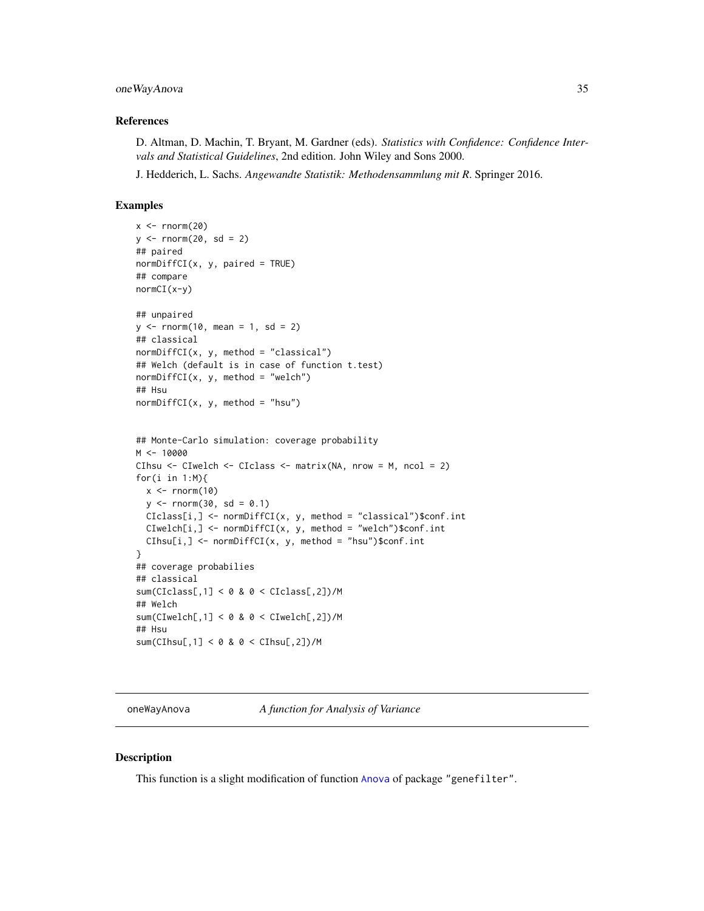## <span id="page-34-0"></span>oneWayAnova 35

#### References

D. Altman, D. Machin, T. Bryant, M. Gardner (eds). *Statistics with Confidence: Confidence Intervals and Statistical Guidelines*, 2nd edition. John Wiley and Sons 2000.

J. Hedderich, L. Sachs. *Angewandte Statistik: Methodensammlung mit R*. Springer 2016.

#### Examples

```
x < - rnorm(20)
y \le - rnorm(20, sd = 2)
## paired
normDiffCI(x, y, paired = TRUE)
## compare
normCI(x-y)
## unpaired
y \le - rnorm(10, mean = 1, sd = 2)
## classical
normDiffCI(x, y, method = "classical")
## Welch (default is in case of function t.test)
normDiffCI(x, y, method = "welch")## Hsu
normDiffCI(x, y, method = "hsu")## Monte-Carlo simulation: coverage probability
M < - 10000CIhsu <- CIwelch <- CIclass <- matrix(NA, nrow = M, ncol = 2)
for(i in 1:M){
  x \leftarrow \text{rnorm}(10)y \le - rnorm(30, sd = 0.1)
  CIClass[i, ] \leftarrow normDiffCI(x, y, method = "classical")\CIwelch[i, ] \leq -normDiffCI(x, y, method = "welch")\$conf.intCIhsu[i,] <- normDiffCI(x, y, method = "hsu")$conf.int
}
## coverage probabilies
## classical
sum(CIclass[,1] < 0 & 0 < CIclass[,2])/M
## Welch
sum(CIwelch[,1] < 0 & 0 < CIwelch[,2])/M
## Hsu
sum(CIhsu[,1] < 0 & 0 < CIhsu[,2])/M
```
oneWayAnova *A function for Analysis of Variance*

#### **Description**

This function is a slight modification of function [Anova](#page-0-0) of package "genefilter".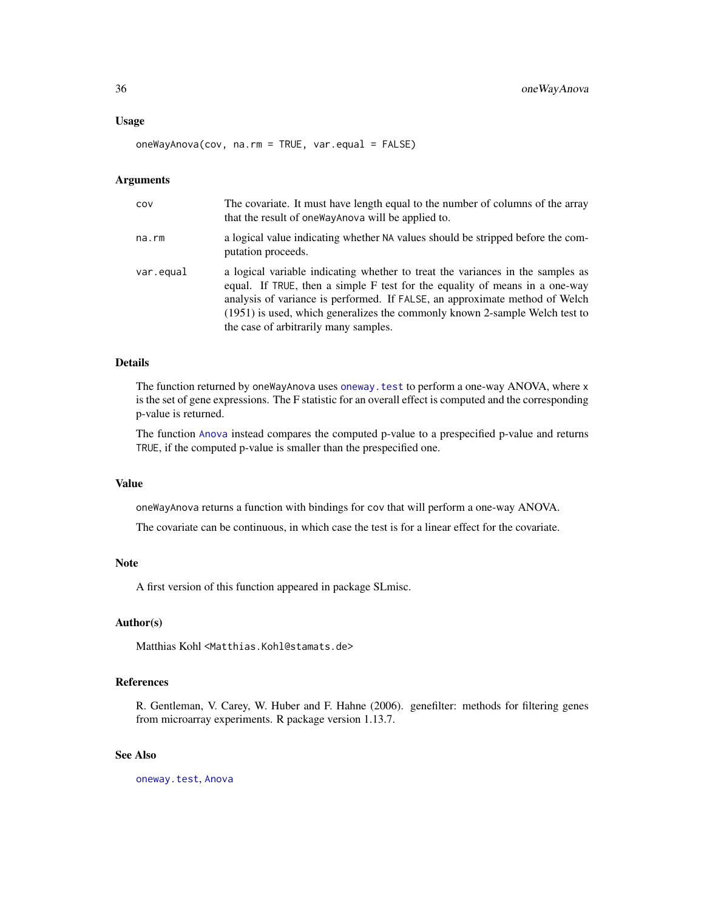#### Usage

oneWayAnova(cov, na.rm = TRUE, var.equal = FALSE)

#### Arguments

| COV       | The covariate. It must have length equal to the number of columns of the array<br>that the result of one Way Anova will be applied to.                                                                                                                                                                                                                               |
|-----------|----------------------------------------------------------------------------------------------------------------------------------------------------------------------------------------------------------------------------------------------------------------------------------------------------------------------------------------------------------------------|
| na.rm     | a logical value indicating whether NA values should be stripped before the com-<br>putation proceeds.                                                                                                                                                                                                                                                                |
| var.equal | a logical variable indicating whether to treat the variances in the samples as<br>equal. If TRUE, then a simple F test for the equality of means in a one-way<br>analysis of variance is performed. If FALSE, an approximate method of Welch<br>(1951) is used, which generalizes the commonly known 2-sample Welch test to<br>the case of arbitrarily many samples. |

## Details

The function returned by oneWayAnova uses [oneway.test](#page-0-0) to perform a one-way ANOVA, where x is the set of gene expressions. The F statistic for an overall effect is computed and the corresponding p-value is returned.

The function [Anova](#page-0-0) instead compares the computed p-value to a prespecified p-value and returns TRUE, if the computed p-value is smaller than the prespecified one.

## Value

oneWayAnova returns a function with bindings for cov that will perform a one-way ANOVA.

The covariate can be continuous, in which case the test is for a linear effect for the covariate.

#### Note

A first version of this function appeared in package SLmisc.

### Author(s)

Matthias Kohl <Matthias.Kohl@stamats.de>

## References

R. Gentleman, V. Carey, W. Huber and F. Hahne (2006). genefilter: methods for filtering genes from microarray experiments. R package version 1.13.7.

#### See Also

[oneway.test](#page-0-0), [Anova](#page-0-0)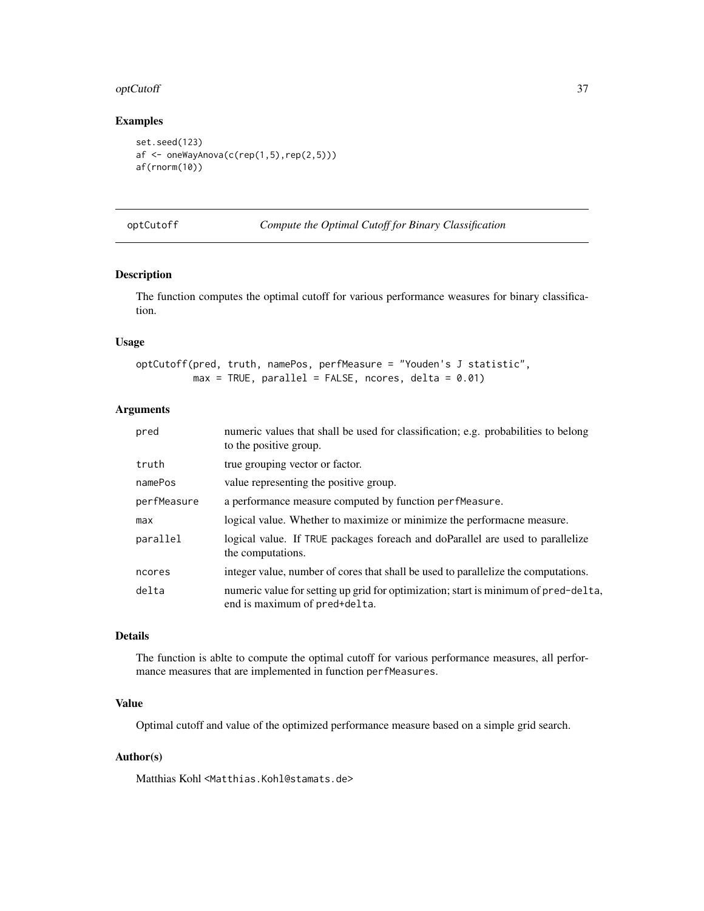#### optCutoff 37

# Examples

```
set.seed(123)
af <- oneWayAnova(c(rep(1,5),rep(2,5)))
af(rnorm(10))
```

```
optCutoff Compute the Optimal Cutoff for Binary Classification
```

| Compute the Optimal Cutoff for Binary Classification |  |  |  |
|------------------------------------------------------|--|--|--|
|                                                      |  |  |  |

# Description

The function computes the optimal cutoff for various performance weasures for binary classification.

### Usage

```
optCutoff(pred, truth, namePos, perfMeasure = "Youden's J statistic",
         max = TRUE, parallel = FALSE, ncores, delta = 0.01)
```
### Arguments

| pred        | numeric values that shall be used for classification; e.g. probabilities to belong<br>to the positive group.         |
|-------------|----------------------------------------------------------------------------------------------------------------------|
| truth       | true grouping vector or factor.                                                                                      |
| namePos     | value representing the positive group.                                                                               |
| perfMeasure | a performance measure computed by function perfmeasure.                                                              |
| max         | logical value. Whether to maximize or minimize the performacne measure.                                              |
| parallel    | logical value. If TRUE packages for each and do Parallel are used to parallelize<br>the computations.                |
| ncores      | integer value, number of cores that shall be used to parallelize the computations.                                   |
| delta       | numeric value for setting up grid for optimization; start is minimum of pred-delta,<br>end is maximum of pred+delta. |

### Details

The function is ablte to compute the optimal cutoff for various performance measures, all performance measures that are implemented in function perfMeasures.

# Value

Optimal cutoff and value of the optimized performance measure based on a simple grid search.

# Author(s)

Matthias Kohl <Matthias.Kohl@stamats.de>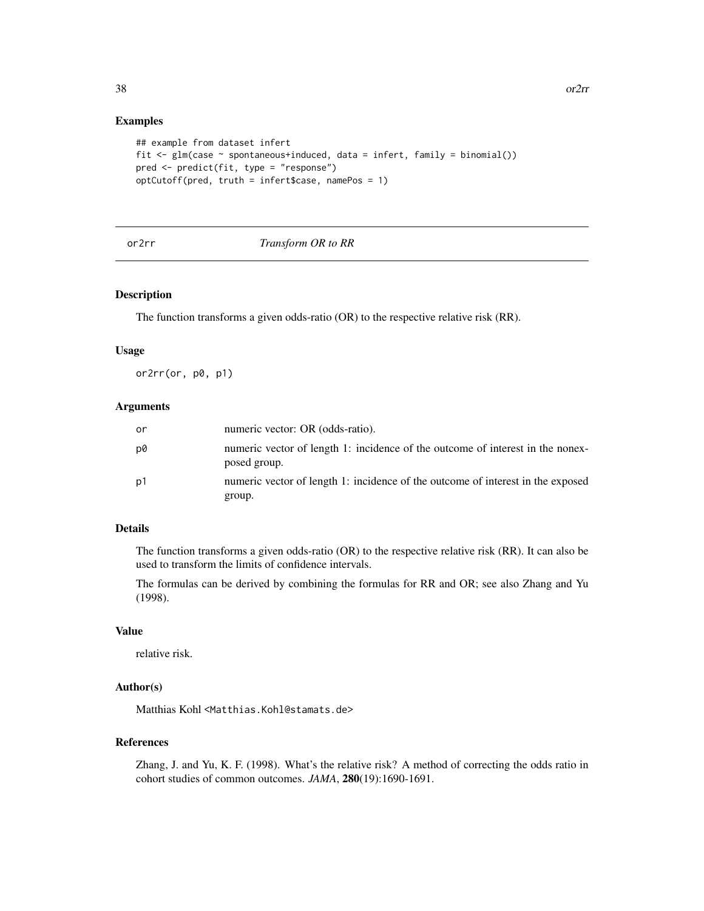### Examples

```
## example from dataset infert
fit <- glm(case ~ spontaneous+induced, data = infert, family = binomial())
pred <- predict(fit, type = "response")
optCutoff(pred, truth = infert$case, namePos = 1)
```
#### or2rr *Transform OR to RR*

### Description

The function transforms a given odds-ratio (OR) to the respective relative risk (RR).

### Usage

or2rr(or, p0, p1)

#### Arguments

| or | numeric vector: OR (odds-ratio).                                                               |
|----|------------------------------------------------------------------------------------------------|
| p0 | numeric vector of length 1: incidence of the outcome of interest in the nonex-<br>posed group. |
| p1 | numeric vector of length 1: incidence of the outcome of interest in the exposed<br>group.      |

### Details

The function transforms a given odds-ratio (OR) to the respective relative risk (RR). It can also be used to transform the limits of confidence intervals.

The formulas can be derived by combining the formulas for RR and OR; see also Zhang and Yu (1998).

#### Value

relative risk.

# Author(s)

Matthias Kohl <Matthias.Kohl@stamats.de>

# References

Zhang, J. and Yu, K. F. (1998). What's the relative risk? A method of correcting the odds ratio in cohort studies of common outcomes. *JAMA*, 280(19):1690-1691.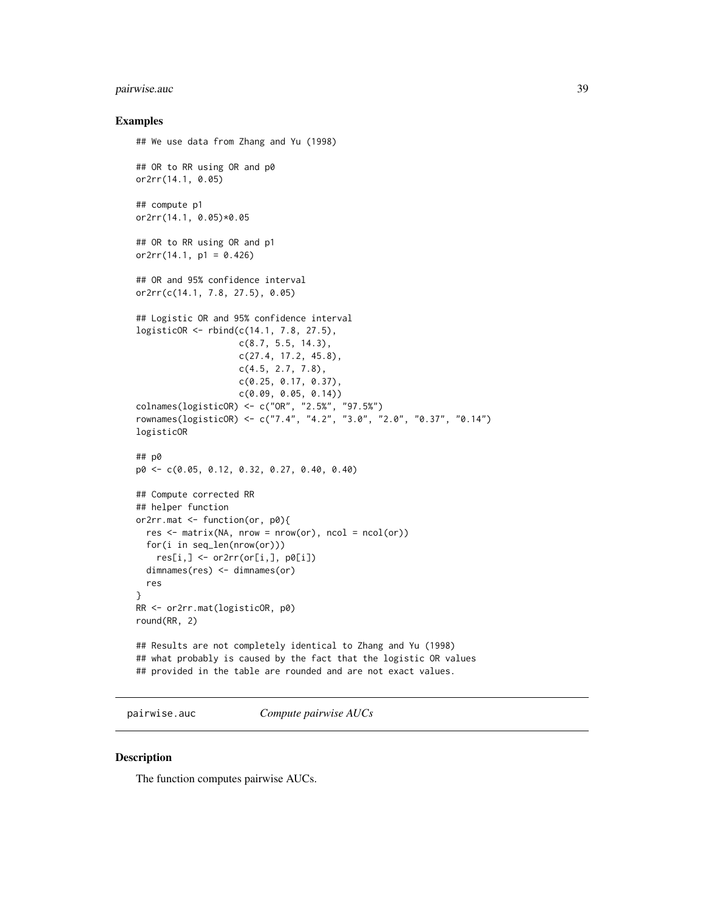# pairwise.auc 39

### Examples

```
## We use data from Zhang and Yu (1998)
## OR to RR using OR and p0
or2rr(14.1, 0.05)
## compute p1
or2rr(14.1, 0.05)*0.05
## OR to RR using OR and p1
or2rr(14.1, p1 = 0.426)## OR and 95% confidence interval
or2rr(c(14.1, 7.8, 27.5), 0.05)
## Logistic OR and 95% confidence interval
logisticOR <- rbind(c(14.1, 7.8, 27.5),
                    c(8.7, 5.5, 14.3),
                    c(27.4, 17.2, 45.8),
                    c(4.5, 2.7, 7.8),
                    c(0.25, 0.17, 0.37),
                    c(0.09, 0.05, 0.14))
colnames(logisticOR) <- c("OR", "2.5%", "97.5%")
rownames(logisticOR) <- c("7.4", "4.2", "3.0", "2.0", "0.37", "0.14")
logisticOR
## p0
p0 <- c(0.05, 0.12, 0.32, 0.27, 0.40, 0.40)
## Compute corrected RR
## helper function
or2rr.mat <- function(or, p0){
  res \leq -\text{matrix}(NA, nrow = nrow(or), ncol = ncol(or))for(i in seq_len(nrow(or)))
   res[i, ] \leftarrow or2rr(or[i,], p0[i])dimnames(res) <- dimnames(or)
  res
}
RR <- or2rr.mat(logisticOR, p0)
round(RR, 2)
## Results are not completely identical to Zhang and Yu (1998)
## what probably is caused by the fact that the logistic OR values
## provided in the table are rounded and are not exact values.
```
<span id="page-38-0"></span>pairwise.auc *Compute pairwise AUCs*

### Description

The function computes pairwise AUCs.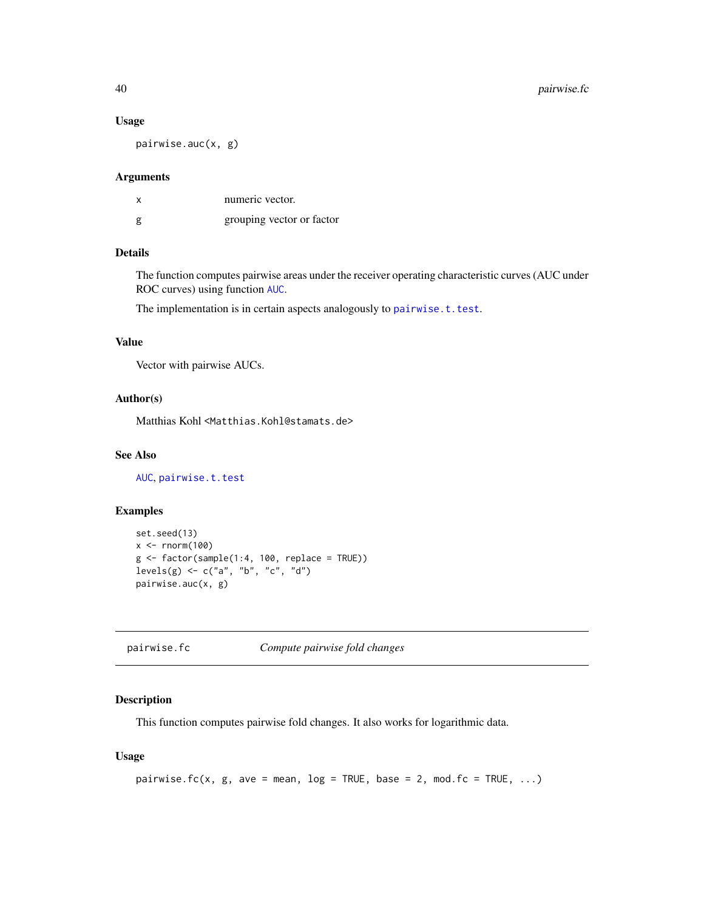#### Usage

pairwise.auc(x, g)

## Arguments

| х | numeric vector.           |
|---|---------------------------|
| g | grouping vector or factor |

# Details

The function computes pairwise areas under the receiver operating characteristic curves (AUC under ROC curves) using function [AUC](#page-2-0).

The implementation is in certain aspects analogously to [pairwise.t.test](#page-0-0).

# Value

Vector with pairwise AUCs.

# Author(s)

Matthias Kohl <Matthias.Kohl@stamats.de>

# See Also

[AUC](#page-2-0), [pairwise.t.test](#page-0-0)

# Examples

```
set.seed(13)
x < - rnorm(100)
g \leftarrow factor(sample(1:4, 100, replace = TRUE))
levels(g) <- c("a", "b", "c", "d")
pairwise.auc(x, g)
```
<span id="page-39-0"></span>pairwise.fc *Compute pairwise fold changes*

# Description

This function computes pairwise fold changes. It also works for logarithmic data.

# Usage

```
pairwise.fc(x, g, ave = mean, log = TRUE, base = 2, mod.fc = TRUE, \dots)
```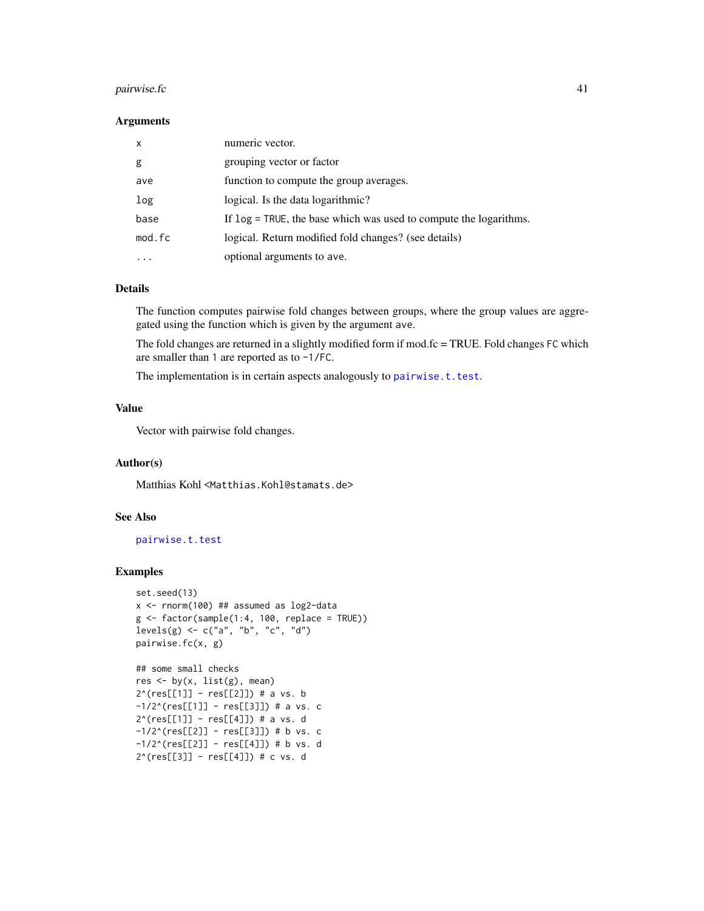#### $pairwise.fc$  41

#### Arguments

| $\mathsf{x}$ | numeric vector.                                                   |
|--------------|-------------------------------------------------------------------|
| g            | grouping vector or factor                                         |
| ave          | function to compute the group averages.                           |
| log          | logical. Is the data logarithmic?                                 |
| base         | If log = TRUE, the base which was used to compute the logarithms. |
| mod.fc       | logical. Return modified fold changes? (see details)              |
| .            | optional arguments to ave.                                        |

### Details

The function computes pairwise fold changes between groups, where the group values are aggregated using the function which is given by the argument ave.

The fold changes are returned in a slightly modified form if mod.fc = TRUE. Fold changes FC which are smaller than 1 are reported as to -1/FC.

The implementation is in certain aspects analogously to [pairwise.t.test](#page-0-0).

### Value

Vector with pairwise fold changes.

### Author(s)

Matthias Kohl <Matthias.Kohl@stamats.de>

# See Also

[pairwise.t.test](#page-0-0)

```
set.seed(13)
x <- rnorm(100) ## assumed as log2-data
g \leftarrow factor(sample(1:4, 100, replace = TRUE))levels(g) \leq c("a", "b", "c", "d")pairwise.fc(x, g)
```

```
## some small checks
res <- by(x, list(g), mean)
2^(res[[1]] - res[[2]]) # a vs. b
-1/2^(res[[1]] - res[[3]]) # a vs. c
2^(res[[1]] - res[[4]]) # a vs. d
-1/2^(res[[2]] - res[[3]]) # b vs. c
-1/2<sup>^</sup>(res[[2]] - res[[4]]) # b vs. d
2^(res[[3]] - res[[4]]) # c vs. d
```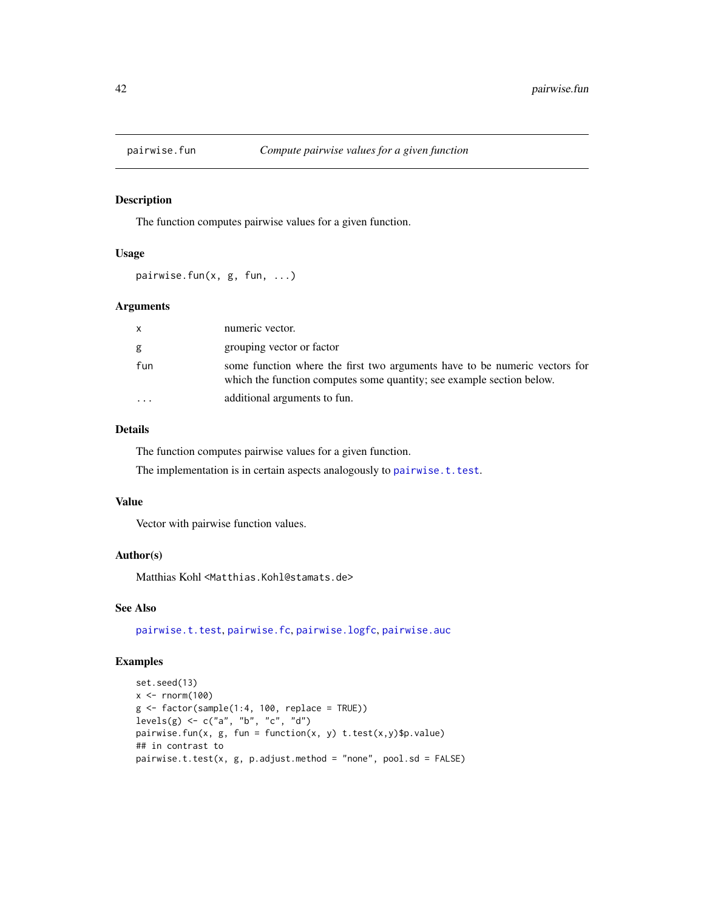The function computes pairwise values for a given function.

# Usage

pairwise.fun(x, g, fun, ...)

#### Arguments

| $\mathsf{x}$ | numeric vector.                                                                                                                                     |
|--------------|-----------------------------------------------------------------------------------------------------------------------------------------------------|
| g            | grouping vector or factor                                                                                                                           |
| fun          | some function where the first two arguments have to be numeric vectors for<br>which the function computes some quantity; see example section below. |
|              | additional arguments to fun.                                                                                                                        |

# Details

The function computes pairwise values for a given function.

The implementation is in certain aspects analogously to [pairwise.t.test](#page-0-0).

### Value

Vector with pairwise function values.

### Author(s)

Matthias Kohl <Matthias.Kohl@stamats.de>

# See Also

[pairwise.t.test](#page-0-0), [pairwise.fc](#page-39-0), [pairwise.logfc](#page-42-0), [pairwise.auc](#page-38-0)

```
set.seed(13)
x < - rnorm(100)
g \leftarrow factor(sample(1:4, 100, replace = TRUE))
levels(g) <- c("a", "b", "c", "d")
pairwise.fun(x, g, fun = function(x, y) t.test(x,y)$p.value)
## in contrast to
pairwise.t.test(x, g, p.adjust.method = "none", pool.sd = FALSE)
```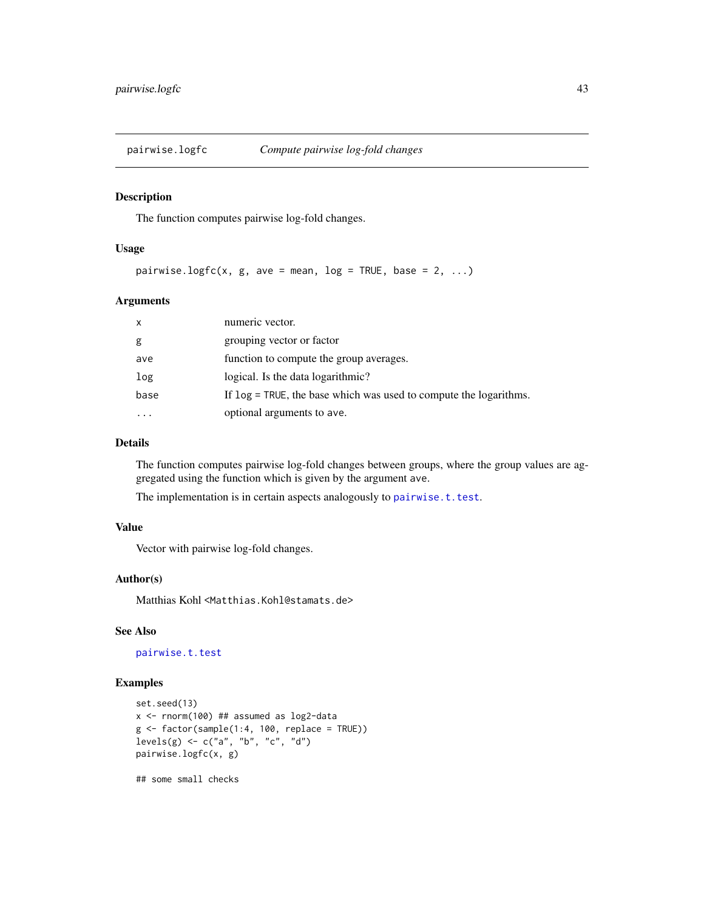<span id="page-42-0"></span>

The function computes pairwise log-fold changes.

### Usage

pairwise.logfc(x, g, ave = mean, log = TRUE, base = 2, ...)

### Arguments

| $\mathsf{x}$ | numeric vector.                                                      |
|--------------|----------------------------------------------------------------------|
| g            | grouping vector or factor                                            |
| ave          | function to compute the group averages.                              |
| log          | logical. Is the data logarithmic?                                    |
| base         | If $\log$ = TRUE, the base which was used to compute the logarithms. |
|              | optional arguments to ave.                                           |

# Details

The function computes pairwise log-fold changes between groups, where the group values are aggregated using the function which is given by the argument ave.

The implementation is in certain aspects analogously to [pairwise.t.test](#page-0-0).

# Value

Vector with pairwise log-fold changes.

### Author(s)

Matthias Kohl <Matthias.Kohl@stamats.de>

### See Also

[pairwise.t.test](#page-0-0)

## Examples

```
set.seed(13)
x <- rnorm(100) ## assumed as log2-data
g \leftarrow factor(sample(1:4, 100, replace = TRUE))
levels(g) \leq c("a", "b", "c", "d")pairwise.logfc(x, g)
```
## some small checks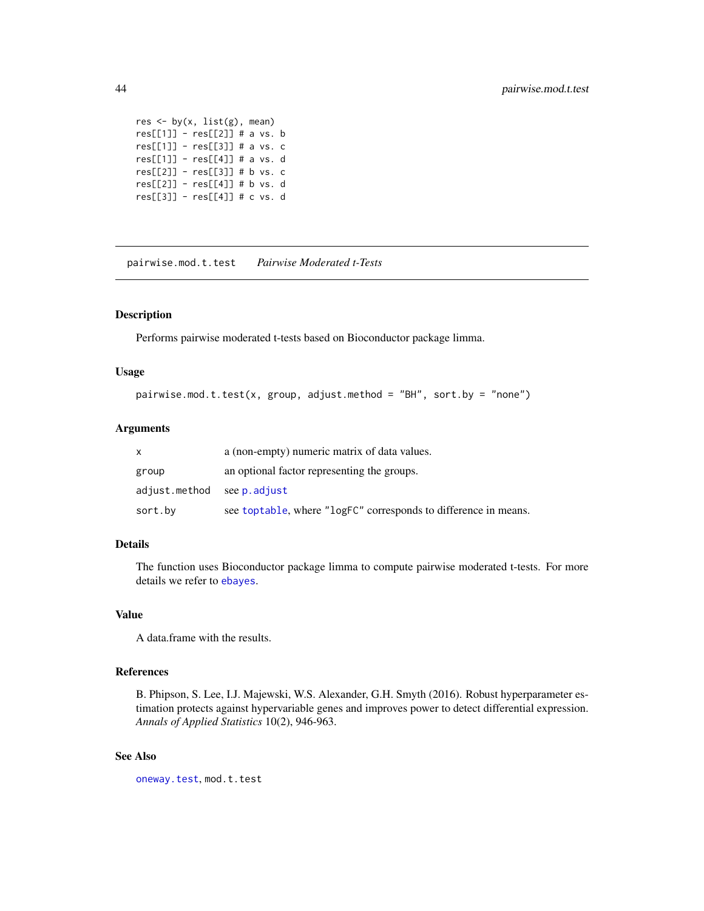```
res \leq by(x, list(g), mean)
res[[1]] - res[[2]] # a vs. b
res[[1]] - res[[3]] # a vs. c
res[[1]] - res[[4]] # a vs. d
res[[2]] - res[[3]] # b vs. c
res[[2]] - res[[4]] # b vs. d
res[[3]] - res[[4]] # c vs. d
```
pairwise.mod.t.test *Pairwise Moderated t-Tests*

### Description

Performs pairwise moderated t-tests based on Bioconductor package limma.

### Usage

```
pairwise.mod.t.test(x, group, adjust.method = "BH", sort.by = "none")
```
### Arguments

|                           | a (non-empty) numeric matrix of data values.                    |
|---------------------------|-----------------------------------------------------------------|
| group                     | an optional factor representing the groups.                     |
| adjust.method seep.adjust |                                                                 |
| sort.bv                   | see toptable, where "logFC" corresponds to difference in means. |

# Details

The function uses Bioconductor package limma to compute pairwise moderated t-tests. For more details we refer to [ebayes](#page-0-0).

# Value

A data.frame with the results.

# References

B. Phipson, S. Lee, I.J. Majewski, W.S. Alexander, G.H. Smyth (2016). Robust hyperparameter estimation protects against hypervariable genes and improves power to detect differential expression. *Annals of Applied Statistics* 10(2), 946-963.

# See Also

[oneway.test](#page-0-0), mod.t.test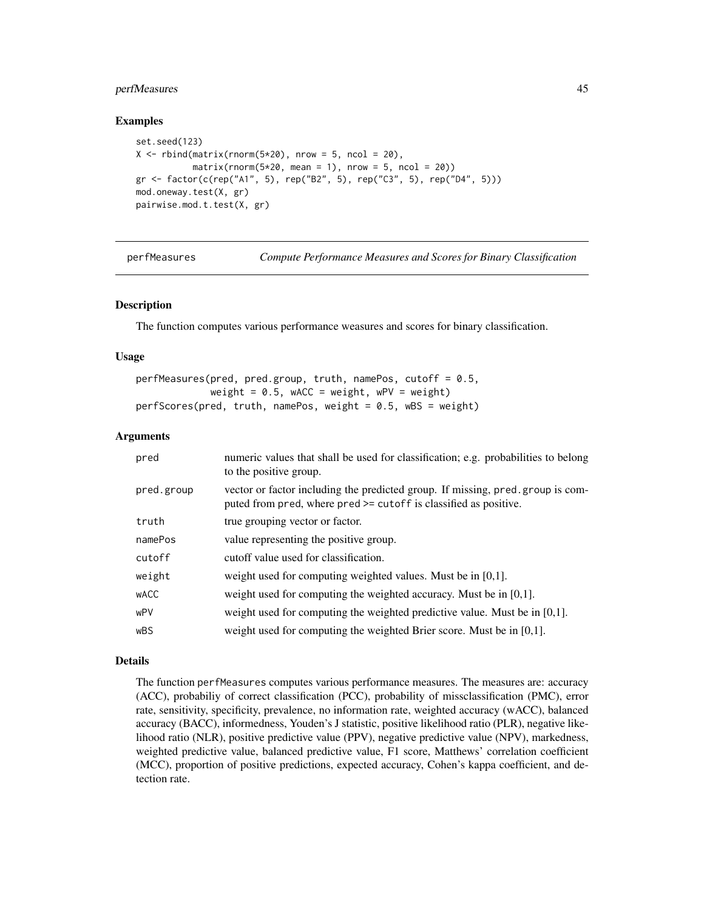# perfMeasures 45

### Examples

```
set.seed(123)
X \le rbind(matrix(rnorm(5*20), nrow = 5, ncol = 20),
          matrix(rnorm(5*20, mean = 1), nrow = 5, ncol = 20)gr <- factor(c(rep("A1", 5), rep("B2", 5), rep("C3", 5), rep("D4", 5)))
mod.oneway.test(X, gr)
pairwise.mod.t.test(X, gr)
```

| perfMeasures | Compute Performance Measures and Scores for Binary Classification |  |  |  |
|--------------|-------------------------------------------------------------------|--|--|--|
|--------------|-------------------------------------------------------------------|--|--|--|

### Description

The function computes various performance weasures and scores for binary classification.

### Usage

```
perfMeasures(pred, pred.group, truth, namePos, cutoff = 0.5,
            weight = 0.5, wACC = weight, wPV = weight)
perfScores(pred, truth, namePos, weight = 0.5, wBS = weight)
```
# Arguments

| pred        | numeric values that shall be used for classification; e.g. probabilities to belong<br>to the positive group.                                       |
|-------------|----------------------------------------------------------------------------------------------------------------------------------------------------|
| pred.group  | vector or factor including the predicted group. If missing, pred.group is com-<br>puted from pred, where pred >= cutoff is classified as positive. |
| truth       | true grouping vector or factor.                                                                                                                    |
| namePos     | value representing the positive group.                                                                                                             |
| cutoff      | cutoff value used for classification.                                                                                                              |
| weight      | weight used for computing weighted values. Must be in $[0,1]$ .                                                                                    |
| <b>WACC</b> | weight used for computing the weighted accuracy. Must be in $[0,1]$ .                                                                              |
| wPV         | weight used for computing the weighted predictive value. Must be in $[0,1]$ .                                                                      |
| <b>wBS</b>  | weight used for computing the weighted Brier score. Must be in $[0,1]$ .                                                                           |

#### Details

The function perfMeasures computes various performance measures. The measures are: accuracy (ACC), probabiliy of correct classification (PCC), probability of missclassification (PMC), error rate, sensitivity, specificity, prevalence, no information rate, weighted accuracy (wACC), balanced accuracy (BACC), informedness, Youden's J statistic, positive likelihood ratio (PLR), negative likelihood ratio (NLR), positive predictive value (PPV), negative predictive value (NPV), markedness, weighted predictive value, balanced predictive value, F1 score, Matthews' correlation coefficient (MCC), proportion of positive predictions, expected accuracy, Cohen's kappa coefficient, and detection rate.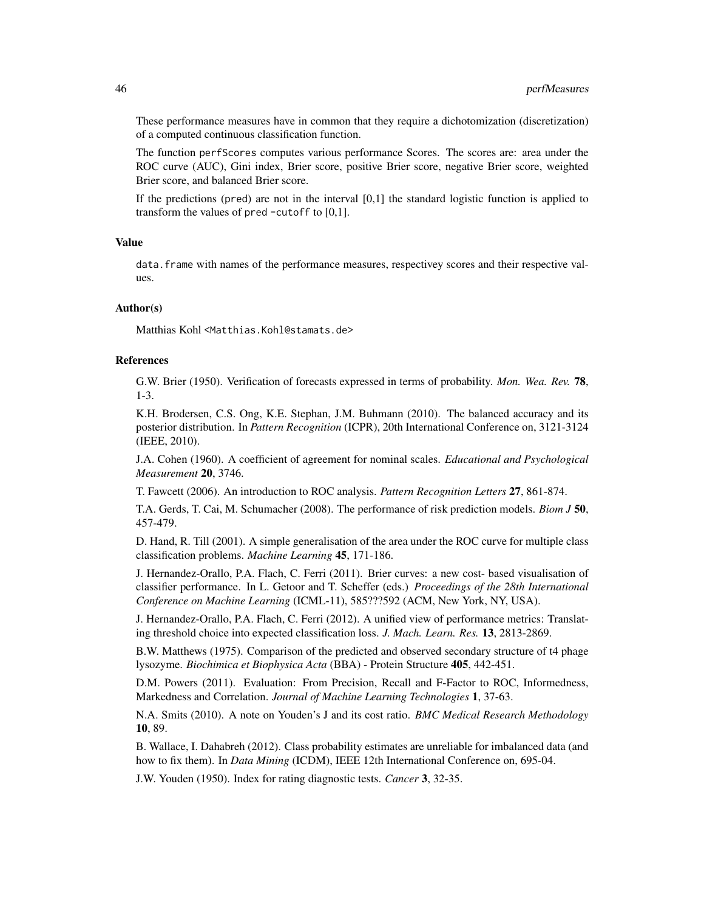These performance measures have in common that they require a dichotomization (discretization) of a computed continuous classification function.

The function perfScores computes various performance Scores. The scores are: area under the ROC curve (AUC), Gini index, Brier score, positive Brier score, negative Brier score, weighted Brier score, and balanced Brier score.

If the predictions (pred) are not in the interval  $[0,1]$  the standard logistic function is applied to transform the values of pred -cutoff to [0,1].

#### Value

data. frame with names of the performance measures, respectivey scores and their respective values.

### Author(s)

Matthias Kohl <Matthias.Kohl@stamats.de>

### References

G.W. Brier (1950). Verification of forecasts expressed in terms of probability. *Mon. Wea. Rev.* 78, 1-3.

K.H. Brodersen, C.S. Ong, K.E. Stephan, J.M. Buhmann (2010). The balanced accuracy and its posterior distribution. In *Pattern Recognition* (ICPR), 20th International Conference on, 3121-3124 (IEEE, 2010).

J.A. Cohen (1960). A coefficient of agreement for nominal scales. *Educational and Psychological Measurement* 20, 3746.

T. Fawcett (2006). An introduction to ROC analysis. *Pattern Recognition Letters* 27, 861-874.

T.A. Gerds, T. Cai, M. Schumacher (2008). The performance of risk prediction models. *Biom J* 50, 457-479.

D. Hand, R. Till (2001). A simple generalisation of the area under the ROC curve for multiple class classification problems. *Machine Learning* 45, 171-186.

J. Hernandez-Orallo, P.A. Flach, C. Ferri (2011). Brier curves: a new cost- based visualisation of classifier performance. In L. Getoor and T. Scheffer (eds.) *Proceedings of the 28th International Conference on Machine Learning* (ICML-11), 585???592 (ACM, New York, NY, USA).

J. Hernandez-Orallo, P.A. Flach, C. Ferri (2012). A unified view of performance metrics: Translating threshold choice into expected classification loss. *J. Mach. Learn. Res.* 13, 2813-2869.

B.W. Matthews (1975). Comparison of the predicted and observed secondary structure of t4 phage lysozyme. *Biochimica et Biophysica Acta* (BBA) - Protein Structure 405, 442-451.

D.M. Powers (2011). Evaluation: From Precision, Recall and F-Factor to ROC, Informedness, Markedness and Correlation. *Journal of Machine Learning Technologies* 1, 37-63.

N.A. Smits (2010). A note on Youden's J and its cost ratio. *BMC Medical Research Methodology* 10, 89.

B. Wallace, I. Dahabreh (2012). Class probability estimates are unreliable for imbalanced data (and how to fix them). In *Data Mining* (ICDM), IEEE 12th International Conference on, 695-04.

J.W. Youden (1950). Index for rating diagnostic tests. *Cancer* 3, 32-35.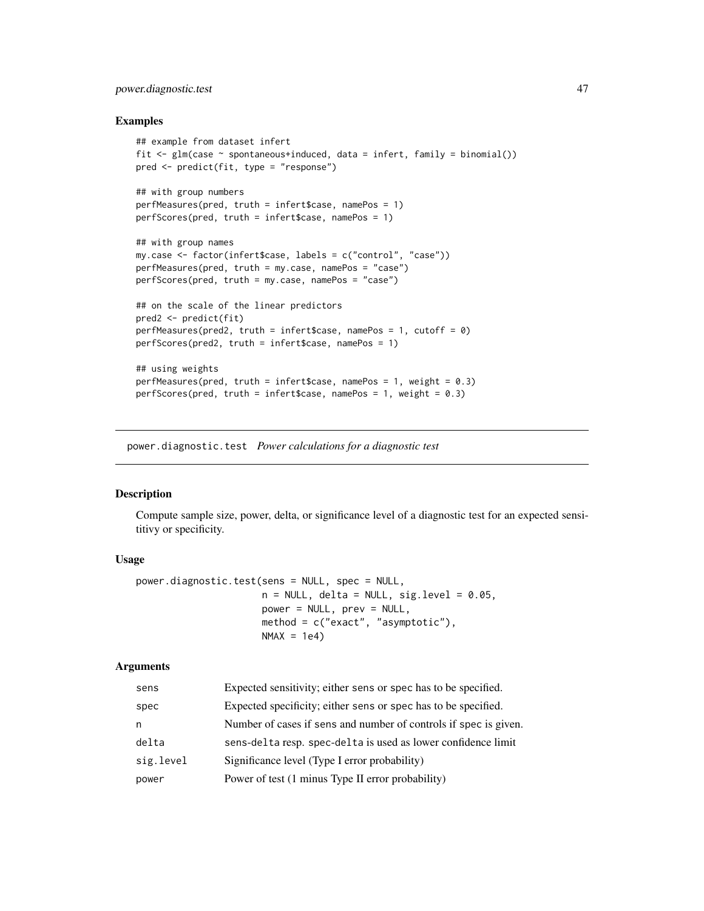# power.diagnostic.test 47

### Examples

```
## example from dataset infert
fit \leq glm(case \sim spontaneous+induced, data = infert, family = binomial())
pred <- predict(fit, type = "response")
## with group numbers
perfMeasures(pred, truth = infert$case, namePos = 1)
perfScores(pred, truth = infert$case, namePos = 1)
## with group names
my.case <- factor(infert$case, labels = c("control", "case"))
perfMeasures(pred, truth = my.case, namePos = "case")
perfScores(pred, truth = my.case, namePos = "case")
## on the scale of the linear predictors
pred2 <- predict(fit)
perfMeasures(pred2, truth = infert; namePos = 1, cutoff = 0)perfScores(pred2, truth = infert$case, namePos = 1)
## using weights
perfMeasures(pred, truth = infert$case, namePos = 1, weight = 0.3)
perfScores(pred, truth = infert$case, namePos = 1, weight = 0.3)
```
power.diagnostic.test *Power calculations for a diagnostic test*

# **Description**

Compute sample size, power, delta, or significance level of a diagnostic test for an expected sensititivy or specificity.

### Usage

```
power.diagnostic.test(sens = NULL, spec = NULL,
                      n = NULL, delta = NULL, sig.level = 0.05,
                      power = NULL, prev = NULL,
                      method = c("exact", "asymptotic"),
                      NMAX = 1e4)
```
# Arguments

| sens      | Expected sensitivity; either sens or spec has to be specified.   |
|-----------|------------------------------------------------------------------|
| spec      | Expected specificity; either sens or spec has to be specified.   |
| n         | Number of cases if sens and number of controls if spec is given. |
| delta     | sens-delta resp. spec-delta is used as lower confidence limit    |
| sig.level | Significance level (Type I error probability)                    |
| power     | Power of test (1 minus Type II error probability)                |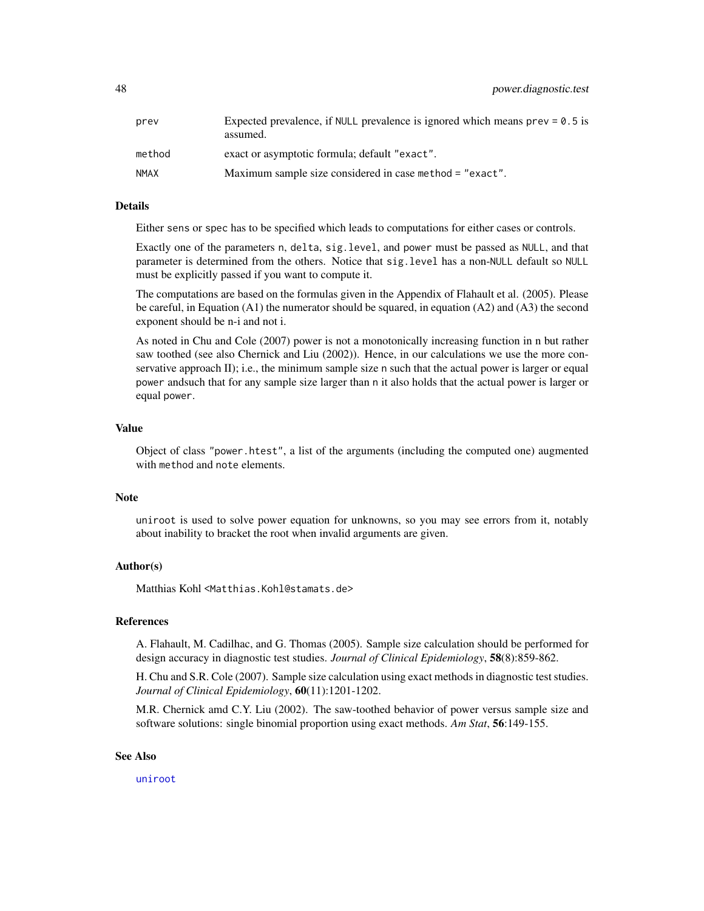| prev   | Expected prevalence, if NULL prevalence is ignored which means $prev = 0.5$ is<br>assumed. |
|--------|--------------------------------------------------------------------------------------------|
| method | exact or asymptotic formula; default "exact".                                              |
| NMAX   | Maximum sample size considered in case method = "exact".                                   |

#### Details

Either sens or spec has to be specified which leads to computations for either cases or controls.

Exactly one of the parameters n, delta, sig.level, and power must be passed as NULL, and that parameter is determined from the others. Notice that sig.level has a non-NULL default so NULL must be explicitly passed if you want to compute it.

The computations are based on the formulas given in the Appendix of Flahault et al. (2005). Please be careful, in Equation (A1) the numerator should be squared, in equation (A2) and (A3) the second exponent should be n-i and not i.

As noted in Chu and Cole (2007) power is not a monotonically increasing function in n but rather saw toothed (see also Chernick and Liu (2002)). Hence, in our calculations we use the more conservative approach II); i.e., the minimum sample size n such that the actual power is larger or equal power andsuch that for any sample size larger than n it also holds that the actual power is larger or equal power.

#### Value

Object of class "power.htest", a list of the arguments (including the computed one) augmented with method and note elements.

#### Note

uniroot is used to solve power equation for unknowns, so you may see errors from it, notably about inability to bracket the root when invalid arguments are given.

### Author(s)

Matthias Kohl <Matthias.Kohl@stamats.de>

### References

A. Flahault, M. Cadilhac, and G. Thomas (2005). Sample size calculation should be performed for design accuracy in diagnostic test studies. *Journal of Clinical Epidemiology*, 58(8):859-862.

H. Chu and S.R. Cole (2007). Sample size calculation using exact methods in diagnostic test studies. *Journal of Clinical Epidemiology*, 60(11):1201-1202.

M.R. Chernick amd C.Y. Liu (2002). The saw-toothed behavior of power versus sample size and software solutions: single binomial proportion using exact methods. *Am Stat*, 56:149-155.

### See Also

[uniroot](#page-0-0)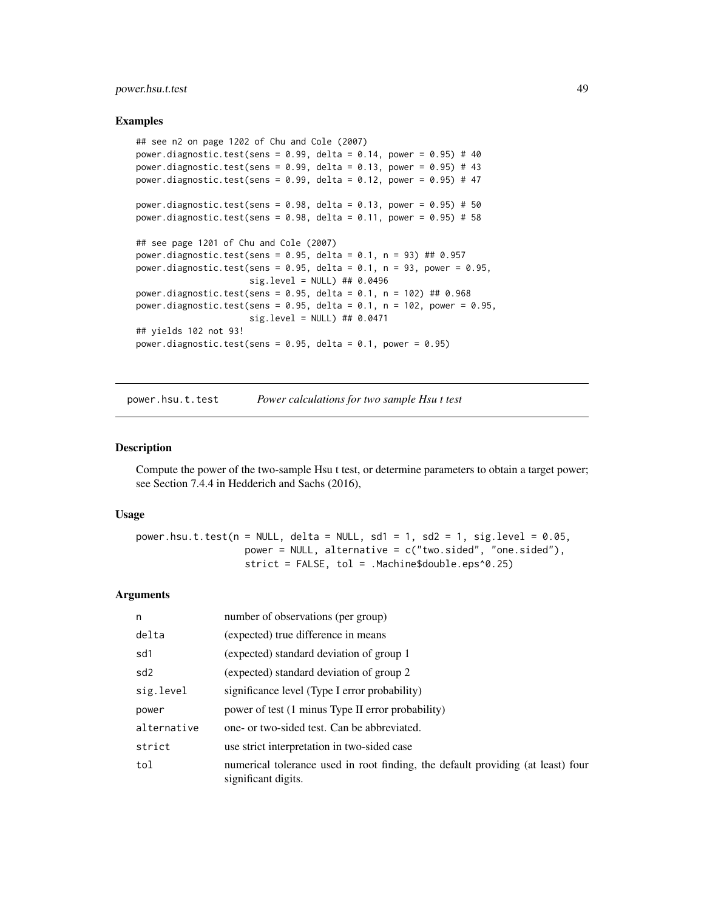# power.hsu.t.test 49

### Examples

```
## see n2 on page 1202 of Chu and Cole (2007)
power.diagnostic.test(sens = 0.99, delta = 0.14, power = 0.95) # 40
power.diagnostic.test(sens = 0.99, delta = 0.13, power = 0.95) # 43
power.diagnostic.test(sens = 0.99, delta = 0.12, power = 0.95) # 47
power.diagnostic.test(sens = 0.98, delta = 0.13, power = 0.95) # 50
power.diagnostic.test(sens = 0.98, delta = 0.11, power = 0.95) # 58
## see page 1201 of Chu and Cole (2007)
power.diagnostic.test(sens = 0.95, delta = 0.1, n = 93) ## 0.957
power.diagnostic.test(sens = 0.95, delta = 0.1, n = 93, power = 0.95,
                     sig.level = NULL) ## 0.0496
power.diagnostic.test(sens = 0.95, delta = 0.1, n = 102) ## 0.968
power.diagnostic.test(sens = 0.95, delta = 0.1, n = 102, power = 0.95,
                      sig.level = NULL) ## 0.0471
## yields 102 not 93!
power.diagnostic.test(sens = 0.95, delta = 0.1, power = 0.95)
```
power.hsu.t.test *Power calculations for two sample Hsu t test*

# **Description**

Compute the power of the two-sample Hsu t test, or determine parameters to obtain a target power; see Section 7.4.4 in Hedderich and Sachs (2016),

#### Usage

power.hsu.t.test(n = NULL, delta = NULL, sd1 = 1, sd2 = 1, sig.level =  $0.05$ , power = NULL, alternative = c("two.sided", "one.sided"), strict = FALSE, tol = .Machine\$double.eps^0.25)

### Arguments

| n               | number of observations (per group)                                                                     |
|-----------------|--------------------------------------------------------------------------------------------------------|
| delta           | (expected) true difference in means                                                                    |
| sd1             | (expected) standard deviation of group 1                                                               |
| sd <sub>2</sub> | (expected) standard deviation of group 2                                                               |
| sig.level       | significance level (Type I error probability)                                                          |
| power           | power of test (1 minus Type II error probability)                                                      |
| alternative     | one- or two-sided test. Can be abbreviated.                                                            |
| strict          | use strict interpretation in two-sided case                                                            |
| tol             | numerical tolerance used in root finding, the default providing (at least) four<br>significant digits. |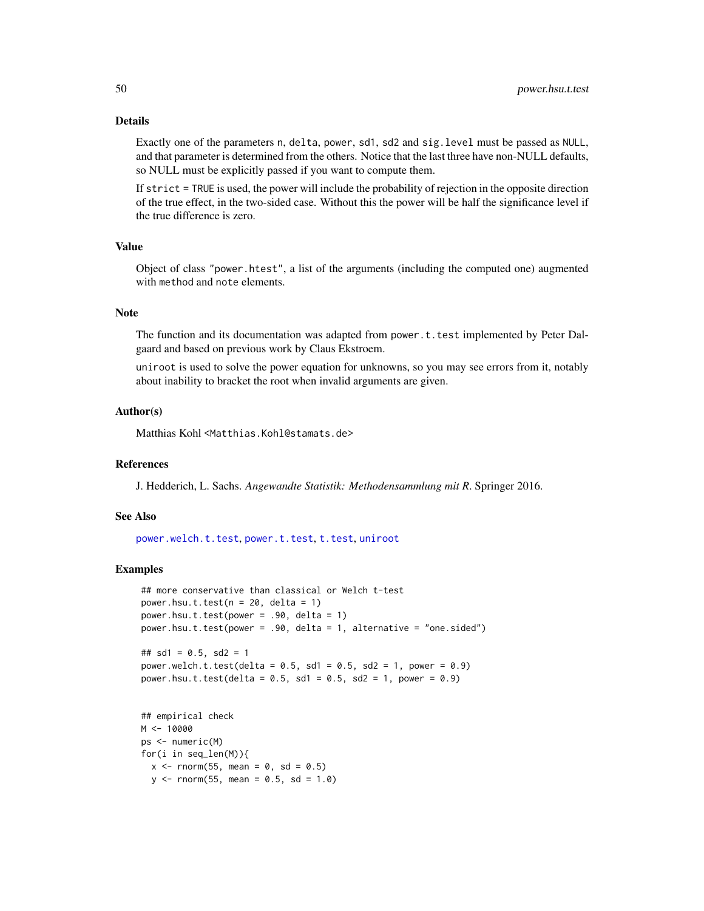#### Details

Exactly one of the parameters n, delta, power, sd1, sd2 and sig.level must be passed as NULL, and that parameter is determined from the others. Notice that the last three have non-NULL defaults, so NULL must be explicitly passed if you want to compute them.

If strict = TRUE is used, the power will include the probability of rejection in the opposite direction of the true effect, in the two-sided case. Without this the power will be half the significance level if the true difference is zero.

# Value

Object of class "power.htest", a list of the arguments (including the computed one) augmented with method and note elements.

### Note

The function and its documentation was adapted from power. t. test implemented by Peter Dalgaard and based on previous work by Claus Ekstroem.

uniroot is used to solve the power equation for unknowns, so you may see errors from it, notably about inability to bracket the root when invalid arguments are given.

#### Author(s)

Matthias Kohl <Matthias.Kohl@stamats.de>

#### References

J. Hedderich, L. Sachs. *Angewandte Statistik: Methodensammlung mit R*. Springer 2016.

### See Also

[power.welch.t.test](#page-52-0), [power.t.test](#page-0-0), [t.test](#page-0-0), [uniroot](#page-0-0)

```
## more conservative than classical or Welch t-test
power.hsu.t.test(n = 20, delta = 1)
power.hsu.t.test(power = .90, delta = 1)
power.hsu.t.test(power = .90, delta = 1, alternative = "one.sided")
## sd1 = 0.5, sd2 = 1power.welch.t.test(delta = 0.5, sd1 = 0.5, sd2 = 1, power = 0.9)
power.hsu.t.test(delta = 0.5, sd1 = 0.5, sd2 = 1, power = 0.9)
## empirical check
```

```
M < - 10000ps <- numeric(M)
for(i in seq_len(M)){
 x \le - rnorm(55, mean = 0, sd = 0.5)
  y \le - rnorm(55, mean = 0.5, sd = 1.0)
```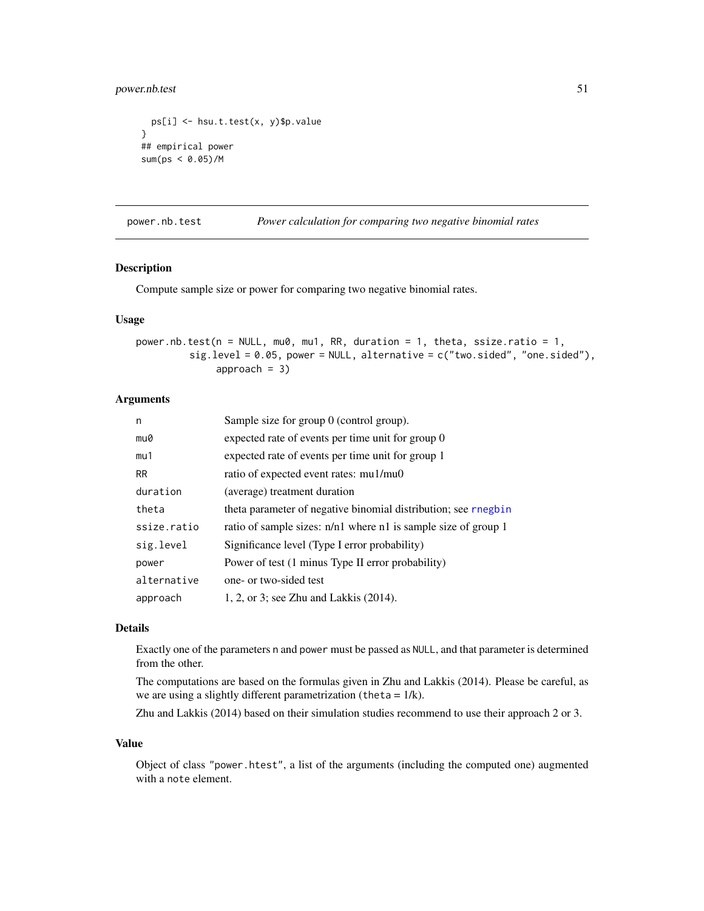# power.nb.test 51

```
ps[i] <- hsu.t.test(x, y)$p.value
}
## empirical power
sum(ps < 0.05)/M
```
power.nb.test *Power calculation for comparing two negative binomial rates*

### Description

Compute sample size or power for comparing two negative binomial rates.

### Usage

power.nb.test(n = NULL, mu0, mu1, RR, duration = 1, theta, ssize.ratio = 1, sig.level = 0.05, power = NULL, alternative = c("two.sided", "one.sided"), approach  $= 3$ )

# Arguments

| n           | Sample size for group $0$ (control group).                     |
|-------------|----------------------------------------------------------------|
| mu0         | expected rate of events per time unit for group 0              |
| mu1         | expected rate of events per time unit for group 1              |
| <b>RR</b>   | ratio of expected event rates: mu1/mu0                         |
| duration    | (average) treatment duration                                   |
| theta       | theta parameter of negative binomial distribution; see rnegbin |
| ssize.ratio | ratio of sample sizes: n/n1 where n1 is sample size of group 1 |
| sig.level   | Significance level (Type I error probability)                  |
| power       | Power of test (1 minus Type II error probability)              |
| alternative | one- or two-sided test                                         |
| approach    | 1, 2, or 3; see Zhu and Lakkis (2014).                         |

# Details

Exactly one of the parameters n and power must be passed as NULL, and that parameter is determined from the other.

The computations are based on the formulas given in Zhu and Lakkis (2014). Please be careful, as we are using a slightly different parametrization (theta = 1/k).

Zhu and Lakkis (2014) based on their simulation studies recommend to use their approach 2 or 3.

#### Value

Object of class "power.htest", a list of the arguments (including the computed one) augmented with a note element.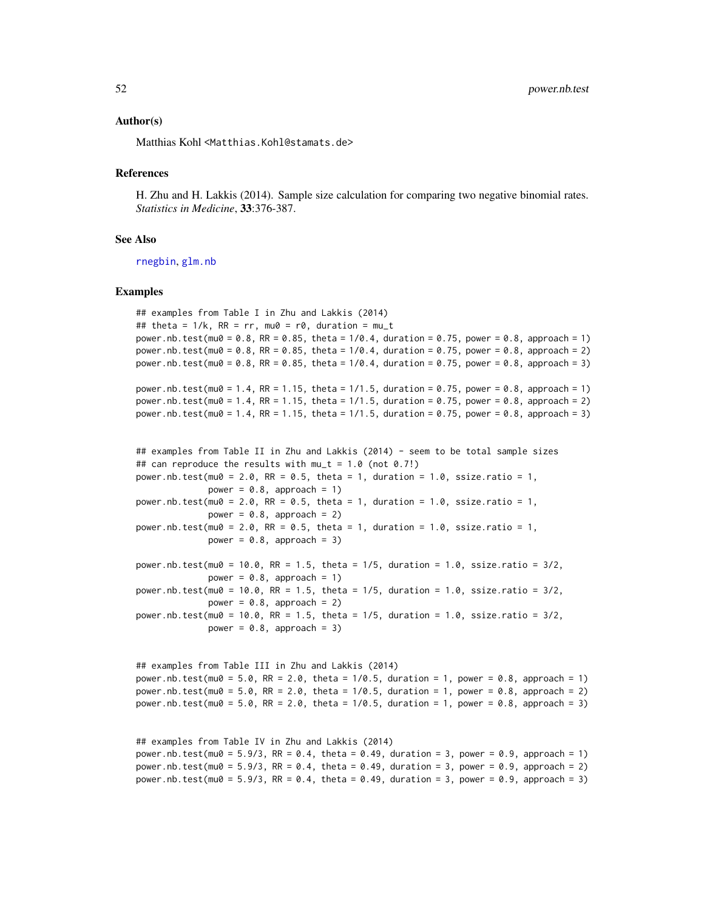#### Author(s)

Matthias Kohl <Matthias.Kohl@stamats.de>

#### References

H. Zhu and H. Lakkis (2014). Sample size calculation for comparing two negative binomial rates. *Statistics in Medicine*, 33:376-387.

#### See Also

[rnegbin](#page-0-0), [glm.nb](#page-0-0)

### Examples

## examples from Table I in Zhu and Lakkis (2014) ## theta =  $1/k$ , RR = rr, mu0 = r0, duration = mu\_t power.nb.test(mu0 = 0.8, RR = 0.85, theta =  $1/0.4$ , duration = 0.75, power = 0.8, approach = 1) power.nb.test(mu0 = 0.8, RR = 0.85, theta =  $1/0.4$ , duration = 0.75, power = 0.8, approach = 2) power.nb.test(mu0 = 0.8, RR = 0.85, theta = 1/0.4, duration = 0.75, power = 0.8, approach = 3)

```
power.nb.test(mu0 = 1.4, RR = 1.15, theta = 1/1.5, duration = 0.75, power = 0.8, approach = 1)
power.nb.test(mu0 = 1.4, RR = 1.15, theta = 1/1.5, duration = 0.75, power = 0.8, approach = 2)
power.nb.test(mu0 = 1.4, RR = 1.15, theta = 1/1.5, duration = 0.75, power = 0.8, approach = 3)
```

```
## examples from Table II in Zhu and Lakkis (2014) - seem to be total sample sizes
## can reproduce the results with mu_t = 1.0 (not 0.7!)
power.nb.test(mu0 = 2.0, RR = 0.5, theta = 1, duration = 1.0, ssize.ratio = 1,
             power = 0.8, approach = 1)
power.nb.test(mu0 = 2.0, RR = 0.5, theta = 1, duration = 1.0, ssize.ratio = 1,
             power = 0.8, approach = 2)
power.nb.test(mu0 = 2.0, RR = 0.5, theta = 1, duration = 1.0, ssize.ratio = 1,
             power = 0.8, approach = 3)
power.nb.test(mu0 = 10.0, RR = 1.5, theta = 1/5, duration = 1.0, ssize.ratio = 3/2,
```
power =  $0.8$ , approach = 1) power.nb.test(mu0 =  $10.0$ , RR =  $1.5$ , theta =  $1/5$ , duration =  $1.0$ , ssize.ratio =  $3/2$ , power =  $0.8$ , approach = 2) power.nb.test(mu0 = 10.0, RR = 1.5, theta = 1/5, duration = 1.0, ssize.ratio = 3/2, power =  $0.8$ , approach =  $3$ )

```
## examples from Table III in Zhu and Lakkis (2014)
power.nb.test(mu0 = 5.0, RR = 2.0, theta = 1/0.5, duration = 1, power = 0.8, approach = 1)
power.nb.test(mu0 = 5.0, RR = 2.0, theta = 1/0.5, duration = 1, power = 0.8, approach = 2)
power.nb.test(mu0 = 5.0, RR = 2.0, theta = 1/0.5, duration = 1, power = 0.8, approach = 3)
```

```
## examples from Table IV in Zhu and Lakkis (2014)
power.nb.test(mu0 = 5.9/3, RR = 0.4, theta = 0.49, duration = 3, power = 0.9, approach = 1)
power.nb.test(mu0 = 5.9/3, RR = 0.4, theta = 0.49, duration = 3, power = 0.9, approach = 2)
power.nb.test(mu0 = 5.9/3, RR = 0.4, theta = 0.49, duration = 3, power = 0.9, approach = 3)
```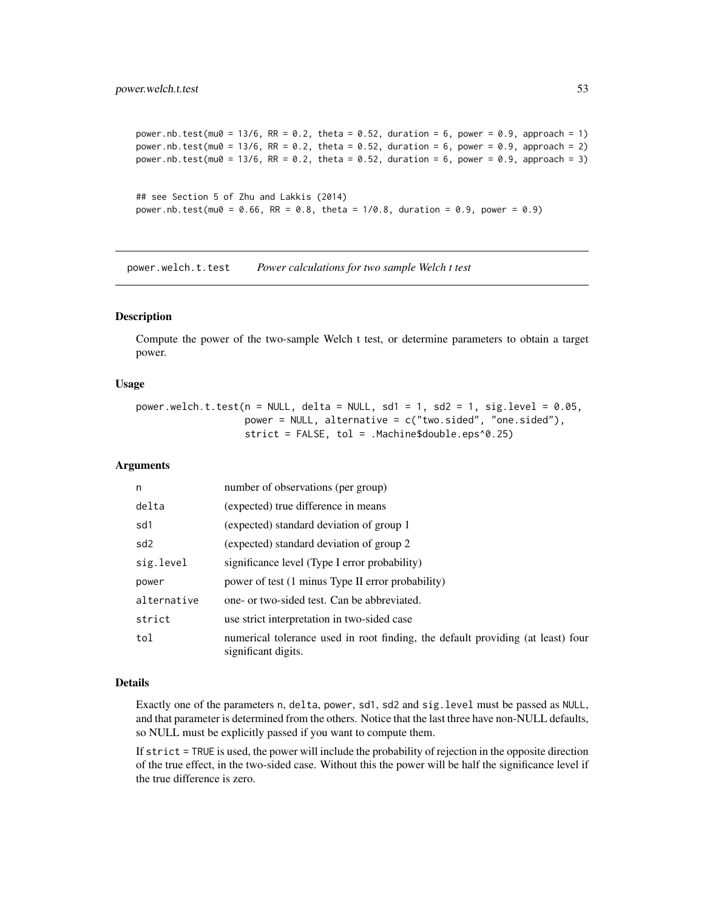```
power.nb.test(mu0 = 13/6, RR = 0.2, theta = 0.52, duration = 6, power = 0.9, approach = 1)
power.nb.test(mu0 = 13/6, RR = 0.2, theta = 0.52, duration = 6, power = 0.9, approach = 2)
power.nb.test(mu0 = 13/6, RR = 0.2, theta = 0.52, duration = 6, power = 0.9, approach = 3)
## see Section 5 of Zhu and Lakkis (2014)
power.nb.test(mu0 = 0.66, RR = 0.8, theta = 1/0.8, duration = 0.9, power = 0.9)
```
<span id="page-52-0"></span>power.welch.t.test *Power calculations for two sample Welch t test*

### Description

Compute the power of the two-sample Welch t test, or determine parameters to obtain a target power.

# Usage

power.welch.t.test(n = NULL, delta = NULL, sd1 = 1, sd2 = 1, sig.level =  $0.05$ , power = NULL, alternative = c("two.sided", "one.sided"), strict = FALSE, tol = .Machine\$double.eps^0.25)

# Arguments

| n               | number of observations (per group)                                                                     |
|-----------------|--------------------------------------------------------------------------------------------------------|
| delta           | (expected) true difference in means                                                                    |
| sd1             | (expected) standard deviation of group 1                                                               |
| sd <sub>2</sub> | (expected) standard deviation of group 2                                                               |
| sig.level       | significance level (Type I error probability)                                                          |
| power           | power of test (1 minus Type II error probability)                                                      |
| alternative     | one- or two-sided test. Can be abbreviated.                                                            |
| strict          | use strict interpretation in two-sided case                                                            |
| tol             | numerical tolerance used in root finding, the default providing (at least) four<br>significant digits. |

#### Details

Exactly one of the parameters n, delta, power, sd1, sd2 and sig.level must be passed as NULL, and that parameter is determined from the others. Notice that the last three have non-NULL defaults, so NULL must be explicitly passed if you want to compute them.

If strict = TRUE is used, the power will include the probability of rejection in the opposite direction of the true effect, in the two-sided case. Without this the power will be half the significance level if the true difference is zero.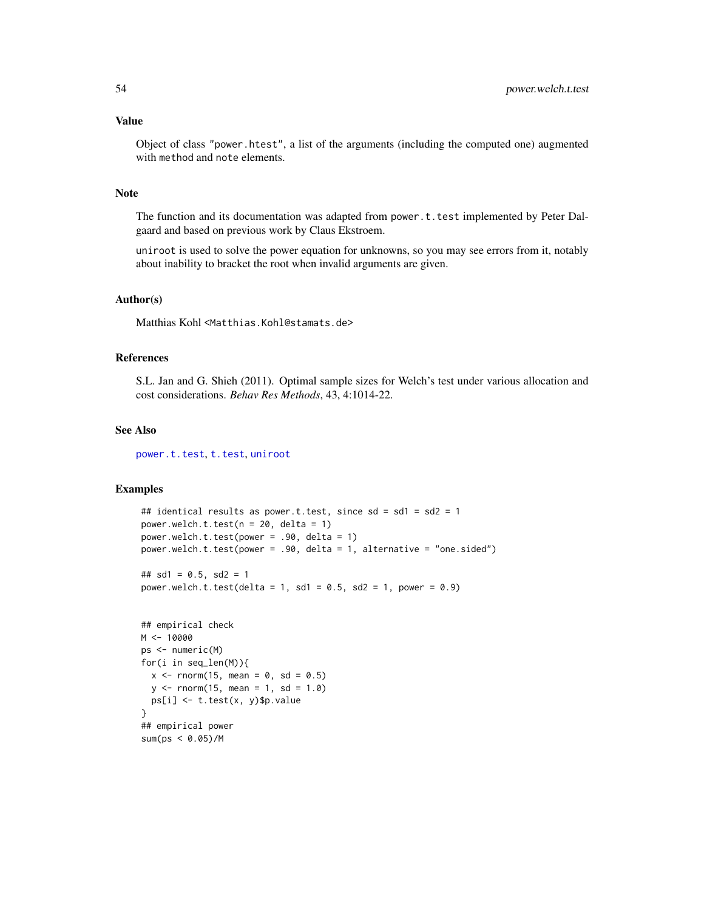### Value

Object of class "power.htest", a list of the arguments (including the computed one) augmented with method and note elements.

# Note

The function and its documentation was adapted from power.t.test implemented by Peter Dalgaard and based on previous work by Claus Ekstroem.

uniroot is used to solve the power equation for unknowns, so you may see errors from it, notably about inability to bracket the root when invalid arguments are given.

# Author(s)

Matthias Kohl <Matthias.Kohl@stamats.de>

#### References

S.L. Jan and G. Shieh (2011). Optimal sample sizes for Welch's test under various allocation and cost considerations. *Behav Res Methods*, 43, 4:1014-22.

# See Also

[power.t.test](#page-0-0), [t.test](#page-0-0), [uniroot](#page-0-0)

```
## identical results as power.t.test, since sd = sd1 = sd2 = 1
power.welch.t.test(n = 20, delta = 1)
power.welch.t.test(power = .90, delta = 1)
power.welch.t.test(power = .90, delta = 1, alternative = "one.sided")
## sd1 = 0.5, sd2 = 1power.welch.t.test(delta = 1, sd1 = 0.5, sd2 = 1, power = 0.9)
## empirical check
M < - 10000ps <- numeric(M)
for(i in seq_len(M)){
 x \le rnorm(15, mean = 0, sd = 0.5)
 y \le - rnorm(15, mean = 1, sd = 1.0)
  ps[i] <- t.test(x, y)$p.value
}
## empirical power
sum(ps < 0.05)/M
```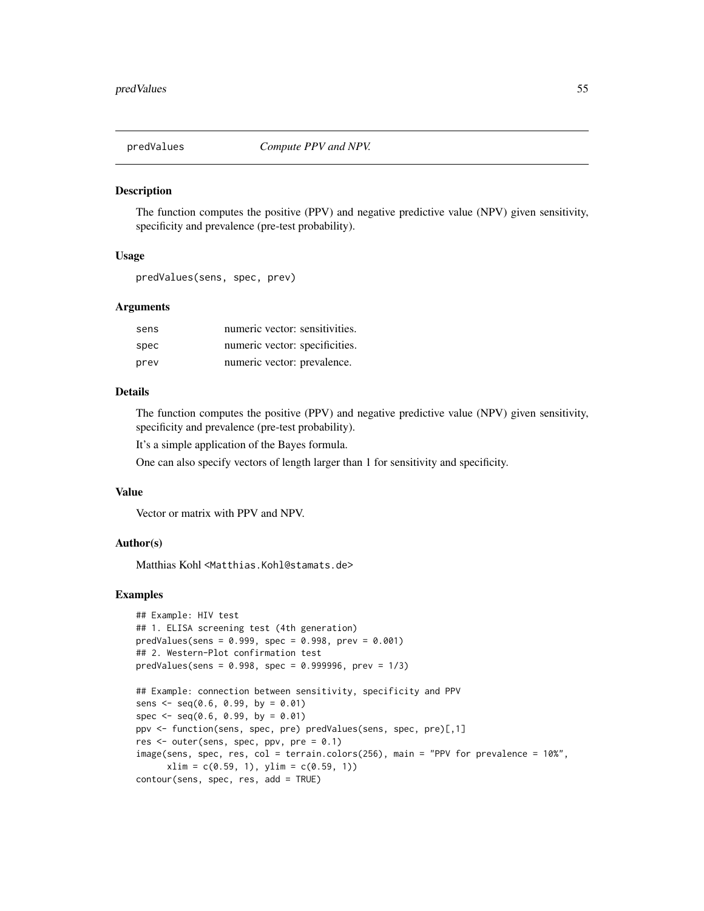The function computes the positive (PPV) and negative predictive value (NPV) given sensitivity, specificity and prevalence (pre-test probability).

### Usage

```
predValues(sens, spec, prev)
```
### Arguments

| sens | numeric vector: sensitivities. |
|------|--------------------------------|
| spec | numeric vector: specificities. |
| prev | numeric vector: prevalence.    |

# Details

The function computes the positive (PPV) and negative predictive value (NPV) given sensitivity, specificity and prevalence (pre-test probability).

It's a simple application of the Bayes formula.

One can also specify vectors of length larger than 1 for sensitivity and specificity.

# Value

Vector or matrix with PPV and NPV.

### Author(s)

Matthias Kohl <Matthias.Kohl@stamats.de>

```
## Example: HIV test
## 1. ELISA screening test (4th generation)
predValues(sens = 0.999, spec = 0.998, prev = 0.001)## 2. Western-Plot confirmation test
predValues(sens = 0.998, spec = 0.999996, prev = 1/3)
## Example: connection between sensitivity, specificity and PPV
sens \leq seq(0.6, 0.99, by = 0.01)
spec <- seq(0.6, 0.99, by = 0.01)ppv <- function(sens, spec, pre) predValues(sens, spec, pre)[,1]
res <- outer(sens, spec, ppv, pre = 0.1)
image(sens, spec, res, col = terrain.colors(256), main = "PPV for prevalence = 10%",
      xlim = c(0.59, 1), ylim = c(0.59, 1))contour(sens, spec, res, add = TRUE)
```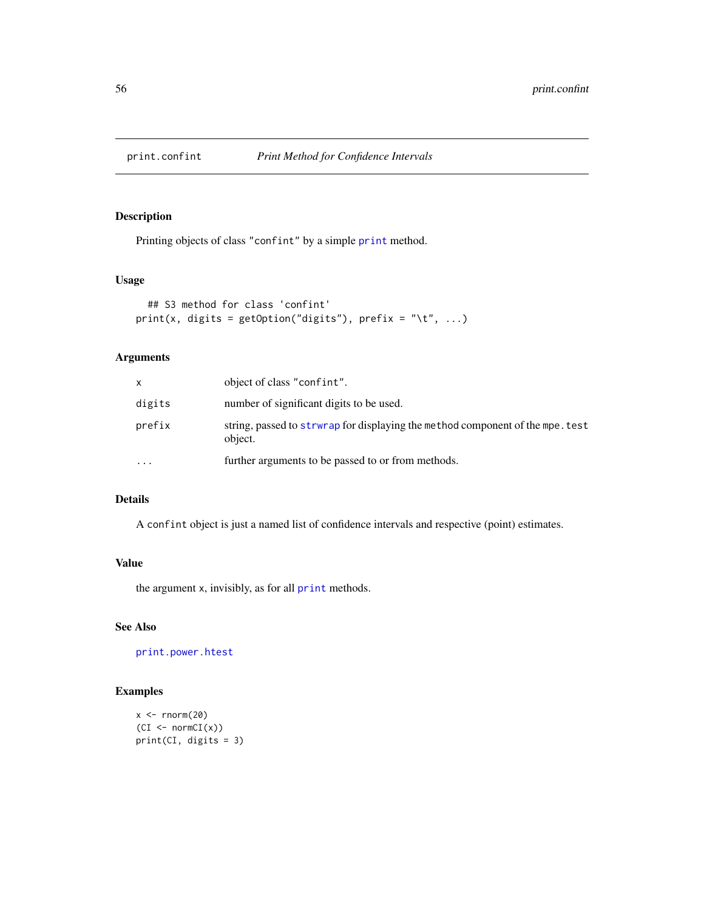Printing objects of class "confint" by a simple [print](#page-0-0) method.

# Usage

```
## S3 method for class 'confint'
print(x, digits = getOption("digits"), prefix = " \t', ...)
```
# Arguments

| x         | object of class "confint".                                                                 |
|-----------|--------------------------------------------------------------------------------------------|
| digits    | number of significant digits to be used.                                                   |
| prefix    | string, passed to strw rap for displaying the method component of the mpe. test<br>object. |
| $\ddotsc$ | further arguments to be passed to or from methods.                                         |

# Details

A confint object is just a named list of confidence intervals and respective (point) estimates.

# Value

the argument x, invisibly, as for all [print](#page-0-0) methods.

# See Also

[print.power.htest](#page-0-0)

```
x \leq -rnorm(20)(CI < -normCI(x))print(CI, digits = 3)
```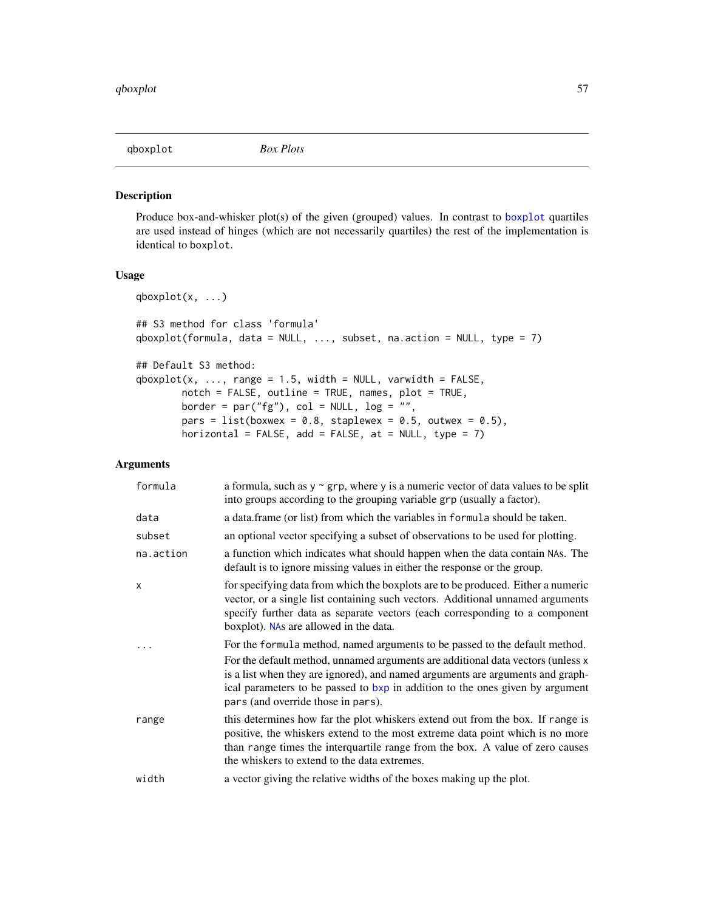Produce box-and-whisker plot(s) of the given (grouped) values. In contrast to [boxplot](#page-0-0) quartiles are used instead of hinges (which are not necessarily quartiles) the rest of the implementation is identical to boxplot.

### Usage

```
qboxplot(x, ...)
## S3 method for class 'formula'
qboxplot(formula, data = NULL, ..., subset, na.action = NULL, type = 7)
## Default S3 method:
qboxplot(x, ..., range = 1.5, width = NULL, variable = FALSE,notch = FALSE, outline = TRUE, names, plot = TRUE,
       border = par("fg"), col = NULL, log = "",
       pars = list(boxwex = 0.8, staplewex = 0.5, outwex = 0.5),
       horizontal = FALSE, add = FALSE, at = NULL, type = 7)
```
### Arguments

| formula   | a formula, such as $y \sim grp$ , where y is a numeric vector of data values to be split<br>into groups according to the grouping variable grp (usually a factor).                                                                                                                                                                                                      |
|-----------|-------------------------------------------------------------------------------------------------------------------------------------------------------------------------------------------------------------------------------------------------------------------------------------------------------------------------------------------------------------------------|
| data      | a data frame (or list) from which the variables in formula should be taken.                                                                                                                                                                                                                                                                                             |
| subset    | an optional vector specifying a subset of observations to be used for plotting.                                                                                                                                                                                                                                                                                         |
| na.action | a function which indicates what should happen when the data contain NAs. The<br>default is to ignore missing values in either the response or the group.                                                                                                                                                                                                                |
| X         | for specifying data from which the boxplots are to be produced. Either a numeric<br>vector, or a single list containing such vectors. Additional unnamed arguments<br>specify further data as separate vectors (each corresponding to a component<br>boxplot). NAs are allowed in the data.                                                                             |
|           | For the formula method, named arguments to be passed to the default method.<br>For the default method, unnamed arguments are additional data vectors (unless x<br>is a list when they are ignored), and named arguments are arguments and graph-<br>ical parameters to be passed to bxp in addition to the ones given by argument<br>pars (and override those in pars). |
| range     | this determines how far the plot whiskers extend out from the box. If range is<br>positive, the whiskers extend to the most extreme data point which is no more<br>than range times the interquartile range from the box. A value of zero causes<br>the whiskers to extend to the data extremes.                                                                        |
| width     | a vector giving the relative widths of the boxes making up the plot.                                                                                                                                                                                                                                                                                                    |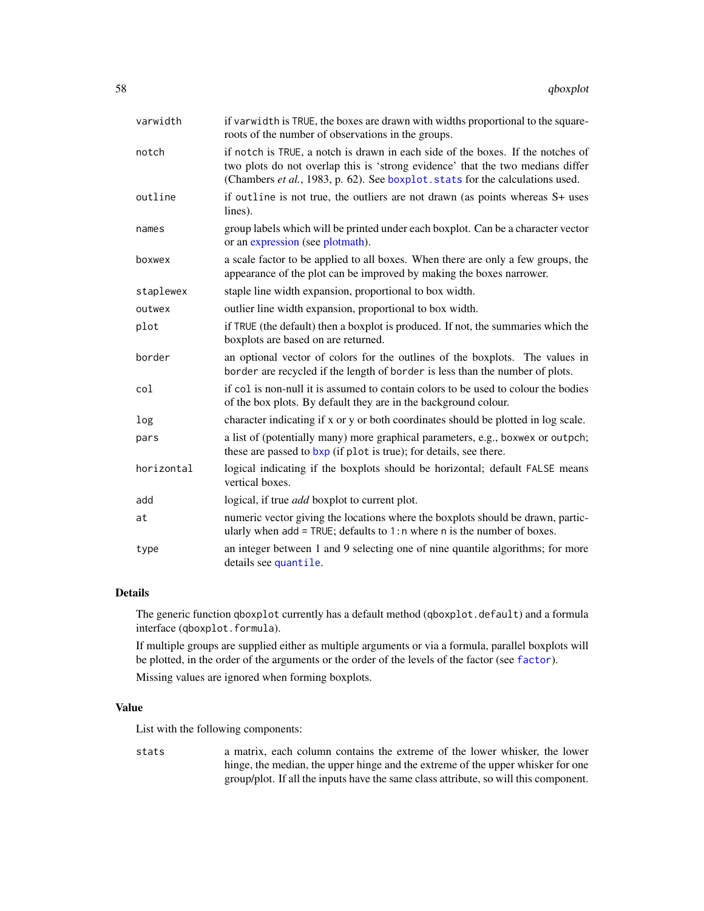| varwidth   | if varwidth is TRUE, the boxes are drawn with widths proportional to the square-<br>roots of the number of observations in the groups.                                                                                                             |
|------------|----------------------------------------------------------------------------------------------------------------------------------------------------------------------------------------------------------------------------------------------------|
| notch      | if notch is TRUE, a notch is drawn in each side of the boxes. If the notches of<br>two plots do not overlap this is 'strong evidence' that the two medians differ<br>(Chambers et al., 1983, p. 62). See boxplot. stats for the calculations used. |
| outline    | if outline is not true, the outliers are not drawn (as points whereas S+ uses<br>lines).                                                                                                                                                           |
| names      | group labels which will be printed under each boxplot. Can be a character vector<br>or an expression (see plotmath).                                                                                                                               |
| boxwex     | a scale factor to be applied to all boxes. When there are only a few groups, the<br>appearance of the plot can be improved by making the boxes narrower.                                                                                           |
| staplewex  | staple line width expansion, proportional to box width.                                                                                                                                                                                            |
| outwex     | outlier line width expansion, proportional to box width.                                                                                                                                                                                           |
| plot       | if TRUE (the default) then a boxplot is produced. If not, the summaries which the<br>boxplots are based on are returned.                                                                                                                           |
| border     | an optional vector of colors for the outlines of the boxplots. The values in<br>border are recycled if the length of border is less than the number of plots.                                                                                      |
| col        | if col is non-null it is assumed to contain colors to be used to colour the bodies<br>of the box plots. By default they are in the background colour.                                                                                              |
| log        | character indicating if x or y or both coordinates should be plotted in log scale.                                                                                                                                                                 |
| pars       | a list of (potentially many) more graphical parameters, e.g., boxwex or outpch;<br>these are passed to bxp (if plot is true); for details, see there.                                                                                              |
| horizontal | logical indicating if the boxplots should be horizontal; default FALSE means<br>vertical boxes.                                                                                                                                                    |
| add        | logical, if true <i>add</i> boxplot to current plot.                                                                                                                                                                                               |
| at         | numeric vector giving the locations where the boxplots should be drawn, partic-<br>ularly when $add = TRUE$ ; defaults to 1:n where n is the number of boxes.                                                                                      |
| type       | an integer between 1 and 9 selecting one of nine quantile algorithms; for more<br>details see quantile.                                                                                                                                            |

# Details

The generic function qboxplot currently has a default method (qboxplot.default) and a formula interface (qboxplot.formula).

If multiple groups are supplied either as multiple arguments or via a formula, parallel boxplots will be plotted, in the order of the arguments or the order of the levels of the factor (see [factor](#page-0-0)).

Missing values are ignored when forming boxplots.

# Value

List with the following components:

stats a matrix, each column contains the extreme of the lower whisker, the lower hinge, the median, the upper hinge and the extreme of the upper whisker for one group/plot. If all the inputs have the same class attribute, so will this component.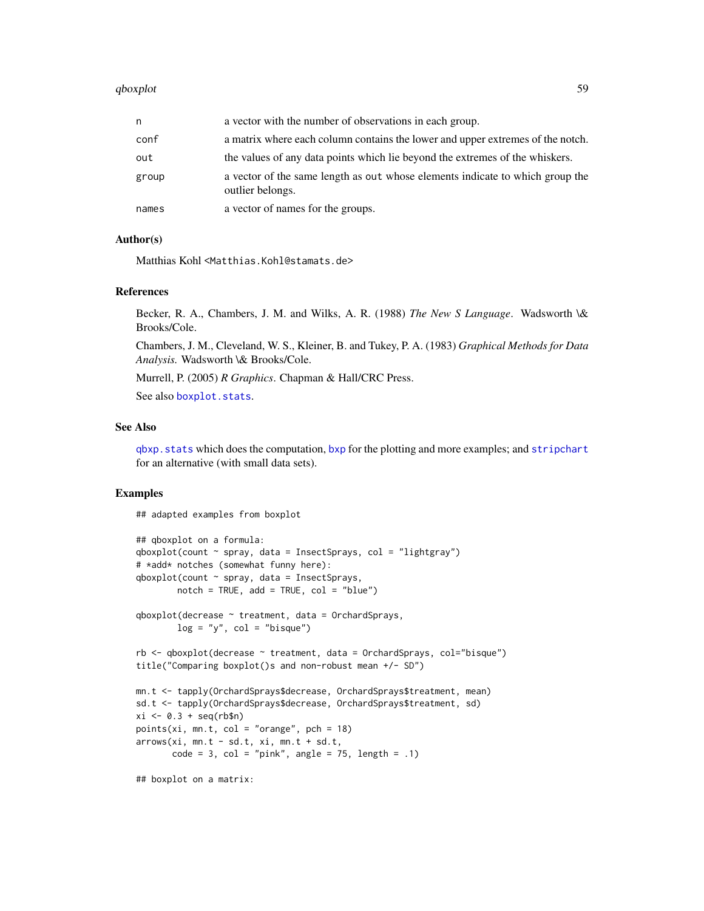#### qboxplot 59

| n     | a vector with the number of observations in each group.                                           |
|-------|---------------------------------------------------------------------------------------------------|
| conf  | a matrix where each column contains the lower and upper extremes of the notch.                    |
| out   | the values of any data points which lie beyond the extremes of the whiskers.                      |
| group | a vector of the same length as out whose elements indicate to which group the<br>outlier belongs. |
| names | a vector of names for the groups.                                                                 |

### Author(s)

Matthias Kohl <Matthias.Kohl@stamats.de>

# References

Becker, R. A., Chambers, J. M. and Wilks, A. R. (1988) *The New S Language*. Wadsworth \& Brooks/Cole.

Chambers, J. M., Cleveland, W. S., Kleiner, B. and Tukey, P. A. (1983) *Graphical Methods for Data Analysis.* Wadsworth \& Brooks/Cole.

Murrell, P. (2005) *R Graphics*. Chapman & Hall/CRC Press.

See also [boxplot.stats](#page-0-0).

#### See Also

[qbxp.stats](#page-59-0) which does the computation, [bxp](#page-0-0) for the plotting and more examples; and [stripchart](#page-0-0) for an alternative (with small data sets).

### Examples

## adapted examples from boxplot

```
## qboxplot on a formula:
qboxplot(count \sim spray, data = InsectSprays, col = "lightgray")# *add* notches (somewhat funny here):
qboxplot(count \sim spray, data = InsectSprays,notch = TRUE, add = TRUE, col = "blue")qboxplot(decrease ~ treatment, data = OrchardSprays,
        log = "y", col = "bisque")rb <- qboxplot(decrease ~ treatment, data = OrchardSprays, col="bisque")
title("Comparing boxplot()s and non-robust mean +/- SD")
mn.t <- tapply(OrchardSprays$decrease, OrchardSprays$treatment, mean)
sd.t <- tapply(OrchardSprays$decrease, OrchardSprays$treatment, sd)
xi \leftarrow 0.3 + seq(rb$n)points(xi, mn.t, col = "orange", pch = 18)
arrows(xi, mn.t - sd.t, xi, mn.t + sd.t,
       code = 3, col = "pink", angle = 75, length = .1)## boxplot on a matrix:
```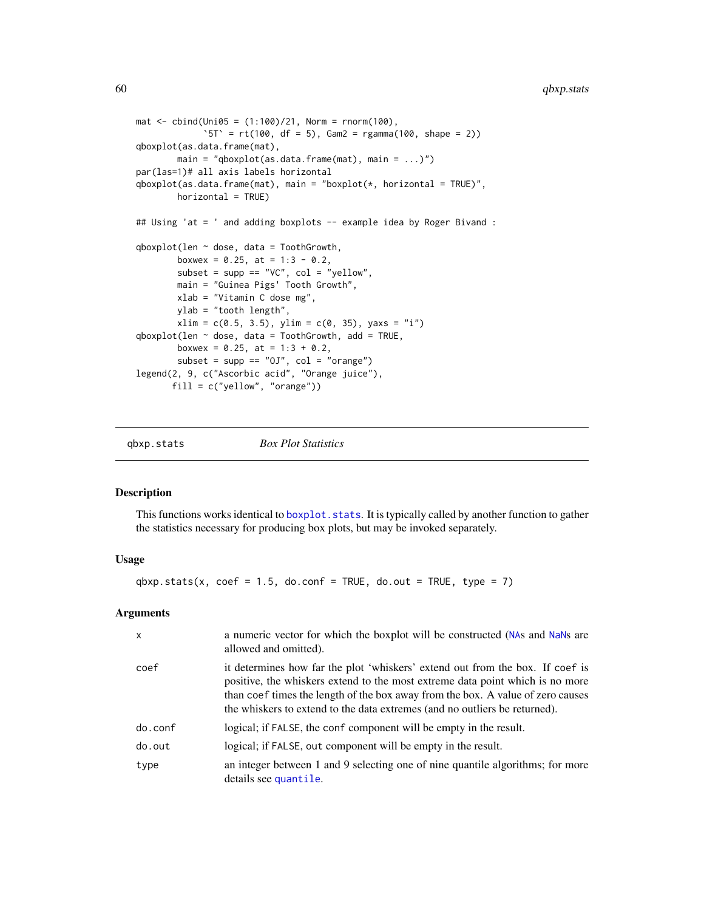```
\text{mat} < - \text{cbind}(\text{Uni05} = (1:100)/21, \text{Norm} = \text{norm}(100),`5T` = rt(100, df = 5), Gam2 = rgamma(100, shape = 2))
qboxplot(as.data.frame(mat),
        main = "qboxplot(as.data-frame(mat), main = ... )")par(las=1)# all axis labels horizontal
qboxplot(as.data.frame(mat), main = "boxplot(*, horizontal = TRUE)",
        horizontal = TRUE)
## Using 'at = ' and adding boxplots -- example idea by Roger Bivand :
qboxplot(len \sim dose, data = ToothGrowth,
        boxwex = 0.25, at = 1:3 - 0.2,
        subset = supp == "VC", col = "yellow",
        main = "Guinea Pigs' Tooth Growth",
        xlab = "Vitamin C dose mg",
        ylab = "tooth length",
        xlim = c(0.5, 3.5), ylim = c(0, 35), yaxs = "i")qboxplot(len ~ does, data = ToothGrowth, add = TRUE,boxwex = 0.25, at = 1:3 + 0.2,
        subset = supp == "0J", col = "orange")legend(2, 9, c("Ascorbic acid", "Orange juice"),
       fill = c("yellow", "orange"))
```
<span id="page-59-0"></span>

qbxp.stats *Box Plot Statistics*

# Description

This functions works identical to boxplot. stats. It is typically called by another function to gather the statistics necessary for producing box plots, but may be invoked separately.

### Usage

 $qbxp.stats(x, coef = 1.5, do.config = TRUE, do.out = TRUE, type = 7)$ 

### Arguments

| $\boldsymbol{\mathsf{x}}$ | a numeric vector for which the boxplot will be constructed (NAs and NaNs are<br>allowed and omitted).                                                                                                                                                                                                                           |
|---------------------------|---------------------------------------------------------------------------------------------------------------------------------------------------------------------------------------------------------------------------------------------------------------------------------------------------------------------------------|
| coef                      | it determines how far the plot 'whiskers' extend out from the box. If coef is<br>positive, the whiskers extend to the most extreme data point which is no more<br>than coef times the length of the box away from the box. A value of zero causes<br>the whiskers to extend to the data extremes (and no outliers be returned). |
| do.conf                   | logical; if FALSE, the conf component will be empty in the result.                                                                                                                                                                                                                                                              |
| do.out                    | logical; if FALSE, out component will be empty in the result.                                                                                                                                                                                                                                                                   |
| type                      | an integer between 1 and 9 selecting one of nine quantile algorithms; for more<br>details see quantile.                                                                                                                                                                                                                         |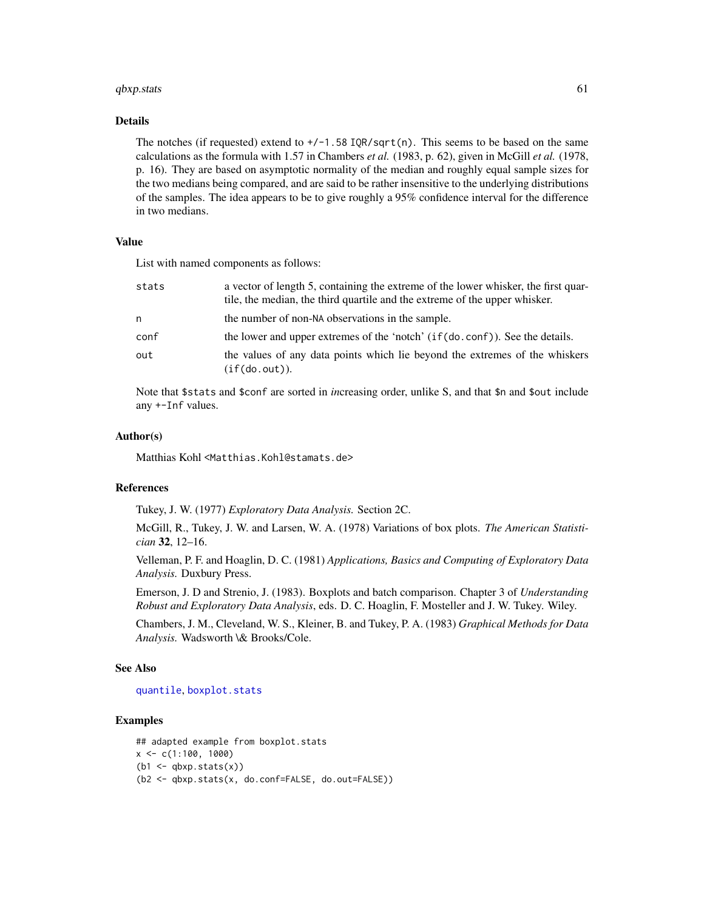#### $q$ bxp.stats 61

# Details

The notches (if requested) extend to  $+/-1.58$  IOR/sqrt(n). This seems to be based on the same calculations as the formula with 1.57 in Chambers *et al.* (1983, p. 62), given in McGill *et al.* (1978, p. 16). They are based on asymptotic normality of the median and roughly equal sample sizes for the two medians being compared, and are said to be rather insensitive to the underlying distributions of the samples. The idea appears to be to give roughly a 95% confidence interval for the difference in two medians.

# Value

List with named components as follows:

| stats | a vector of length 5, containing the extreme of the lower whisker, the first quar-<br>tile, the median, the third quartile and the extreme of the upper whisker. |
|-------|------------------------------------------------------------------------------------------------------------------------------------------------------------------|
| n     | the number of non-NA observations in the sample.                                                                                                                 |
| conf  | the lower and upper extremes of the 'notch' (if(do.conf)). See the details.                                                                                      |
| out   | the values of any data points which lie beyond the extremes of the whiskers<br>(if(do.out)).                                                                     |

Note that \$stats and \$conf are sorted in *in*creasing order, unlike S, and that \$n and \$out include any +-Inf values.

### Author(s)

Matthias Kohl <Matthias.Kohl@stamats.de>

### References

Tukey, J. W. (1977) *Exploratory Data Analysis.* Section 2C.

McGill, R., Tukey, J. W. and Larsen, W. A. (1978) Variations of box plots. *The American Statistician* 32, 12–16.

Velleman, P. F. and Hoaglin, D. C. (1981) *Applications, Basics and Computing of Exploratory Data Analysis.* Duxbury Press.

Emerson, J. D and Strenio, J. (1983). Boxplots and batch comparison. Chapter 3 of *Understanding Robust and Exploratory Data Analysis*, eds. D. C. Hoaglin, F. Mosteller and J. W. Tukey. Wiley.

Chambers, J. M., Cleveland, W. S., Kleiner, B. and Tukey, P. A. (1983) *Graphical Methods for Data Analysis.* Wadsworth \& Brooks/Cole.

#### See Also

#### [quantile](#page-0-0), [boxplot.stats](#page-0-0)

```
## adapted example from boxplot.stats
x \leq -c(1:100, 1000)(b1 \leftarrow \text{qbxp}.stats(x))(b2 <- qbxp.stats(x, do.conf=FALSE, do.out=FALSE))
```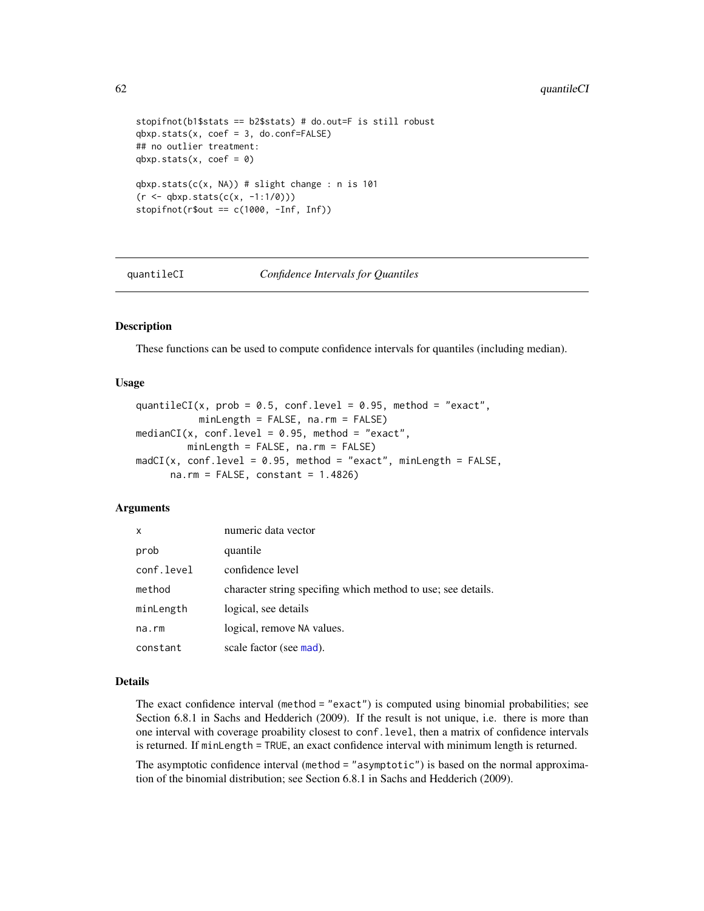```
stopifnot(b1$stats == b2$stats) # do.out=F is still robust
qbxp.stats(x, coef = 3, do.config=False)## no outlier treatment:
qbxp.stats(x, coef = 0)qbxp.stats(c(x, NA)) # slight change : n is 101
(r < -qbxp.stats(c(x, -1:1/0)))stopifnot(r$out == c(1000, -Inf, Inf))
```
quantileCI *Confidence Intervals for Quantiles*

#### **Description**

These functions can be used to compute confidence intervals for quantiles (including median).

## Usage

```
quantileCI(x, prob = 0.5, conf.level = 0.95, method = "exact",
           minLength = FALSE, na.rm = FALSE)medianCI(x, conf.level = 0.95, method = "exact",
        minLength = FALSE, na.rm = FALSE)
madCI(x, conf.level = 0.95, method = "exact", minLength = FALSE,na.rm = FALSE, constant = 1.4826)
```
### **Arguments**

| $\mathsf{x}$ | numeric data vector                                          |
|--------------|--------------------------------------------------------------|
| prob         | quantile                                                     |
| conf.level   | confidence level                                             |
| method       | character string specifing which method to use; see details. |
| minLength    | logical, see details                                         |
| $na$ . $rm$  | logical, remove NA values.                                   |
| constant     | scale factor (see mad).                                      |

### Details

The exact confidence interval (method = "exact") is computed using binomial probabilities; see Section 6.8.1 in Sachs and Hedderich (2009). If the result is not unique, i.e. there is more than one interval with coverage proability closest to conf.level, then a matrix of confidence intervals is returned. If minLength = TRUE, an exact confidence interval with minimum length is returned.

The asymptotic confidence interval (method = "asymptotic") is based on the normal approximation of the binomial distribution; see Section 6.8.1 in Sachs and Hedderich (2009).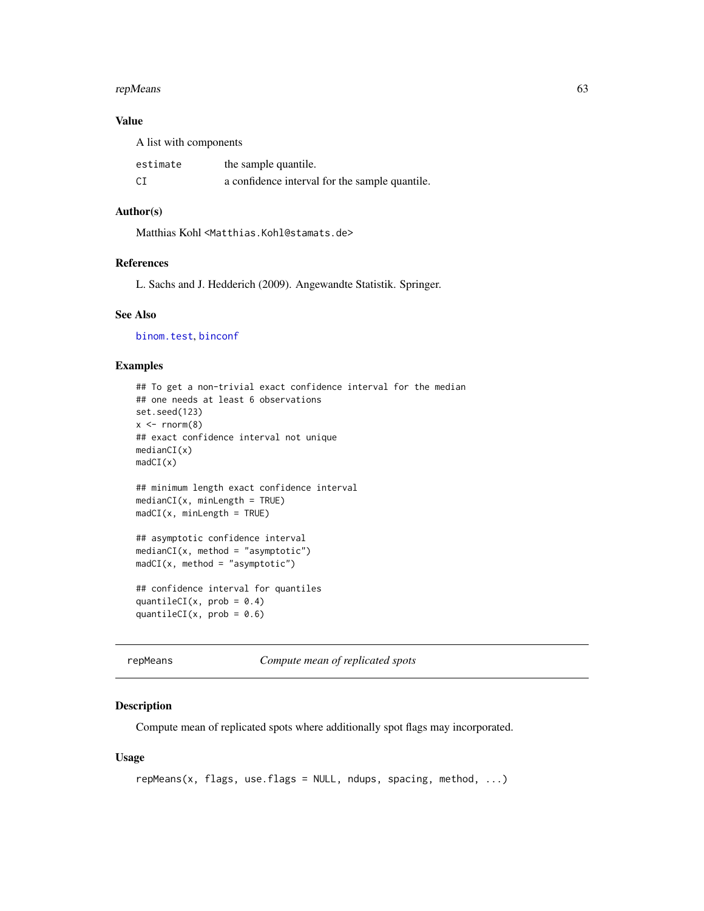#### repMeans 63

# Value

A list with components estimate the sample quantile. CI a confidence interval for the sample quantile.

### Author(s)

Matthias Kohl <Matthias.Kohl@stamats.de>

# References

L. Sachs and J. Hedderich (2009). Angewandte Statistik. Springer.

### See Also

[binom.test](#page-0-0), [binconf](#page-0-0)

# Examples

```
## To get a non-trivial exact confidence interval for the median
## one needs at least 6 observations
set.seed(123)
x \le - rnorm(8)## exact confidence interval not unique
medianCI(x)
madCI(x)
## minimum length exact confidence interval
medianCI(x, minLength = TRUE)
madCI(x, minLength = TRUE)## asymptotic confidence interval
medianCI(x, method = "asymptotic")
madCI(x, method = "asymptotic")
## confidence interval for quantiles
quantileCI(x, prob = 0.4)
quantileCI(x, \text{prob} = 0.6)
```
repMeans *Compute mean of replicated spots*

# Description

Compute mean of replicated spots where additionally spot flags may incorporated.

# Usage

```
repMeans(x, flags, use-flags = NULL, ndups, spacing, method, ...)
```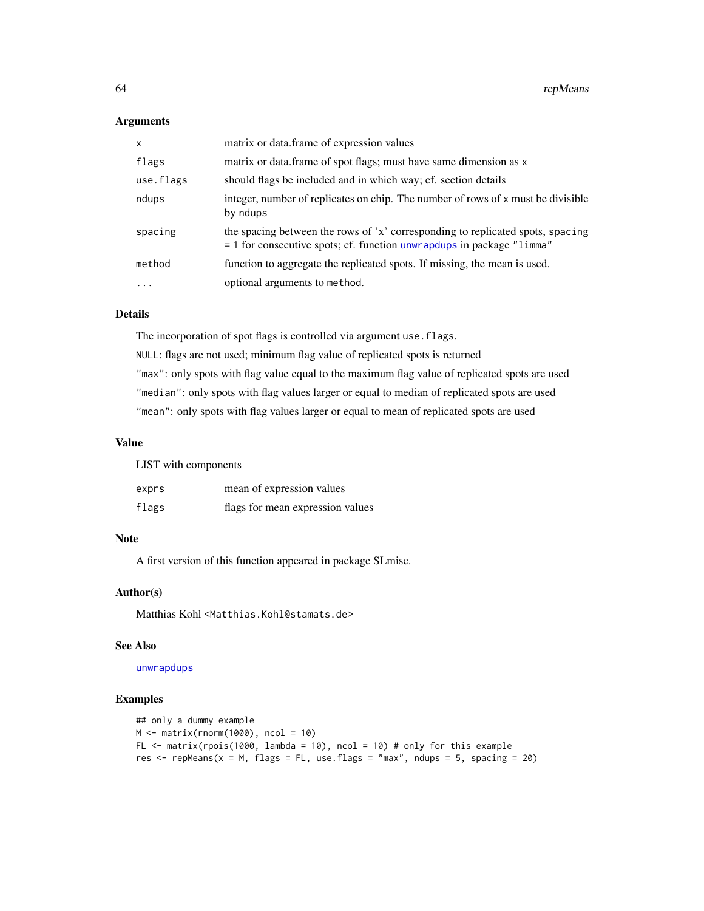### Arguments

| $\mathsf{x}$ | matrix or data.frame of expression values                                                                                                                 |
|--------------|-----------------------------------------------------------------------------------------------------------------------------------------------------------|
| flags        | matrix or data. frame of spot flags; must have same dimension as x                                                                                        |
| use.flags    | should flags be included and in which way; cf. section details                                                                                            |
| ndups        | integer, number of replicates on chip. The number of rows of x must be divisible<br>by ndups                                                              |
| spacing      | the spacing between the rows of 'x' corresponding to replicated spots, spacing<br>$=$ 1 for consecutive spots; cf. function unwrapdups in package "limma" |
| method       | function to aggregate the replicated spots. If missing, the mean is used.                                                                                 |
|              | optional arguments to method.                                                                                                                             |

# Details

The incorporation of spot flags is controlled via argument use.flags. NULL: flags are not used; minimum flag value of replicated spots is returned "max": only spots with flag value equal to the maximum flag value of replicated spots are used "median": only spots with flag values larger or equal to median of replicated spots are used "mean": only spots with flag values larger or equal to mean of replicated spots are used

# Value

|  |  | LIST with components |  |
|--|--|----------------------|--|
|--|--|----------------------|--|

| exprs | mean of expression values        |
|-------|----------------------------------|
| flags | flags for mean expression values |

# Note

A first version of this function appeared in package SLmisc.

### Author(s)

Matthias Kohl <Matthias.Kohl@stamats.de>

# See Also

[unwrapdups](#page-0-0)

```
## only a dummy example
M <- matrix(rnorm(1000), ncol = 10)
FL \le matrix(rpois(1000, lambda = 10), ncol = 10) # only for this example
res \le repMeans(x = M, flags = FL, use.flags = "max", ndups = 5, spacing = 20)
```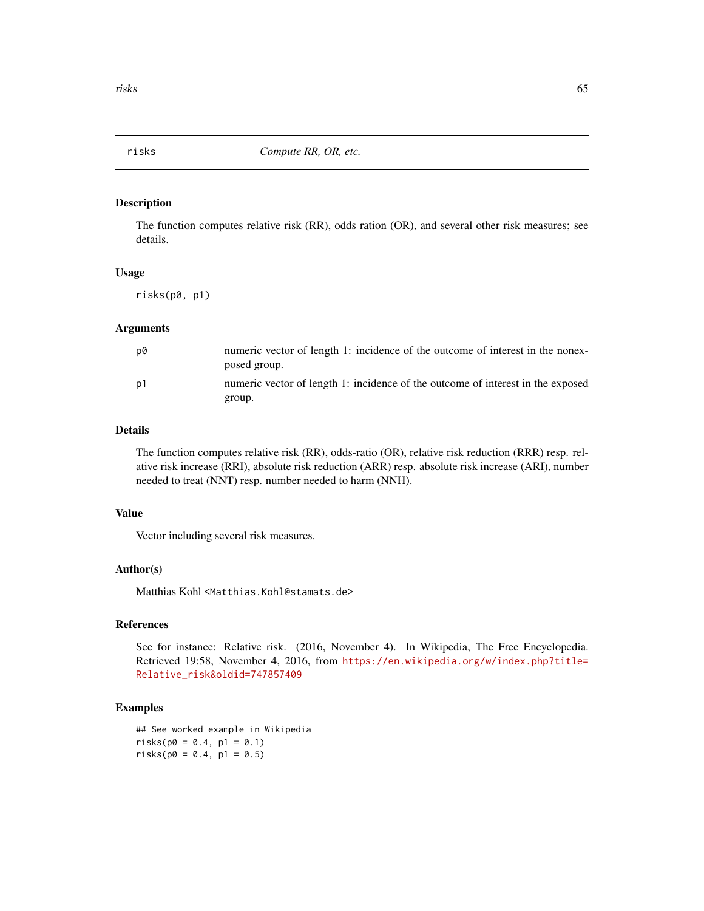The function computes relative risk (RR), odds ration (OR), and several other risk measures; see details.

### Usage

risks(p0, p1)

# Arguments

| D0 | numeric vector of length 1: incidence of the outcome of interest in the nonex-<br>posed group. |
|----|------------------------------------------------------------------------------------------------|
| p1 | numeric vector of length 1: incidence of the outcome of interest in the exposed                |
|    | group.                                                                                         |

### Details

The function computes relative risk (RR), odds-ratio (OR), relative risk reduction (RRR) resp. relative risk increase (RRI), absolute risk reduction (ARR) resp. absolute risk increase (ARI), number needed to treat (NNT) resp. number needed to harm (NNH).

# Value

Vector including several risk measures.

## Author(s)

Matthias Kohl <Matthias.Kohl@stamats.de>

### References

See for instance: Relative risk. (2016, November 4). In Wikipedia, The Free Encyclopedia. Retrieved 19:58, November 4, 2016, from [https://en.wikipedia.org/w/index.php?title=](https://en.wikipedia.org/w/index.php?title=Relative_risk&oldid=747857409) [Relative\\_risk&oldid=747857409](https://en.wikipedia.org/w/index.php?title=Relative_risk&oldid=747857409)

# Examples

## See worked example in Wikipedia  $risks(p0 = 0.4, p1 = 0.1)$  $risks(p0 = 0.4, p1 = 0.5)$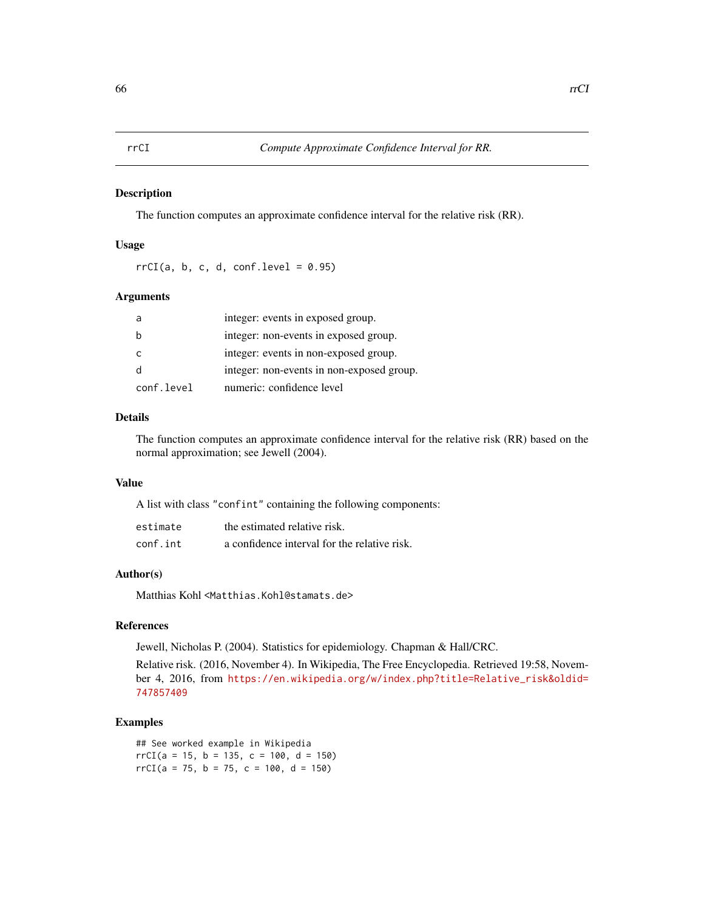The function computes an approximate confidence interval for the relative risk (RR).

# Usage

 $rrCI(a, b, c, d, conf. level = 0.95)$ 

### Arguments

|            | integer: events in exposed group.         |
|------------|-------------------------------------------|
|            | integer: non-events in exposed group.     |
|            | integer: events in non-exposed group.     |
|            | integer: non-events in non-exposed group. |
| conf.level | numeric: confidence level                 |

# Details

The function computes an approximate confidence interval for the relative risk (RR) based on the normal approximation; see Jewell (2004).

### Value

A list with class "confint" containing the following components:

| estimate | the estimated relative risk.                 |
|----------|----------------------------------------------|
| conf.int | a confidence interval for the relative risk. |

# Author(s)

Matthias Kohl <Matthias.Kohl@stamats.de>

## References

Jewell, Nicholas P. (2004). Statistics for epidemiology. Chapman & Hall/CRC.

Relative risk. (2016, November 4). In Wikipedia, The Free Encyclopedia. Retrieved 19:58, November 4, 2016, from [https://en.wikipedia.org/w/index.php?title=Relative\\_risk&oldid=](https://en.wikipedia.org/w/index.php?title=Relative_risk&oldid=747857409) [747857409](https://en.wikipedia.org/w/index.php?title=Relative_risk&oldid=747857409)

### Examples

## See worked example in Wikipedia  $rrCI(a = 15, b = 135, c = 100, d = 150)$  $rrCI(a = 75, b = 75, c = 100, d = 150)$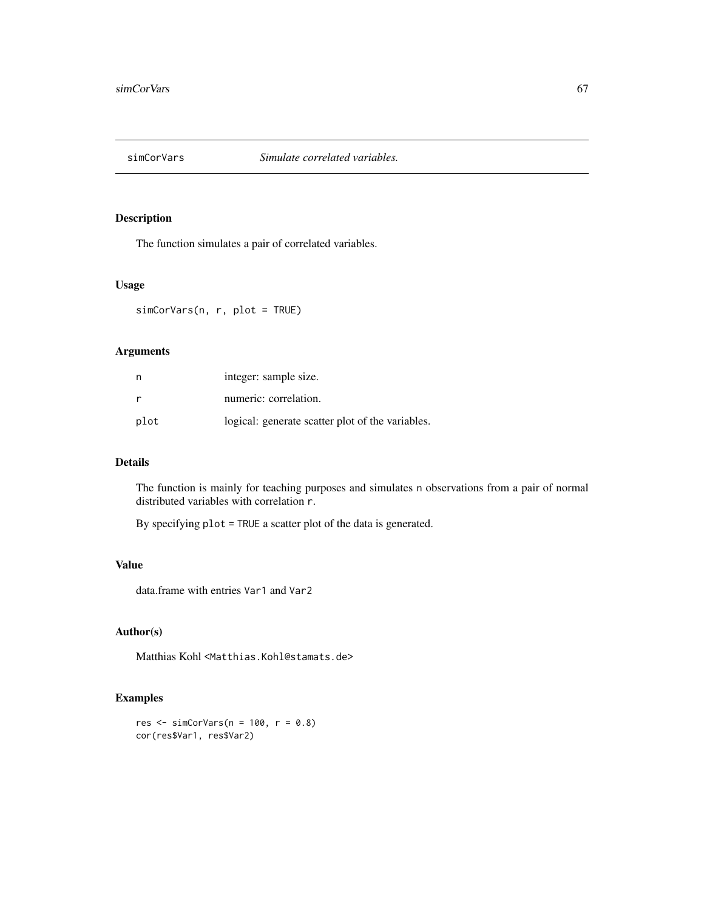The function simulates a pair of correlated variables.

# Usage

simCorVars(n, r, plot = TRUE)

# Arguments

| n    | integer: sample size.                            |
|------|--------------------------------------------------|
| r    | numeric: correlation.                            |
| plot | logical: generate scatter plot of the variables. |

# Details

The function is mainly for teaching purposes and simulates n observations from a pair of normal distributed variables with correlation r.

By specifying plot = TRUE a scatter plot of the data is generated.

# Value

data.frame with entries Var1 and Var2

#### Author(s)

Matthias Kohl <Matthias.Kohl@stamats.de>

```
res \le simCorVars(n = 100, r = 0.8)
cor(res$Var1, res$Var2)
```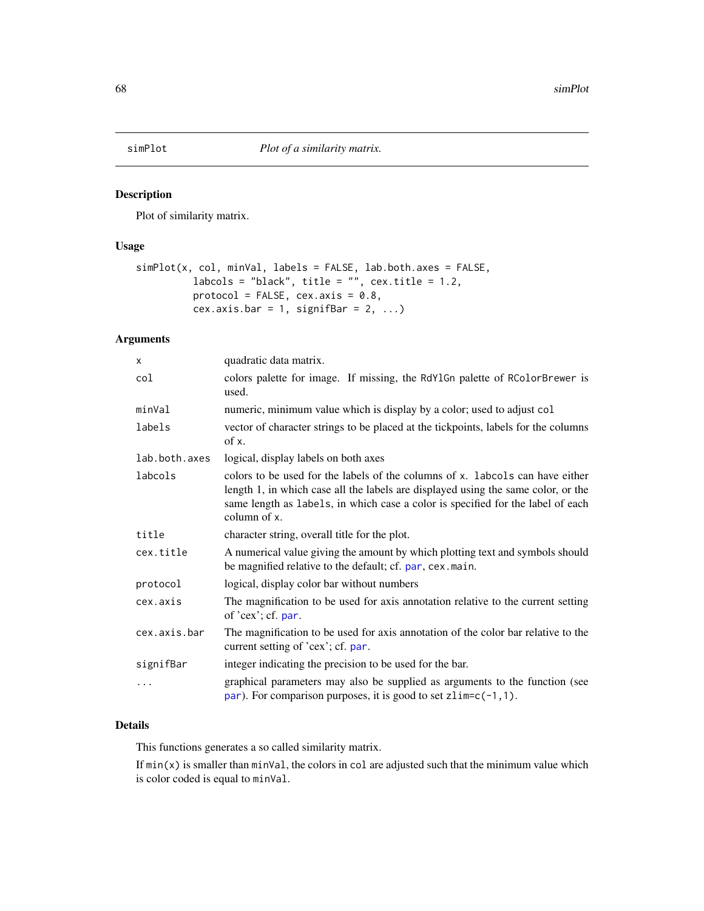Plot of similarity matrix.

# Usage

```
simPlot(x, col, minVal, labels = FALSE, lab.both.axes = FALSE,
         labcols = "black", title = "", cex.title = 1.2,
          protocol = FALSE, cex.axis = 0.8,
          cex.axis.bar = 1, signifBar = 2, ...)
```
# Arguments

| x             | quadratic data matrix.                                                                                                                                                                                                                                                |
|---------------|-----------------------------------------------------------------------------------------------------------------------------------------------------------------------------------------------------------------------------------------------------------------------|
| col           | colors palette for image. If missing, the RdY1Gn palette of RColorBrewer is<br>used.                                                                                                                                                                                  |
| minVal        | numeric, minimum value which is display by a color; used to adjust col                                                                                                                                                                                                |
| labels        | vector of character strings to be placed at the tickpoints, labels for the columns<br>of x.                                                                                                                                                                           |
| lab.both.axes | logical, display labels on both axes                                                                                                                                                                                                                                  |
| labcols       | colors to be used for the labels of the columns of x. labcols can have either<br>length 1, in which case all the labels are displayed using the same color, or the<br>same length as labels, in which case a color is specified for the label of each<br>column of x. |
| title         | character string, overall title for the plot.                                                                                                                                                                                                                         |
| cex.title     | A numerical value giving the amount by which plotting text and symbols should<br>be magnified relative to the default; cf. par, cex. main.                                                                                                                            |
| protocol      | logical, display color bar without numbers                                                                                                                                                                                                                            |
| cex.axis      | The magnification to be used for axis annotation relative to the current setting<br>of $'cex$ ; cf. par.                                                                                                                                                              |
| cex.axis.bar  | The magnification to be used for axis annotation of the color bar relative to the<br>current setting of 'cex'; cf. par.                                                                                                                                               |
| signifBar     | integer indicating the precision to be used for the bar.                                                                                                                                                                                                              |
| .             | graphical parameters may also be supplied as arguments to the function (see<br>par). For comparison purposes, it is good to set $zlim=c(-1,1)$ .                                                                                                                      |

# Details

This functions generates a so called similarity matrix.

If  $min(x)$  is smaller than  $minVal$ , the colors in col are adjusted such that the minimum value which is color coded is equal to minVal.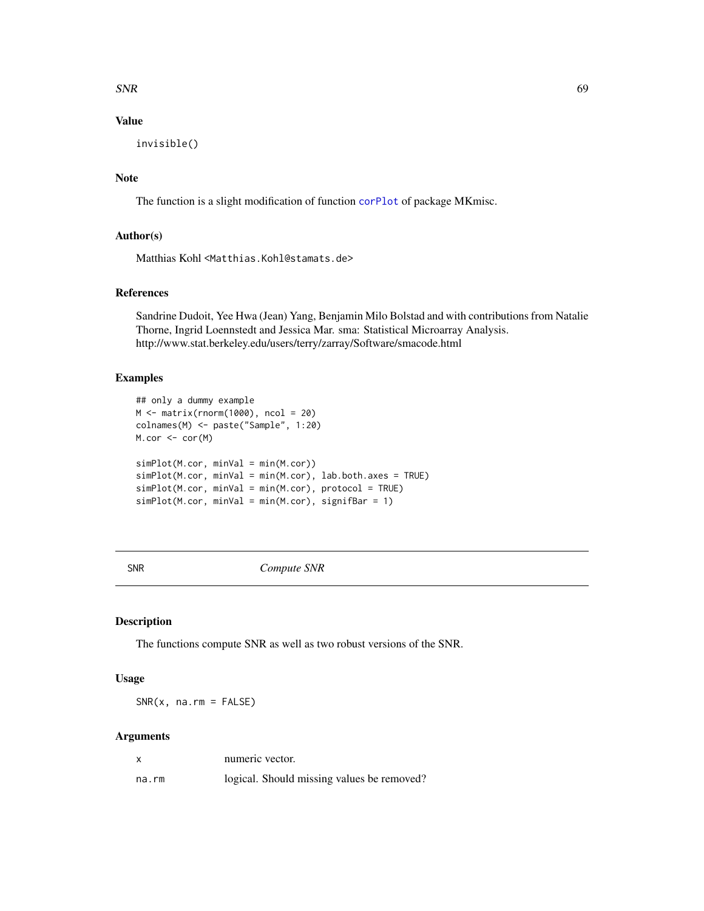### $SNR$  69

# Value

invisible()

# Note

The function is a slight modification of function [corPlot](#page-8-0) of package MKmisc.

### Author(s)

Matthias Kohl <Matthias.Kohl@stamats.de>

# References

Sandrine Dudoit, Yee Hwa (Jean) Yang, Benjamin Milo Bolstad and with contributions from Natalie Thorne, Ingrid Loennstedt and Jessica Mar. sma: Statistical Microarray Analysis. http://www.stat.berkeley.edu/users/terry/zarray/Software/smacode.html

# Examples

```
## only a dummy example
M <- matrix(rnorm(1000), ncol = 20)
colnames(M) <- paste("Sample", 1:20)
M.cor <- cor(M)
simPlot(M.cor, minVal = min(M.cor))
simPlot(M.cor, minVal = min(M.cor), lab.both.axes = TRUE)
simPlot(M.cor, minVal = min(M.cor), protocol = TRUE)
simPlot(M.cor, minVal = min(M.cor), signifBar = 1)
```
SNR *Compute SNR*

### Description

The functions compute SNR as well as two robust versions of the SNR.

### Usage

 $SNR(x, na.rm = FALSE)$ 

### Arguments

| X     | numeric vector.                            |
|-------|--------------------------------------------|
| na.rm | logical. Should missing values be removed? |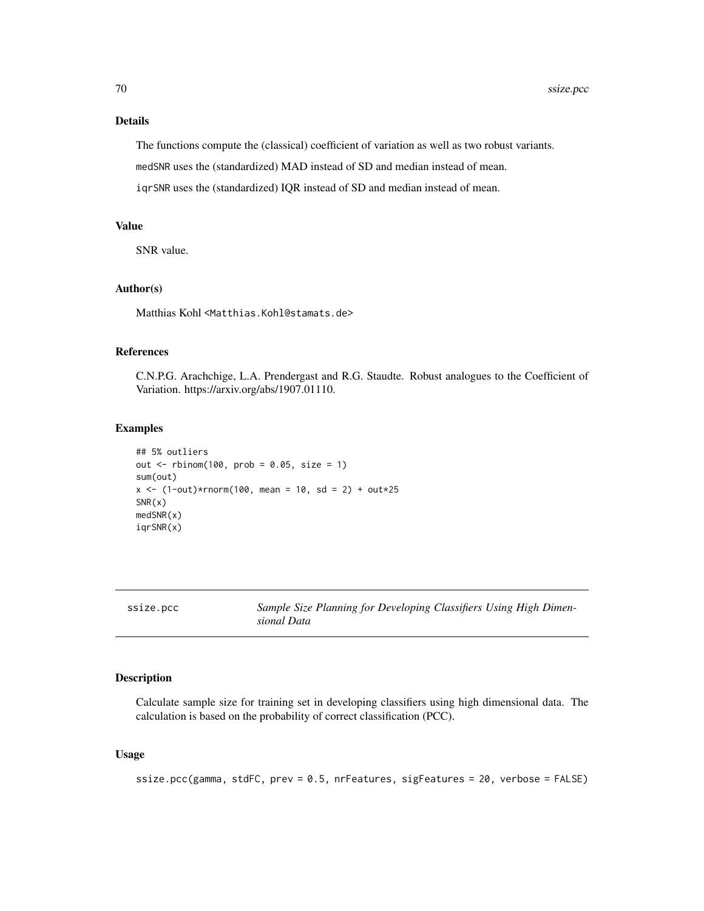# Details

The functions compute the (classical) coefficient of variation as well as two robust variants. medSNR uses the (standardized) MAD instead of SD and median instead of mean.

iqrSNR uses the (standardized) IQR instead of SD and median instead of mean.

# Value

SNR value.

# Author(s)

Matthias Kohl <Matthias.Kohl@stamats.de>

# References

C.N.P.G. Arachchige, L.A. Prendergast and R.G. Staudte. Robust analogues to the Coefficient of Variation. https://arxiv.org/abs/1907.01110.

### Examples

```
## 5% outliers
out \le rbinom(100, prob = 0.05, size = 1)
sum(out)
x \le - (1-out)*rnorm(100, mean = 10, sd = 2) + out*25
SNR(x)medSNR(x)
iqrSNR(x)
```

|  |  | ssize.pcc |  |
|--|--|-----------|--|
|  |  |           |  |

ize.pcc Sample Size Planning for Developing Classifiers Using High Dimen*sional Data*

# Description

Calculate sample size for training set in developing classifiers using high dimensional data. The calculation is based on the probability of correct classification (PCC).

### Usage

ssize.pcc(gamma, stdFC, prev = 0.5, nrFeatures, sigFeatures = 20, verbose = FALSE)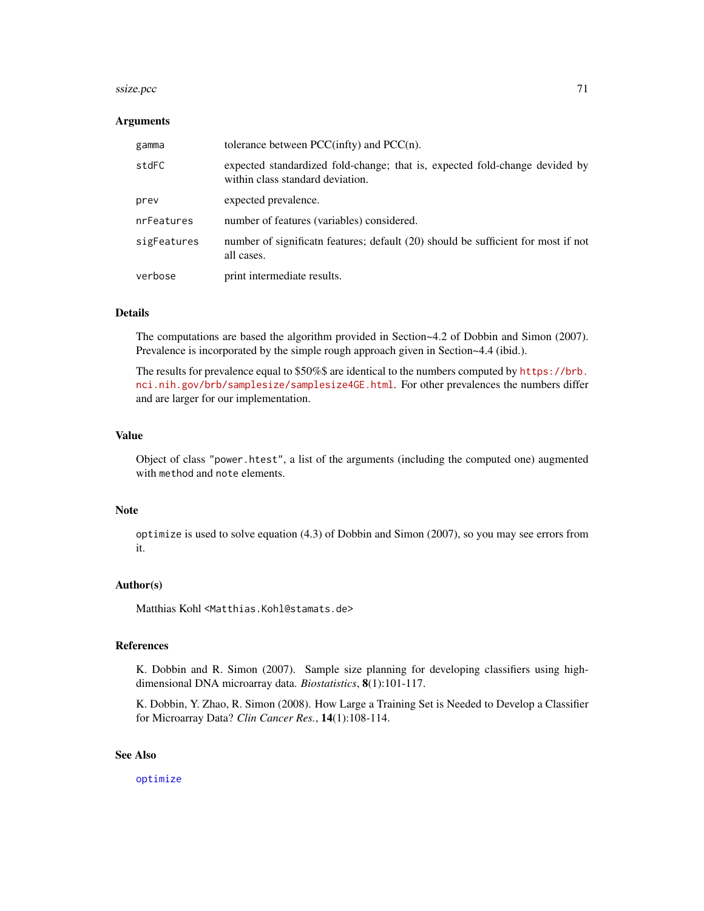#### $ssize, pcc$   $71$

#### Arguments

| gamma       | tolerance between $PCC(intty)$ and $PCC(n)$ .                                                                   |
|-------------|-----------------------------------------------------------------------------------------------------------------|
| stdFC       | expected standardized fold-change; that is, expected fold-change devided by<br>within class standard deviation. |
| prev        | expected prevalence.                                                                                            |
| nrFeatures  | number of features (variables) considered.                                                                      |
| sigFeatures | number of significat tfeatures; default (20) should be sufficient for most if not<br>all cases.                 |
| verbose     | print intermediate results.                                                                                     |

# Details

The computations are based the algorithm provided in Section~4.2 of Dobbin and Simon (2007). Prevalence is incorporated by the simple rough approach given in Section~4.4 (ibid.).

The results for prevalence equal to \$50%\$ are identical to the numbers computed by [https://brb.](https://brb.nci.nih.gov/brb/samplesize/samplesize4GE.html) [nci.nih.gov/brb/samplesize/samplesize4GE.html](https://brb.nci.nih.gov/brb/samplesize/samplesize4GE.html). For other prevalences the numbers differ and are larger for our implementation.

# Value

Object of class "power.htest", a list of the arguments (including the computed one) augmented with method and note elements.

### Note

optimize is used to solve equation (4.3) of Dobbin and Simon (2007), so you may see errors from it.

# Author(s)

Matthias Kohl <Matthias.Kohl@stamats.de>

#### References

K. Dobbin and R. Simon (2007). Sample size planning for developing classifiers using highdimensional DNA microarray data. *Biostatistics*, 8(1):101-117.

K. Dobbin, Y. Zhao, R. Simon (2008). How Large a Training Set is Needed to Develop a Classifier for Microarray Data? *Clin Cancer Res.*, 14(1):108-114.

### See Also

[optimize](#page-0-0)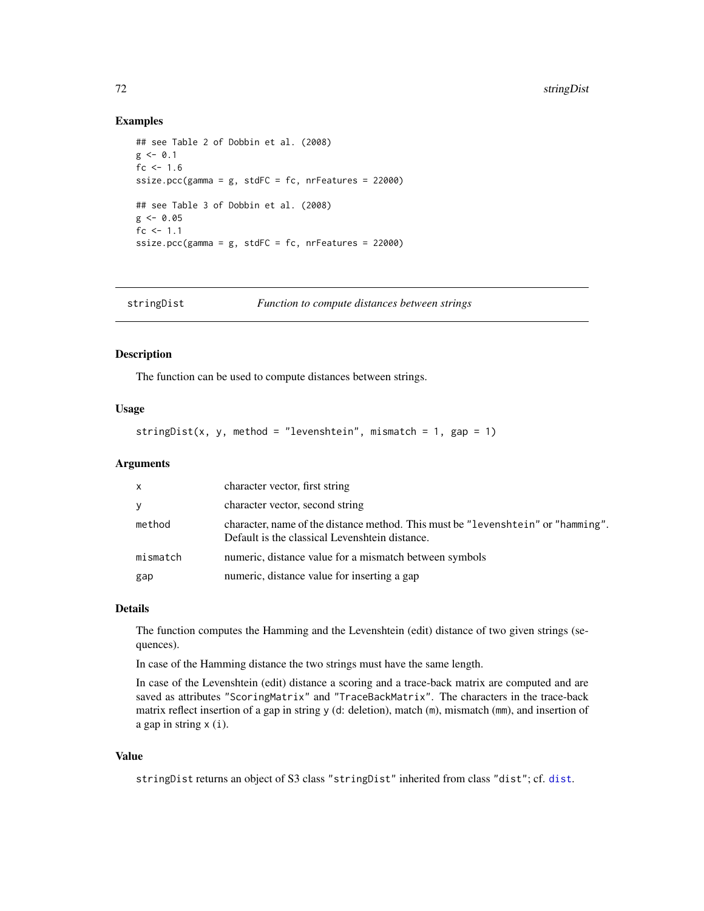### Examples

```
## see Table 2 of Dobbin et al. (2008)
g \le -0.1fc <-1.6ssize.pcc(gamma = g, stdFC = fc, nrFeatures = 22000)
## see Table 3 of Dobbin et al. (2008)
g \le -0.05fc <-1.1ssize.pcc(gamma = g, stdFC = fc, nrFeatures = 22000)
```

| stringDist | Function to compute distances between strings |  |
|------------|-----------------------------------------------|--|
|------------|-----------------------------------------------|--|

# Description

The function can be used to compute distances between strings.

### Usage

stringDist(x, y, method = "levenshtein", mismatch = 1, gap = 1)

### Arguments

| $\mathsf{X}$ | character vector, first string                                                                                                     |
|--------------|------------------------------------------------------------------------------------------------------------------------------------|
| <b>V</b>     | character vector, second string                                                                                                    |
| method       | character, name of the distance method. This must be "levenshtein" or "hamming".<br>Default is the classical Levenshtein distance. |
| mismatch     | numeric, distance value for a mismatch between symbols                                                                             |
| gap          | numeric, distance value for inserting a gap                                                                                        |

# Details

The function computes the Hamming and the Levenshtein (edit) distance of two given strings (sequences).

In case of the Hamming distance the two strings must have the same length.

In case of the Levenshtein (edit) distance a scoring and a trace-back matrix are computed and are saved as attributes "ScoringMatrix" and "TraceBackMatrix". The characters in the trace-back matrix reflect insertion of a gap in string y (d: deletion), match (m), mismatch (mm), and insertion of a gap in string x (i).

#### Value

stringDist returns an object of S3 class "stringDist" inherited from class "dist"; cf. [dist](#page-0-0).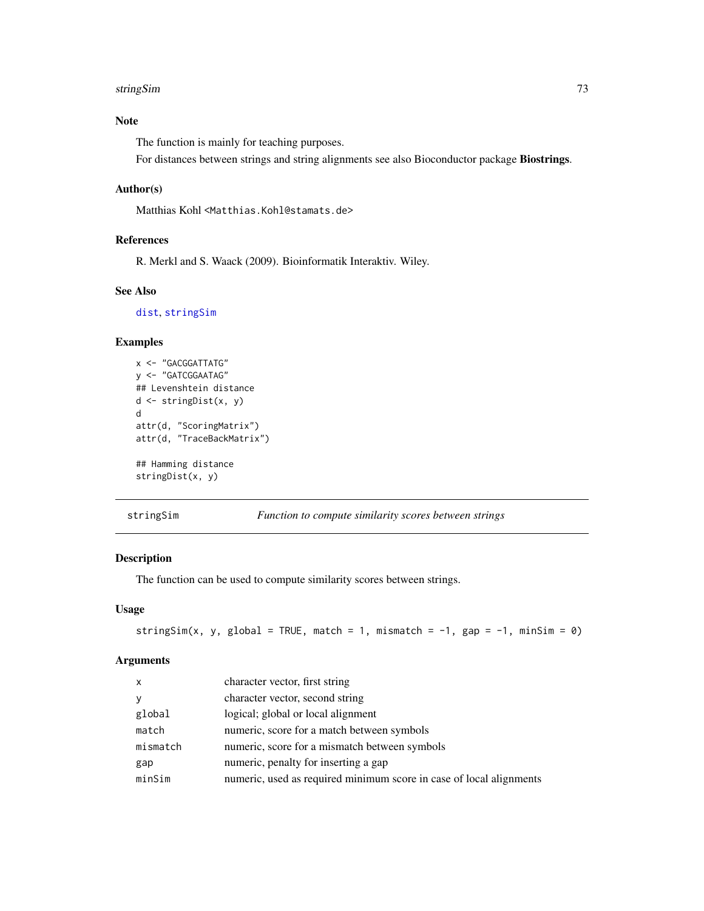#### <span id="page-72-1"></span>stringSim 73

# Note

The function is mainly for teaching purposes.

For distances between strings and string alignments see also Bioconductor package Biostrings.

# Author(s)

Matthias Kohl <Matthias.Kohl@stamats.de>

# References

R. Merkl and S. Waack (2009). Bioinformatik Interaktiv. Wiley.

#### See Also

[dist](#page-0-0), [stringSim](#page-72-0)

#### Examples

```
x <- "GACGGATTATG"
y <- "GATCGGAATAG"
## Levenshtein distance
d <- stringDist(x, y)
d
attr(d, "ScoringMatrix")
attr(d, "TraceBackMatrix")
## Hamming distance
stringDist(x, y)
```
<span id="page-72-0"></span>stringSim *Function to compute similarity scores between strings*

# Description

The function can be used to compute similarity scores between strings.

#### Usage

```
stringSim(x, y, global = TRUE, match = 1, mismatch = -1, gap = -1, minSim = 0)
```
#### Arguments

| $\mathsf{x}$ | character vector, first string                                      |
|--------------|---------------------------------------------------------------------|
| y            | character vector, second string                                     |
| global       | logical; global or local alignment                                  |
| match        | numeric, score for a match between symbols                          |
| mismatch     | numeric, score for a mismatch between symbols                       |
| gap          | numeric, penalty for inserting a gap                                |
| minSim       | numeric, used as required minimum score in case of local alignments |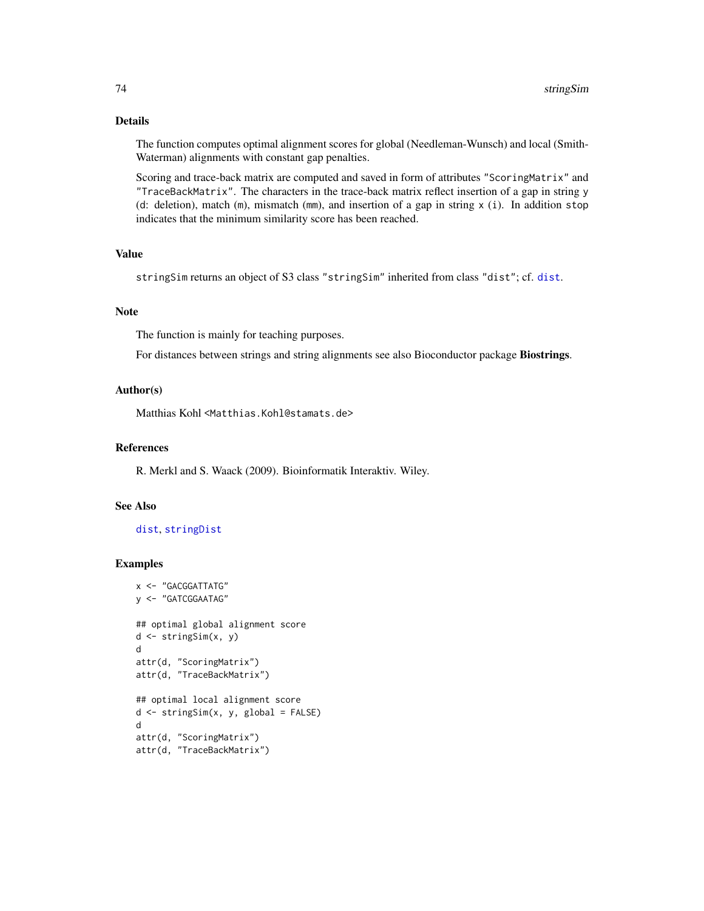# Details

The function computes optimal alignment scores for global (Needleman-Wunsch) and local (Smith-Waterman) alignments with constant gap penalties.

Scoring and trace-back matrix are computed and saved in form of attributes "ScoringMatrix" and "TraceBackMatrix". The characters in the trace-back matrix reflect insertion of a gap in string y (d: deletion), match (m), mismatch (mm), and insertion of a gap in string  $x$  (i). In addition stop indicates that the minimum similarity score has been reached.

# Value

stringSim returns an object of S3 class "stringSim" inherited from class "dist"; cf. [dist](#page-0-0).

#### Note

The function is mainly for teaching purposes.

For distances between strings and string alignments see also Bioconductor package Biostrings.

#### Author(s)

Matthias Kohl <Matthias.Kohl@stamats.de>

# References

R. Merkl and S. Waack (2009). Bioinformatik Interaktiv. Wiley.

# See Also

# [dist](#page-0-0), [stringDist](#page-71-0)

```
x <- "GACGGATTATG"
y <- "GATCGGAATAG"
## optimal global alignment score
d <- stringSim(x, y)
d
attr(d, "ScoringMatrix")
attr(d, "TraceBackMatrix")
## optimal local alignment score
d \leq - \text{stringSim}(x, y, \text{global} = \text{FALSE})d
attr(d, "ScoringMatrix")
```

```
attr(d, "TraceBackMatrix")
```
<span id="page-73-0"></span>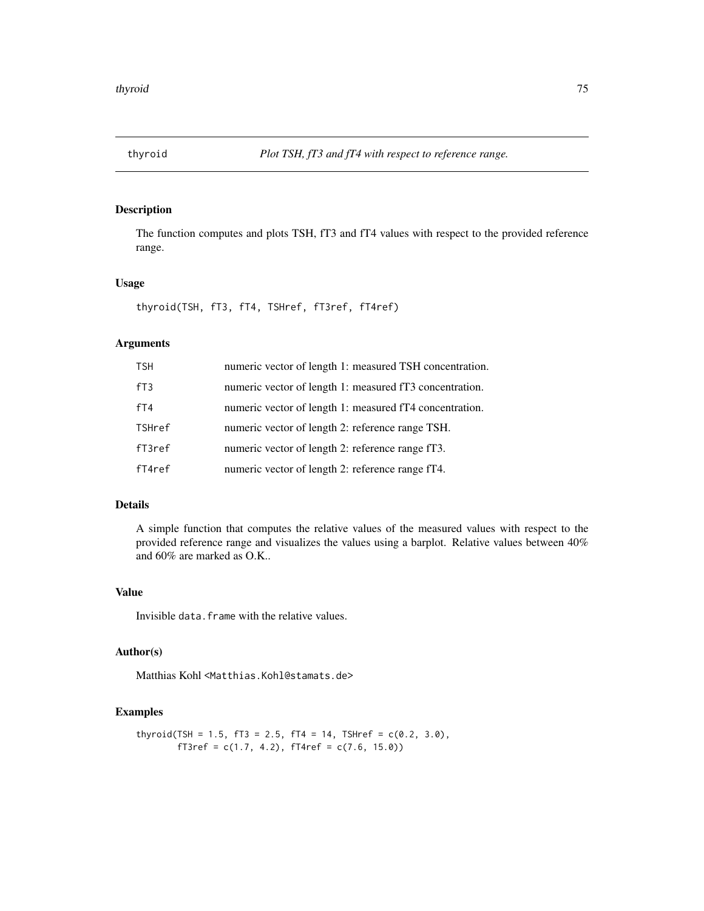<span id="page-74-0"></span>

# Description

The function computes and plots TSH, fT3 and fT4 values with respect to the provided reference range.

# Usage

thyroid(TSH, fT3, fT4, TSHref, fT3ref, fT4ref)

# Arguments

| <b>TSH</b>       | numeric vector of length 1: measured TSH concentration. |
|------------------|---------------------------------------------------------|
| fT3              | numeric vector of length 1: measured fT3 concentration. |
| fT4              | numeric vector of length 1: measured fT4 concentration. |
| <b>TSHref</b>    | numeric vector of length 2: reference range TSH.        |
| $f$ T $3$ re $f$ | numeric vector of length 2: reference range fT3.        |
| fT4ref           | numeric vector of length 2: reference range fT4.        |

# Details

A simple function that computes the relative values of the measured values with respect to the provided reference range and visualizes the values using a barplot. Relative values between 40% and 60% are marked as O.K..

#### Value

Invisible data. frame with the relative values.

# Author(s)

Matthias Kohl <Matthias.Kohl@stamats.de>

```
thyroid(TSH = 1.5, fT3 = 2.5, fT4 = 14, TSHref = c(0.2, 3.0),
       fT3ref = c(1.7, 4.2), fT4ref = c(7.6, 15.0))
```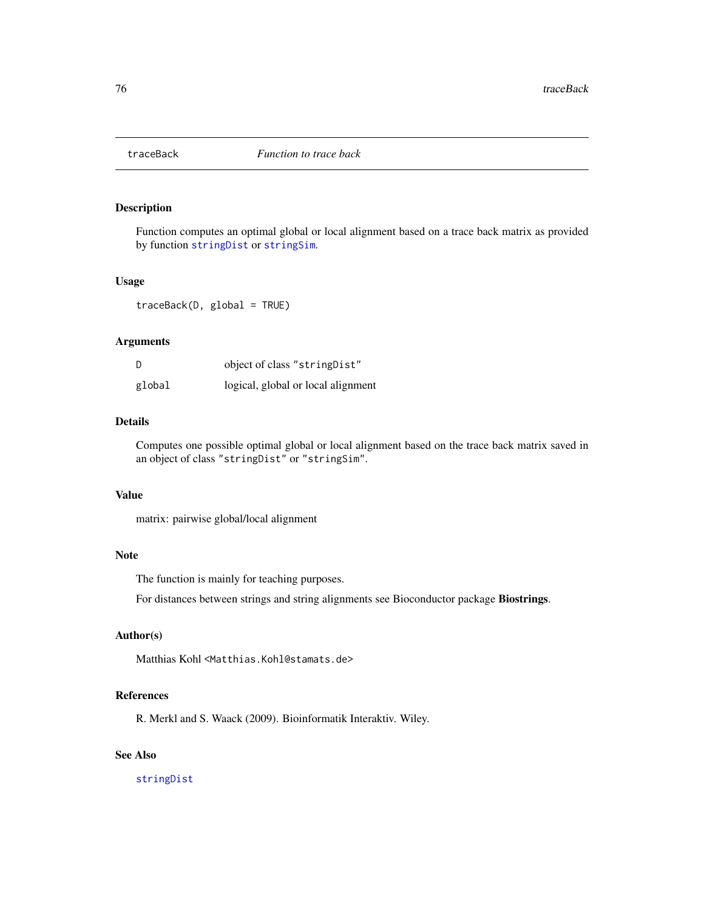<span id="page-75-0"></span>

# Description

Function computes an optimal global or local alignment based on a trace back matrix as provided by function [stringDist](#page-71-0) or [stringSim](#page-72-0).

#### Usage

traceBack(D, global = TRUE)

# Arguments

| D      | object of class "string Dist"      |
|--------|------------------------------------|
| global | logical, global or local alignment |

# Details

Computes one possible optimal global or local alignment based on the trace back matrix saved in an object of class "stringDist" or "stringSim".

#### Value

matrix: pairwise global/local alignment

#### Note

The function is mainly for teaching purposes.

For distances between strings and string alignments see Bioconductor package Biostrings.

# Author(s)

Matthias Kohl <Matthias.Kohl@stamats.de>

#### References

R. Merkl and S. Waack (2009). Bioinformatik Interaktiv. Wiley.

# See Also

[stringDist](#page-71-0)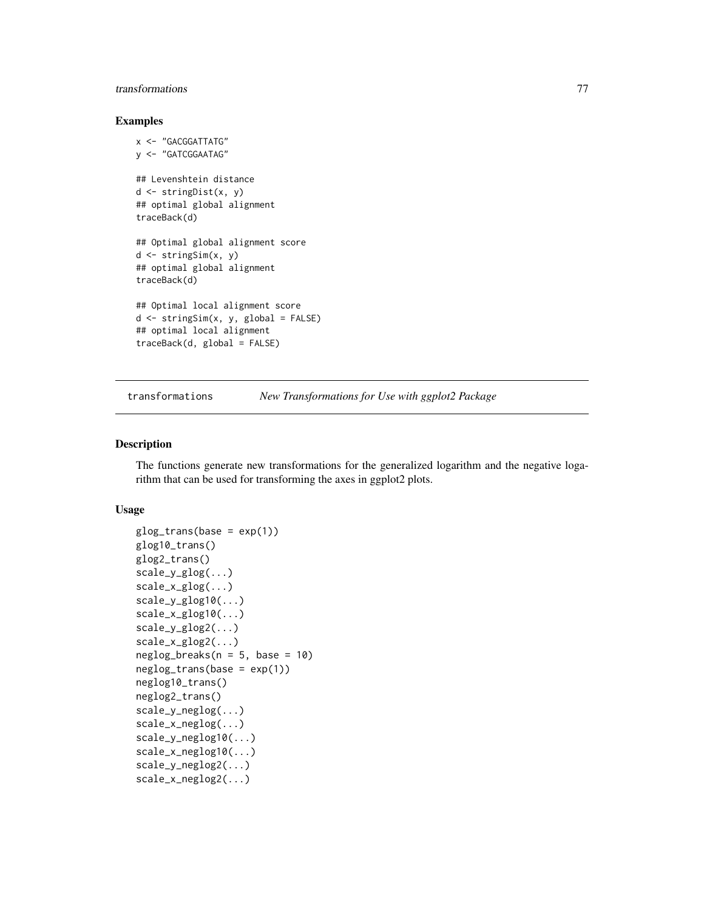# <span id="page-76-0"></span>transformations 77

#### Examples

```
x <- "GACGGATTATG"
y <- "GATCGGAATAG"
## Levenshtein distance
d <- stringDist(x, y)
## optimal global alignment
traceBack(d)
## Optimal global alignment score
d <- stringSim(x, y)
## optimal global alignment
traceBack(d)
## Optimal local alignment score
d \leq - \text{stringSim}(x, y, \text{global} = \text{FALSE})## optimal local alignment
traceBack(d, global = FALSE)
```
transformations *New Transformations for Use with ggplot2 Package*

# Description

The functions generate new transformations for the generalized logarithm and the negative logarithm that can be used for transforming the axes in ggplot2 plots.

#### Usage

```
glog_{1}trans(base = exp(1))glog10_trans()
glog2_trans()
scale_y_glog(...)
scale_x_glog(...)
scale_y_glog10(...)
scale_x_glog10(...)
scale_y_glog2(...)
scale_x_glog2(...)
neglog_breaks(n = 5, base = 10)neglog_trans(base = exp(1))
neglog10_trans()
neglog2_trans()
scale_y_neglog(...)
scale_x_neglog(...)
scale_y_neglog10(...)
scale_x_neglog10(...)
scale_y_neglog2(...)
scale_x_neglog2(...)
```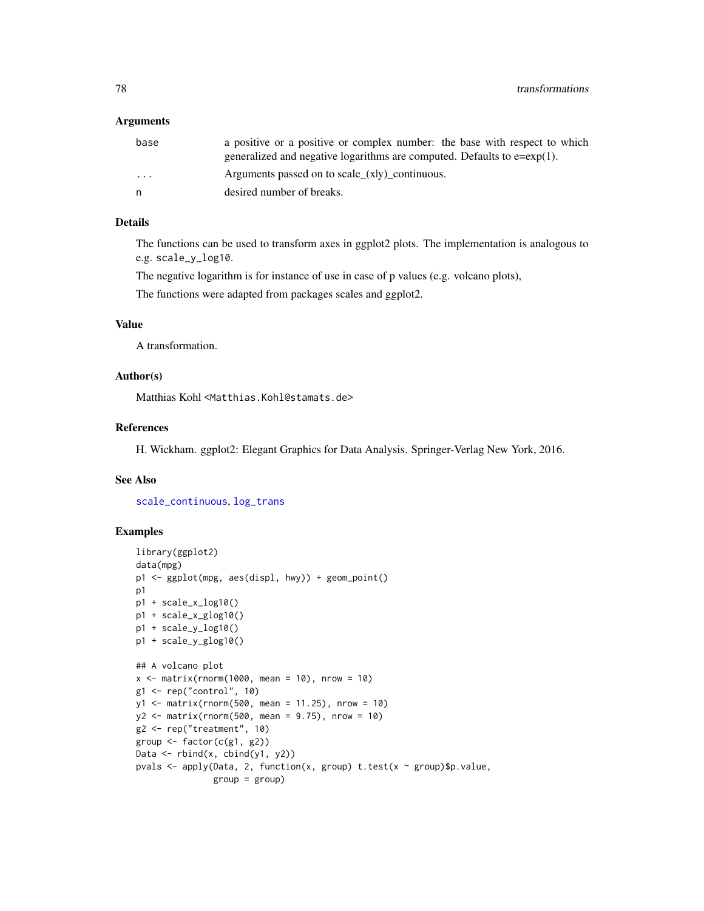#### <span id="page-77-0"></span>Arguments

| base                    | a positive or a positive or complex number: the base with respect to which   |
|-------------------------|------------------------------------------------------------------------------|
|                         | generalized and negative logarithms are computed. Defaults to $e = exp(1)$ . |
| $\cdot$ $\cdot$ $\cdot$ | Arguments passed on to scale_ $(x y)$ _continuous.                           |
| n                       | desired number of breaks.                                                    |
|                         |                                                                              |

# Details

The functions can be used to transform axes in ggplot2 plots. The implementation is analogous to e.g. scale\_y\_log10.

The negative logarithm is for instance of use in case of p values (e.g. volcano plots),

The functions were adapted from packages scales and ggplot2.

# Value

A transformation.

#### Author(s)

Matthias Kohl <Matthias.Kohl@stamats.de>

#### References

H. Wickham. ggplot2: Elegant Graphics for Data Analysis. Springer-Verlag New York, 2016.

#### See Also

[scale\\_continuous](#page-0-0), [log\\_trans](#page-0-0)

```
library(ggplot2)
data(mpg)
p1 <- ggplot(mpg, aes(displ, hwy)) + geom_point()
p1
p1 + scale_x_log10()
p1 + scale_x_glog10()
p1 + scale_y_log10()
p1 + scale_y_glog10()
## A volcano plot
x \le - matrix(rnorm(1000, mean = 10), nrow = 10)
g1 <- rep("control", 10)
y1 <- matrix(rnorm(500, mean = 11.25), nrow = 10)
y2 <- matrix(rnorm(500, mean = 9.75), nrow = 10)
g2 <- rep("treatment", 10)
group \leq factor(c(g1, g2))
Data \leq rbind(x, cbind(y1, y2))
pvals <- apply(Data, 2, function(x, group) t.test(x ~ group)$p.value,
               group = group)
```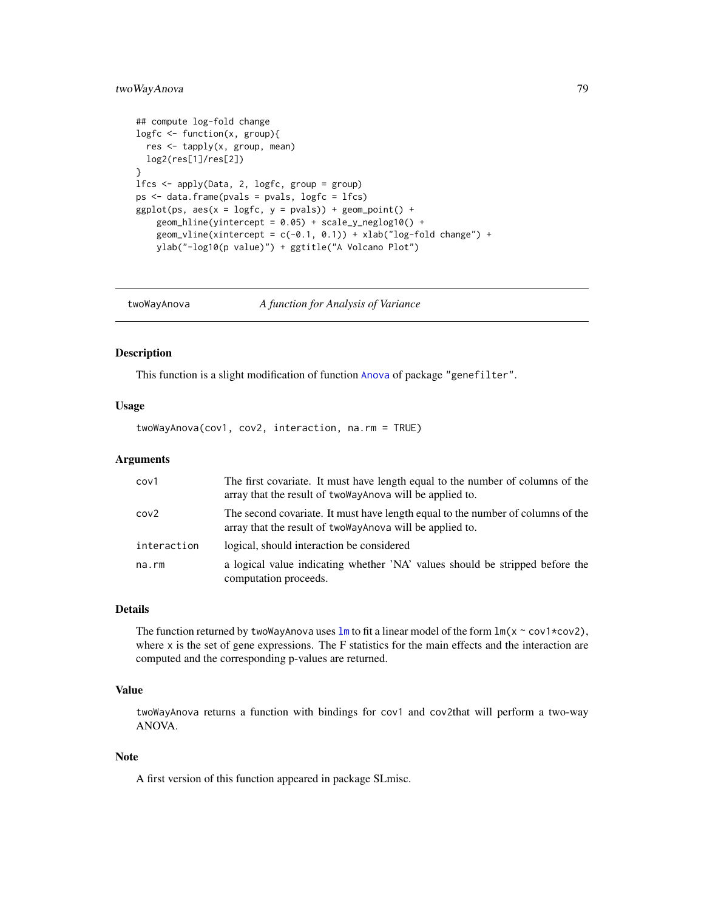# <span id="page-78-0"></span>twoWayAnova 79

```
## compute log-fold change
logfc <- function(x, group){
  res <- tapply(x, group, mean)
 log2(res[1]/res[2])
}
lfcs <- apply(Data, 2, logfc, group = group)
ps <- data.frame(pvals = pvals, logfc = lfcs)
ggplot(ps, aes(x = logfc, y = pvals)) + geom\_point() +geom\_hline(yintercept = 0.05) + scale_y_neglog10() +geom_vline(xintercept = c(-0.1, 0.1)) + xlab("log-fold change") +
   ylab("-log10(p value)") + ggtitle("A Volcano Plot")
```
twoWayAnova *A function for Analysis of Variance*

#### Description

This function is a slight modification of function [Anova](#page-0-0) of package "genefilter".

#### Usage

twoWayAnova(cov1, cov2, interaction, na.rm = TRUE)

#### Arguments

| cov1             | The first covariate. It must have length equal to the number of columns of the<br>array that the result of two way Anova will be applied to.  |
|------------------|-----------------------------------------------------------------------------------------------------------------------------------------------|
| cov <sub>2</sub> | The second covariate. It must have length equal to the number of columns of the<br>array that the result of two Way Anova will be applied to. |
| interaction      | logical, should interaction be considered                                                                                                     |
| na.rm            | a logical value indicating whether 'NA' values should be stripped before the<br>computation proceeds.                                         |

#### Details

The function returned by twoWayAnova uses  $\text{Im}$  to fit a linear model of the form  $\text{Im}(x \sim \text{cov}1 \times \text{cov}2)$ , where x is the set of gene expressions. The F statistics for the main effects and the interaction are computed and the corresponding p-values are returned.

# Value

twoWayAnova returns a function with bindings for cov1 and cov2that will perform a two-way ANOVA.

#### Note

A first version of this function appeared in package SLmisc.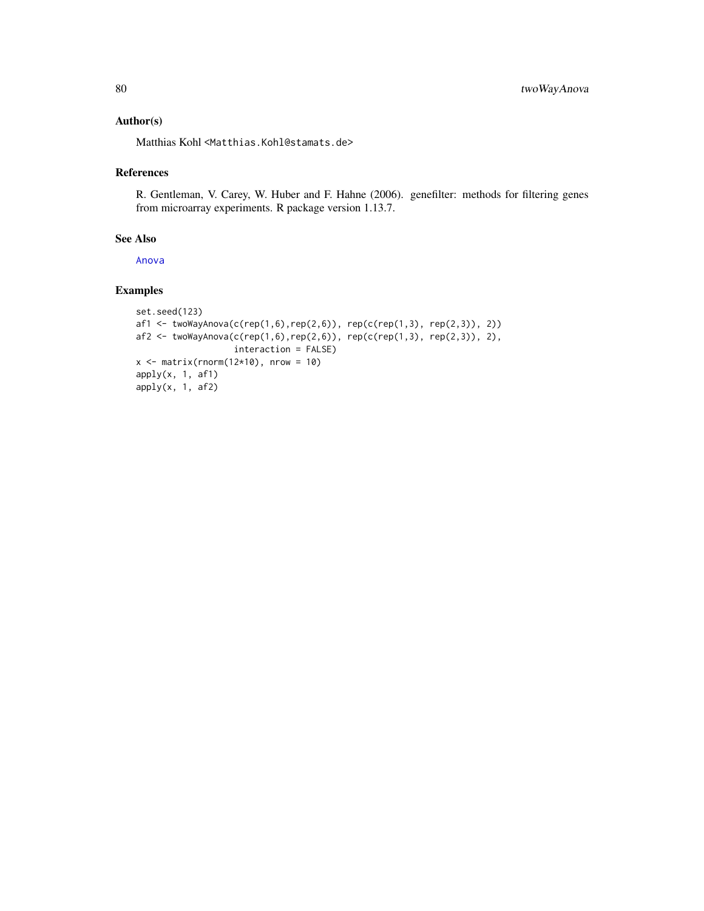# <span id="page-79-0"></span>Author(s)

Matthias Kohl <Matthias.Kohl@stamats.de>

# References

R. Gentleman, V. Carey, W. Huber and F. Hahne (2006). genefilter: methods for filtering genes from microarray experiments. R package version 1.13.7.

# See Also

[Anova](#page-0-0)

```
set.seed(123)
af1 <- twoWayAnova(c(rep(1,6),rep(2,6)), rep(c(rep(1,3), rep(2,3)), 2))
af2 \leq twoWayAnova(c(rep(1,6),rep(2,6)), rep(c(rep(1,3), rep(2,3)), 2),interaction = FALSE)
x \le - matrix(rnorm(12*10), nrow = 10)
apply(x, 1, af1)apply(x, 1, af2)
```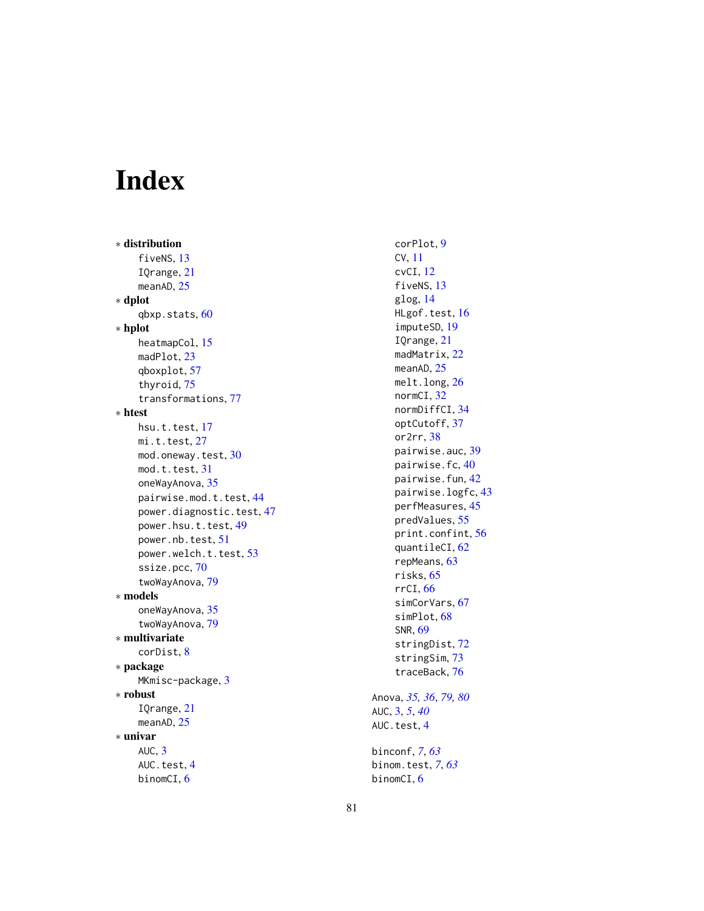# Index

∗ distribution fiveNS, [13](#page-12-0) IQrange , [21](#page-20-0) meanAD, [25](#page-24-0) ∗ dplot qbxp.stats , [60](#page-59-0) ∗ hplot heatmapCol, [15](#page-14-0) madPlot, [23](#page-22-0) qboxplot , [57](#page-56-0) thyroid , [75](#page-74-0) transformations , [77](#page-76-0) ∗ htest hsu.t.test, [17](#page-16-0) mi.t.test, [27](#page-26-0) mod.oneway.test, [30](#page-29-0) mod.t.test, [31](#page-30-0) oneWayAnova , [35](#page-34-0) pairwise.mod.t.test, [44](#page-43-0) power.diagnostic.test , [47](#page-46-0) power.hsu.t.test , [49](#page-48-0) power.nb.test, [51](#page-50-0) power.welch.t.test, [53](#page-52-0) ssize.pcc, [70](#page-69-0) twoWayAnova , [79](#page-78-0) ∗ models oneWayAnova , [35](#page-34-0) twoWayAnova , [79](#page-78-0) ∗ multivariate corDist , [8](#page-7-0) ∗ package MKmisc-package, [3](#page-2-0) ∗ robust IQrange , [21](#page-20-0) meanAD, [25](#page-24-0) ∗ univar  $AUC, 3$  $AUC, 3$ AUC.test, [4](#page-3-0) binomCI, [6](#page-5-0)

corPlot , [9](#page-8-0) CV , [11](#page-10-0) cvCI , [12](#page-11-0) fiveNS, [13](#page-12-0) glog , [14](#page-13-0) HLgof.test, [16](#page-15-0) imputeSD , [19](#page-18-0) IQrange , [21](#page-20-0) madMatrix , [22](#page-21-0) meanAD, [25](#page-24-0) melt.long, [26](#page-25-0) normCI, [32](#page-31-0) normDiffCI , [34](#page-33-0) optCutoff , [37](#page-36-0) or2rr , [38](#page-37-0) pairwise.auc, <mark>[39](#page-38-0)</mark> pairwise.fc,4 $0$ pairwise.fun , [42](#page-41-0) pairwise.logfc , [43](#page-42-0) perfMeasures , [45](#page-44-0) predValues , [55](#page-54-0) print.confint , [56](#page-55-0) quantileCI , [62](#page-61-0) repMeans , [63](#page-62-0) risks , [65](#page-64-0) rrCI , [66](#page-65-0) simCorVars, [67](#page-66-0) simPlot, [68](#page-67-0) SNR , [69](#page-68-0) stringDist , [72](#page-71-1) stringSim , [73](#page-72-1) traceBack , [76](#page-75-0) Anova , *[35](#page-34-0) , [36](#page-35-0)* , *[79](#page-78-0) , [80](#page-79-0)* AUC , [3](#page-2-0) , *[5](#page-4-0)* , *[40](#page-39-0)* AUC.test, [4](#page-3-0) binconf , *[7](#page-6-0)* , *[63](#page-62-0)* binom.test , *[7](#page-6-0)* , *[63](#page-62-0)*

binomCI,[6](#page-5-0)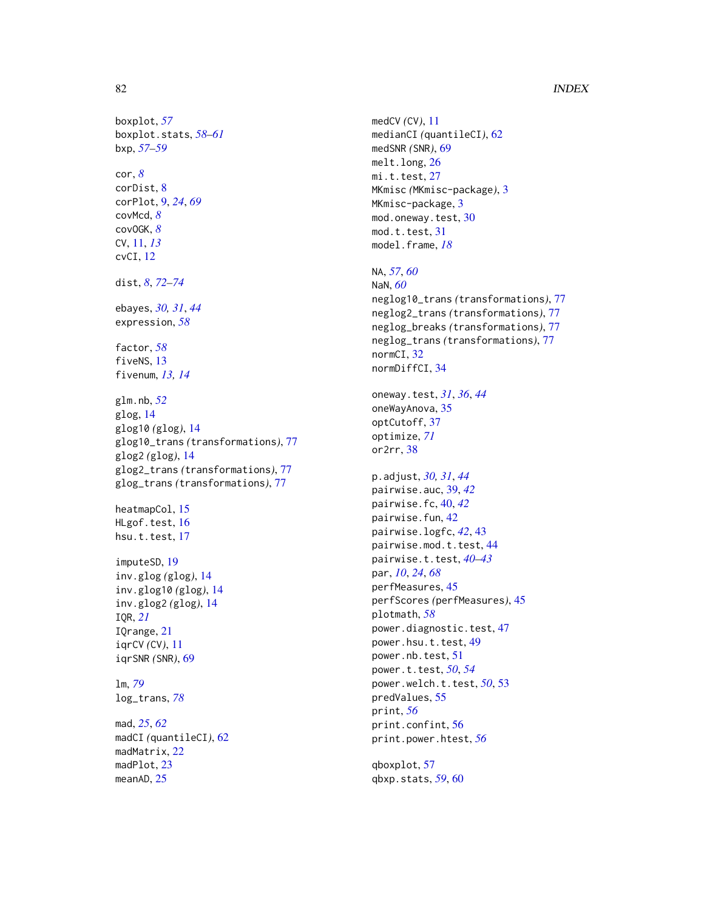# 82 INDEX

```
boxplot, 57
boxplot.stats, 58–61
bxp, 57–59
cor, 8
corDist, 8
corPlot, 9, 24, 69
covMcd, 8
covOGK, 8
CV, 11, 13
cvCI, 12
dist, 8, 72–74
ebayes, 30, 31, 44
expression, 58
factor, 58
fiveNS, 13
fivenum, 13, 14
glm.nb, 52
glog, 14
glog10 (glog), 14
glog10_trans (transformations), 77
glog2 (glog), 14
glog2_trans (transformations), 77
glog_trans (transformations), 77
heatmapCol, 15
HLgof.test, 16
17
imputeSD, 19
inv.glog (glog), 14
inv.glog10 (glog), 14
inv.glog2 (glog), 14
IQR, 21
IQrange, 21
iqrCV (CV), 11
iqrSNR (SNR), 69
lm, 79
log_trans, 78
mad, 25, 62
madCI (quantileCI), 62
madMatrix, 22
madPlot, 23
meanAD, 25
```
medCV *(*CV*)*, [11](#page-10-0) medianCI *(*quantileCI*)*, [62](#page-61-0) medSNR *(*SNR*)*, [69](#page-68-0) melt.long, [26](#page-25-0) mi.t.test, [27](#page-26-0) MKmisc *(*MKmisc-package*)*, [3](#page-2-0) MKmisc-package, [3](#page-2-0) mod.oneway.test, [30](#page-29-0) mod.t.test, [31](#page-30-0) model.frame, *[18](#page-17-0)* NA, *[57](#page-56-0)*, *[60](#page-59-0)*

```
NaN, 60
neglog10_trans (transformations), 77
neglog2_trans (transformations), 77
neglog_breaks (transformations), 77
neglog_trans (transformations), 77
normCI, 32
normDiffCI, 34
```
oneway.test, *[31](#page-30-0)*, *[36](#page-35-0)*, *[44](#page-43-0)* oneWayAnova, [35](#page-34-0) optCutoff, [37](#page-36-0) optimize, *[71](#page-70-0)* or2rr, [38](#page-37-0)

p.adjust, *[30,](#page-29-0) [31](#page-30-0)*, *[44](#page-43-0)* pairwise.auc, [39,](#page-38-0) *[42](#page-41-0)* pairwise.fc, [40,](#page-39-0) *[42](#page-41-0)* pairwise.fun, [42](#page-41-0) pairwise.logfc, *[42](#page-41-0)*, [43](#page-42-0) pairwise.mod.t.test, [44](#page-43-0) pairwise.t.test, *[40](#page-39-0)[–43](#page-42-0)* par, *[10](#page-9-0)*, *[24](#page-23-0)*, *[68](#page-67-0)* perfMeasures, [45](#page-44-0) perfScores *(*perfMeasures*)*, [45](#page-44-0) plotmath, *[58](#page-57-0)* power.diagnostic.test, [47](#page-46-0) power.hsu.t.test, [49](#page-48-0) power.nb.test, [51](#page-50-0) power.t.test, *[50](#page-49-0)*, *[54](#page-53-0)* power.welch.t.test, *[50](#page-49-0)*, [53](#page-52-0) predValues, [55](#page-54-0) print, *[56](#page-55-0)* print.confint, [56](#page-55-0) print.power.htest, *[56](#page-55-0)*

qboxplot, [57](#page-56-0) qbxp.stats, *[59](#page-58-0)*, [60](#page-59-0)